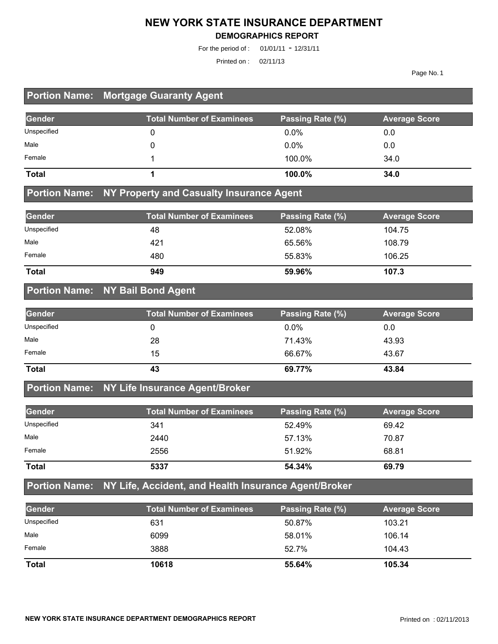#### **NEW YORK STATE INSURANCE DEPARTMENT**

#### **DEMOGRAPHICS REPORT**

For the period of : 01/01/11 - 12/31/11

Printed on : 02/11/13

Page No. 1

### **Portion Name: Mortgage Guaranty Agent**

| Gender       | <b>Total Number of Examinees</b> | Passing Rate (%) | <b>Average Score</b> |
|--------------|----------------------------------|------------------|----------------------|
| Unspecified  |                                  | $0.0\%$          | 0.0                  |
| Male         |                                  | $0.0\%$          | 0.0                  |
| Female       |                                  | 100.0%           | 34.0                 |
| <b>Total</b> |                                  | 100.0%           | 34.0                 |

#### **Portion Name: NY Property and Casualty Insurance Agent**

| Gender       | <b>Total Number of Examinees</b> | Passing Rate (%) | <b>Average Score</b> |
|--------------|----------------------------------|------------------|----------------------|
| Unspecified  | 48                               | 52.08%           | 104.75               |
| Male         | 421                              | 65.56%           | 108.79               |
| Female       | 480                              | 55.83%           | 106.25               |
| <b>Total</b> | 949                              | 59.96%           | 107.3                |

#### **Portion Name: NY Bail Bond Agent**

| Gender       | <b>Total Number of Examinees</b> | Passing Rate (%) | <b>Average Score</b> |
|--------------|----------------------------------|------------------|----------------------|
| Unspecified  |                                  | $0.0\%$          | 0.0                  |
| Male         | 28                               | 71.43%           | 43.93                |
| Female       | 15                               | 66.67%           | 43.67                |
| <b>Total</b> | 43                               | 69.77%           | 43.84                |

#### **Portion Name: NY Life Insurance Agent/Broker**

| Gender       | <b>Total Number of Examinees</b> | Passing Rate (%) | <b>Average Score</b> |
|--------------|----------------------------------|------------------|----------------------|
| Unspecified  | 341                              | 52.49%           | 69.42                |
| Male         | 2440                             | 57.13%           | 70.87                |
| Female       | 2556                             | 51.92%           | 68.81                |
| <b>Total</b> | 5337                             | 54.34%           | 69.79                |

### **Portion Name: NY Life, Accident, and Health Insurance Agent/Broker**

| <b>Gender</b> | <b>Total Number of Examinees</b> | Passing Rate (%) | <b>Average Score</b> |
|---------------|----------------------------------|------------------|----------------------|
| Unspecified   | 631                              | 50.87%           | 103.21               |
| Male          | 6099                             | 58.01%           | 106.14               |
| Female        | 3888                             | 52.7%            | 104.43               |
| <b>Total</b>  | 10618                            | 55.64%           | 105.34               |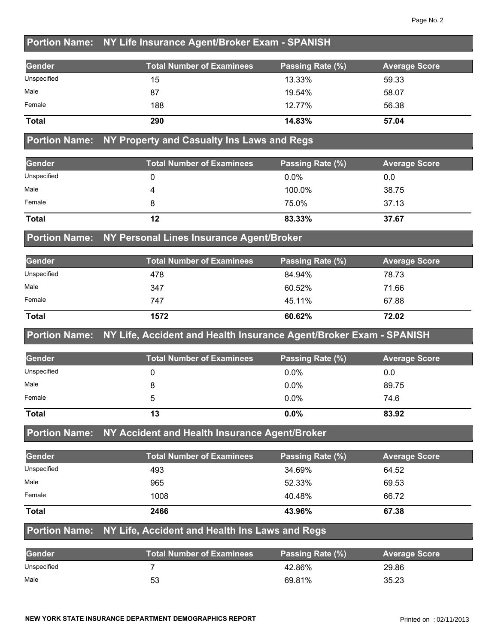### **Portion Name: NY Life Insurance Agent/Broker Exam - SPANISH**

| Gender       | <b>Total Number of Examinees</b> | Passing Rate (%) | <b>Average Score</b> |
|--------------|----------------------------------|------------------|----------------------|
| Unspecified  | 15                               | 13.33%           | 59.33                |
| Male         | 87                               | 19.54%           | 58.07                |
| Female       | 188                              | 12.77%           | 56.38                |
| <b>Total</b> | 290                              | 14.83%           | 57.04                |

#### **Portion Name: NY Property and Casualty Ins Laws and Regs**

| Gender       | <b>Total Number of Examinees</b> | Passing Rate (%) | <b>Average Score</b> |
|--------------|----------------------------------|------------------|----------------------|
| Unspecified  |                                  | $0.0\%$          | 0.0                  |
| Male         |                                  | 100.0%           | 38.75                |
| Female       |                                  | 75.0%            | 37.13                |
| <b>Total</b> | 12                               | 83.33%           | 37.67                |

#### **Portion Name: NY Personal Lines Insurance Agent/Broker**

| Gender       | <b>Total Number of Examinees</b> | Passing Rate (%) | <b>Average Score</b> |
|--------------|----------------------------------|------------------|----------------------|
| Unspecified  | 478                              | 84.94%           | 78.73                |
| Male         | 347                              | 60.52%           | 71.66                |
| Female       | 747                              | 45.11%           | 67.88                |
| <b>Total</b> | 1572                             | 60.62%           | 72.02                |

#### **Portion Name: NY Life, Accident and Health Insurance Agent/Broker Exam - SPANISH**

| Gender       | <b>Total Number of Examinees</b> | Passing Rate (%) | <b>Average Score</b> |
|--------------|----------------------------------|------------------|----------------------|
| Unspecified  |                                  | $0.0\%$          | 0.0                  |
| Male         |                                  | $0.0\%$          | 89.75                |
| Female       |                                  | $0.0\%$          | 74.6                 |
| <b>Total</b> | 13                               | $0.0\%$          | 83.92                |

### **Portion Name: NY Accident and Health Insurance Agent/Broker**

| Gender       | <b>Total Number of Examinees</b> | Passing Rate (%) | <b>Average Score</b> |
|--------------|----------------------------------|------------------|----------------------|
| Unspecified  | 493                              | 34.69%           | 64.52                |
| Male         | 965                              | 52.33%           | 69.53                |
| Female       | 1008                             | 40.48%           | 66.72                |
| <b>Total</b> | 2466                             | 43.96%           | 67.38                |

#### **Portion Name: NY Life, Accident and Health Ins Laws and Regs**

| Gender      | <b>Total Number of Examinees</b> | Passing Rate (%) | <b>Average Score</b> |
|-------------|----------------------------------|------------------|----------------------|
| Unspecified |                                  | 42.86%           | 29.86                |
| Male        | 53                               | 69.81%           | 35.23                |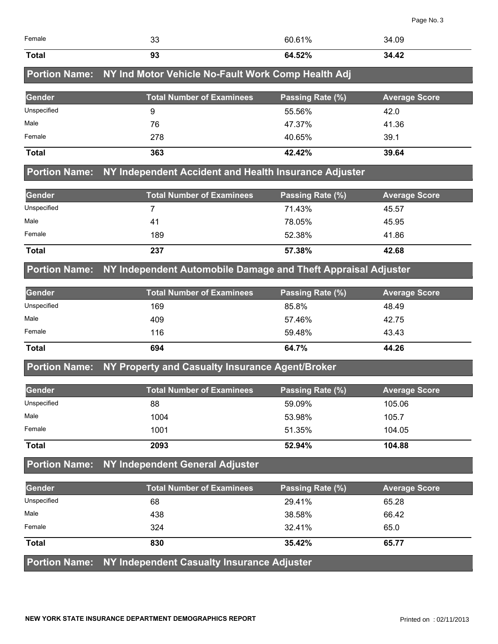|                      |                                                               |                  | Page No. 3           |
|----------------------|---------------------------------------------------------------|------------------|----------------------|
| Female               | 33                                                            | 60.61%           | 34.09                |
| <b>Total</b>         | 93                                                            | 64.52%           | 34.42                |
| <b>Portion Name:</b> | NY Ind Motor Vehicle No-Fault Work Comp Health Adj            |                  |                      |
| <b>Gender</b>        | <b>Total Number of Examinees</b>                              | Passing Rate (%) | <b>Average Score</b> |
| Unspecified          | 9                                                             | 55.56%           | 42.0                 |
| Male                 | 76                                                            | 47.37%           | 41.36                |
| Female               | 278                                                           | 40.65%           | 39.1                 |
| <b>Total</b>         | 363                                                           | 42.42%           | 39.64                |
| <b>Portion Name:</b> | NY Independent Accident and Health Insurance Adjuster         |                  |                      |
| Gender               | <b>Total Number of Examinees</b>                              | Passing Rate (%) | <b>Average Score</b> |
| Unspecified          | 7                                                             | 71.43%           | 45.57                |
| Male                 | 41                                                            | 78.05%           | 45.95                |
| Female               | 189                                                           | 52.38%           | 41.86                |
| <b>Total</b>         | 237                                                           | 57.38%           | 42.68                |
| <b>Portion Name:</b> | NY Independent Automobile Damage and Theft Appraisal Adjuster |                  |                      |
| <b>Gender</b>        | <b>Total Number of Examinees</b>                              | Passing Rate (%) | <b>Average Score</b> |
| Unspecified          | 169                                                           | 85.8%            | 48.49                |
| Male                 | 409                                                           | 57.46%           | 42.75                |
| Female               | 116                                                           | 59.48%           | 43.43                |
| <b>Total</b>         | 694                                                           | 64.7%            | 44.26                |
| <b>Portion Name:</b> | NY Property and Casualty Insurance Agent/Broker               |                  |                      |
| Gender               | <b>Total Number of Examinees</b>                              | Passing Rate (%) | <b>Average Score</b> |
| Unspecified          | 88                                                            | 59.09%           | 105.06               |

| Male         | 1004 | 53.98% | 105.7  |
|--------------|------|--------|--------|
| Female       | 1001 | 51.35% | 104.05 |
| <b>Total</b> | 2093 | 52.94% | 104.88 |

# **Portion Name: NY Independent General Adjuster**

| Gender       | <b>Total Number of Examinees</b>                                | Passing Rate (%) | <b>Average Score</b> |
|--------------|-----------------------------------------------------------------|------------------|----------------------|
| Unspecified  | 68                                                              | 29.41%           | 65.28                |
| Male         | 438                                                             | 38.58%           | 66.42                |
| Female       | 324                                                             | 32.41%           | 65.0                 |
| <b>Total</b> | 830                                                             | 35.42%           | 65.77                |
|              | <b>Portion Name: NY Independent Casualty Insurance Adjuster</b> |                  |                      |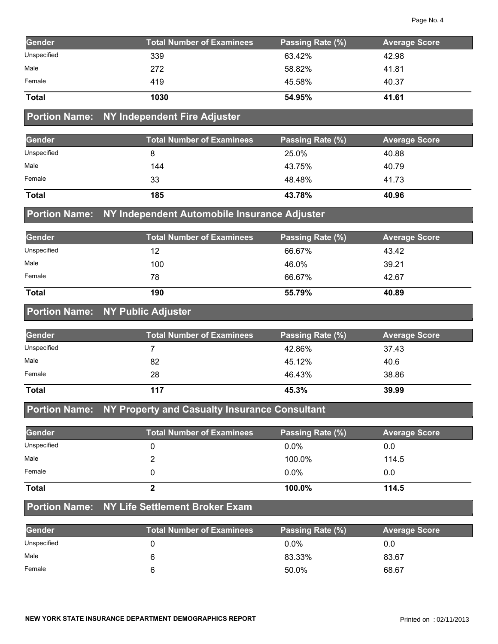| Gender       | <b>Total Number of Examinees</b> | Passing Rate (%) | <b>Average Score</b> |
|--------------|----------------------------------|------------------|----------------------|
| Unspecified  | 339                              | 63.42%           | 42.98                |
| Male         | 272                              | 58.82%           | 41.81                |
| Female       | 419                              | 45.58%           | 40.37                |
| <b>Total</b> | 1030                             | 54.95%           | 41.61                |

#### **Portion Name: NY Independent Fire Adjuster**

| Gender       | <b>Total Number of Examinees</b> | Passing Rate (%) | <b>Average Score</b> |
|--------------|----------------------------------|------------------|----------------------|
| Unspecified  |                                  | 25.0%            | 40.88                |
| Male         | 144                              | 43.75%           | 40.79                |
| Female       | 33                               | 48.48%           | 41.73                |
| <b>Total</b> | 185                              | 43.78%           | 40.96                |

#### **Portion Name: NY Independent Automobile Insurance Adjuster**

| Gender       | <b>Total Number of Examinees</b> | <b>Passing Rate (%)</b> | <b>Average Score</b> |
|--------------|----------------------------------|-------------------------|----------------------|
| Unspecified  | 12                               | 66.67%                  | 43.42                |
| Male         | 100                              | 46.0%                   | 39.21                |
| Female       | 78                               | 66.67%                  | 42.67                |
| <b>Total</b> | 190                              | 55.79%                  | 40.89                |

### **Portion Name: NY Public Adjuster**

| Gender       | <b>Total Number of Examinees</b> | Passing Rate (%) | <b>Average Score</b> |
|--------------|----------------------------------|------------------|----------------------|
| Unspecified  |                                  | 42.86%           | 37.43                |
| Male         | 82                               | 45.12%           | 40.6                 |
| Female       | 28                               | 46.43%           | 38.86                |
| <b>Total</b> | 117                              | 45.3%            | 39.99                |

### **Portion Name: NY Property and Casualty Insurance Consultant**

| Gender       | <b>Total Number of Examinees</b> | Passing Rate (%) | <b>Average Score</b> |
|--------------|----------------------------------|------------------|----------------------|
| Unspecified  |                                  | $0.0\%$          | 0.0                  |
| Male         |                                  | 100.0%           | 114.5                |
| Female       |                                  | $0.0\%$          | 0.0                  |
| <b>Total</b> |                                  | 100.0%           | 114.5                |

#### **Portion Name: NY Life Settlement Broker Exam**

| <b>Gender</b> | <b>Total Number of Examinees</b> | Passing Rate (%) | <b>Average Score</b> |
|---------------|----------------------------------|------------------|----------------------|
| Unspecified   |                                  | $0.0\%$          | 0.0                  |
| Male          |                                  | 83.33%           | 83.67                |
| Female        |                                  | 50.0%            | 68.67                |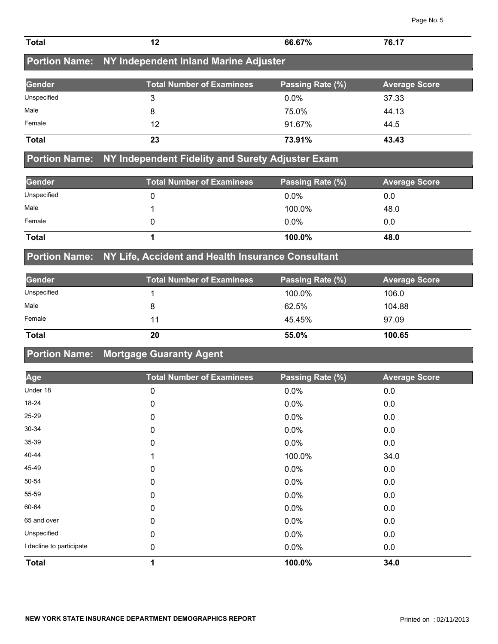| <b>Total</b>             | 12                                                | 66.67%           | 76.17                |
|--------------------------|---------------------------------------------------|------------------|----------------------|
| <b>Portion Name:</b>     | NY Independent Inland Marine Adjuster             |                  |                      |
| <b>Gender</b>            | <b>Total Number of Examinees</b>                  | Passing Rate (%) | <b>Average Score</b> |
| Unspecified              | 3                                                 | 0.0%             | 37.33                |
| Male                     | 8                                                 | 75.0%            | 44.13                |
| Female                   | 12                                                | 91.67%           | 44.5                 |
| <b>Total</b>             | 23                                                | 73.91%           | 43.43                |
| <b>Portion Name:</b>     | NY Independent Fidelity and Surety Adjuster Exam  |                  |                      |
| <b>Gender</b>            | <b>Total Number of Examinees</b>                  | Passing Rate (%) | <b>Average Score</b> |
| Unspecified              | 0                                                 | 0.0%             | 0.0                  |
| Male                     | 1                                                 | 100.0%           | 48.0                 |
| Female                   | 0                                                 | 0.0%             | 0.0                  |
| <b>Total</b>             | 1                                                 | 100.0%           | 48.0                 |
| <b>Portion Name:</b>     | NY Life, Accident and Health Insurance Consultant |                  |                      |
| <b>Gender</b>            | <b>Total Number of Examinees</b>                  | Passing Rate (%) | <b>Average Score</b> |
| Unspecified              | 1                                                 | 100.0%           | 106.0                |
| Male                     | 8                                                 | 62.5%            | 104.88               |
| Female                   | 11                                                | 45.45%           | 97.09                |
| <b>Total</b>             | 20                                                | 55.0%            | 100.65               |
| <b>Portion Name:</b>     | <b>Mortgage Guaranty Agent</b>                    |                  |                      |
| Age                      | <b>Total Number of Examinees</b>                  | Passing Rate (%) | <b>Average Score</b> |
| Under 18                 | 0                                                 | 0.0%             | 0.0                  |
| 18-24                    | 0                                                 | 0.0%             | $0.0\,$              |
| 25-29                    | 0                                                 | 0.0%             | $0.0\,$              |
| 30-34                    | 0                                                 | 0.0%             | $0.0\,$              |
| 35-39                    | 0                                                 | 0.0%             | $0.0\,$              |
| 40-44                    | 1                                                 | 100.0%           | 34.0                 |
| 45-49                    | 0                                                 | 0.0%             | $0.0\,$              |
| 50-54                    | 0                                                 | 0.0%             | $0.0\,$              |
| 55-59                    | 0                                                 | 0.0%             | $0.0\,$              |
| 60-64                    | 0                                                 | 0.0%             | $0.0\,$              |
| 65 and over              | 0                                                 | 0.0%             | $0.0\,$              |
| Unspecified              | $\pmb{0}$                                         | 0.0%             | $0.0\,$              |
| I decline to participate | 0                                                 | 0.0%             | 0.0                  |

**Total 1 100.0% 34.0**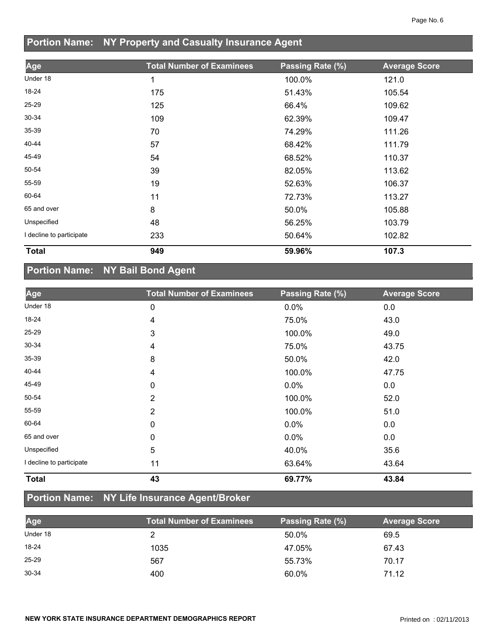# **Portion Name: NY Property and Casualty Insurance Agent**

| Age                      | <b>Total Number of Examinees</b> | Passing Rate (%) | <b>Average Score</b> |
|--------------------------|----------------------------------|------------------|----------------------|
| Under 18                 | 1                                | 100.0%           | 121.0                |
| 18-24                    | 175                              | 51.43%           | 105.54               |
| 25-29                    | 125                              | 66.4%            | 109.62               |
| 30-34                    | 109                              | 62.39%           | 109.47               |
| 35-39                    | 70                               | 74.29%           | 111.26               |
| 40-44                    | 57                               | 68.42%           | 111.79               |
| 45-49                    | 54                               | 68.52%           | 110.37               |
| 50-54                    | 39                               | 82.05%           | 113.62               |
| 55-59                    | 19                               | 52.63%           | 106.37               |
| 60-64                    | 11                               | 72.73%           | 113.27               |
| 65 and over              | 8                                | 50.0%            | 105.88               |
| Unspecified              | 48                               | 56.25%           | 103.79               |
| I decline to participate | 233                              | 50.64%           | 102.82               |
| <b>Total</b>             | 949                              | 59.96%           | 107.3                |

# **Portion Name: NY Bail Bond Agent**

| Age                      | <b>Total Number of Examinees</b> | Passing Rate (%) | <b>Average Score</b> |
|--------------------------|----------------------------------|------------------|----------------------|
| Under 18                 | 0                                | 0.0%             | 0.0                  |
| 18-24                    | 4                                | 75.0%            | 43.0                 |
| 25-29                    | 3                                | 100.0%           | 49.0                 |
| 30-34                    | 4                                | 75.0%            | 43.75                |
| 35-39                    | 8                                | 50.0%            | 42.0                 |
| 40-44                    | 4                                | 100.0%           | 47.75                |
| 45-49                    | 0                                | $0.0\%$          | 0.0                  |
| 50-54                    | $\overline{2}$                   | 100.0%           | 52.0                 |
| 55-59                    | $\overline{2}$                   | 100.0%           | 51.0                 |
| 60-64                    | $\mathbf 0$                      | $0.0\%$          | 0.0                  |
| 65 and over              | 0                                | $0.0\%$          | 0.0                  |
| Unspecified              | 5                                | 40.0%            | 35.6                 |
| I decline to participate | 11                               | 63.64%           | 43.64                |
| <b>Total</b>             | 43                               | 69.77%           | 43.84                |

## **Portion Name: NY Life Insurance Agent/Broker**

| Age       | Total Number of Examinees | Passing Rate (%) | <b>Average Score</b> |
|-----------|---------------------------|------------------|----------------------|
| Under 18  |                           | 50.0%            | 69.5                 |
| 18-24     | 1035                      | 47.05%           | 67.43                |
| $25 - 29$ | 567                       | 55.73%           | 70.17                |
| $30 - 34$ | 400                       | 60.0%            | 71.12                |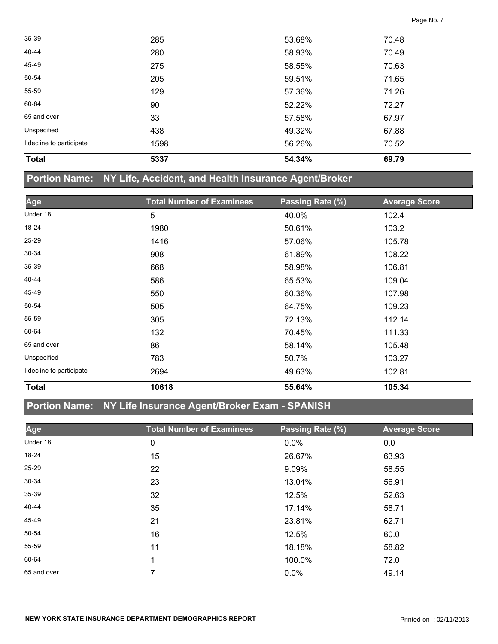| <b>Total</b>             | 5337 | 54.34% | 69.79 |  |
|--------------------------|------|--------|-------|--|
| I decline to participate | 1598 | 56.26% | 70.52 |  |
| Unspecified              | 438  | 49.32% | 67.88 |  |
| 65 and over              | 33   | 57.58% | 67.97 |  |
| 60-64                    | 90   | 52.22% | 72.27 |  |
| 55-59                    | 129  | 57.36% | 71.26 |  |
| 50-54                    | 205  | 59.51% | 71.65 |  |
| 45-49                    | 275  | 58.55% | 70.63 |  |
| 40-44                    | 280  | 58.93% | 70.49 |  |
| 35-39                    | 285  | 53.68% | 70.48 |  |
|                          |      |        |       |  |

### **Portion Name: NY Life, Accident, and Health Insurance Agent/Broker**

| Age                      | <b>Total Number of Examinees</b> | Passing Rate (%) | <b>Average Score</b> |
|--------------------------|----------------------------------|------------------|----------------------|
| Under 18                 | 5                                | 40.0%            | 102.4                |
| 18-24                    | 1980                             | 50.61%           | 103.2                |
| 25-29                    | 1416                             | 57.06%           | 105.78               |
| $30 - 34$                | 908                              | 61.89%           | 108.22               |
| $35 - 39$                | 668                              | 58.98%           | 106.81               |
| 40-44                    | 586                              | 65.53%           | 109.04               |
| 45-49                    | 550                              | 60.36%           | 107.98               |
| 50-54                    | 505                              | 64.75%           | 109.23               |
| 55-59                    | 305                              | 72.13%           | 112.14               |
| 60-64                    | 132                              | 70.45%           | 111.33               |
| 65 and over              | 86                               | 58.14%           | 105.48               |
| Unspecified              | 783                              | 50.7%            | 103.27               |
| I decline to participate | 2694                             | 49.63%           | 102.81               |
| <b>Total</b>             | 10618                            | 55.64%           | 105.34               |

## **Portion Name: NY Life Insurance Agent/Broker Exam - SPANISH**

| Age         | <b>Total Number of Examinees</b> | Passing Rate (%) | <b>Average Score</b> |
|-------------|----------------------------------|------------------|----------------------|
| Under 18    | 0                                | 0.0%             | 0.0                  |
| 18-24       | 15                               | 26.67%           | 63.93                |
| 25-29       | 22                               | 9.09%            | 58.55                |
| $30 - 34$   | 23                               | 13.04%           | 56.91                |
| $35 - 39$   | 32                               | 12.5%            | 52.63                |
| 40-44       | 35                               | 17.14%           | 58.71                |
| 45-49       | 21                               | 23.81%           | 62.71                |
| 50-54       | 16                               | 12.5%            | 60.0                 |
| 55-59       | 11                               | 18.18%           | 58.82                |
| 60-64       | 1                                | 100.0%           | 72.0                 |
| 65 and over | 7                                | 0.0%             | 49.14                |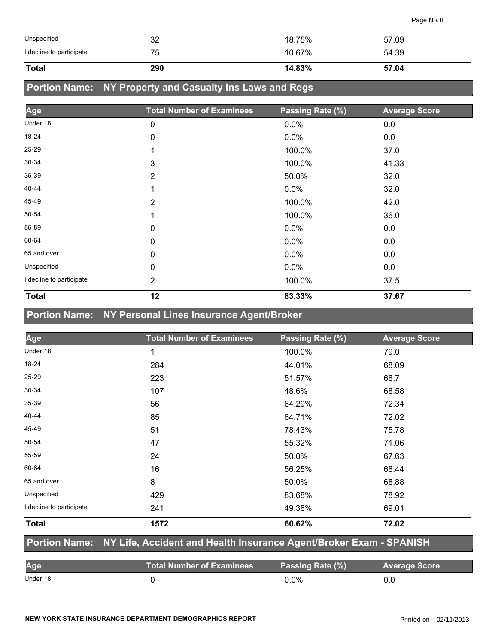| Unspecified              | 32  | 18.75% | 57.09 |
|--------------------------|-----|--------|-------|
| I decline to participate | 75  | 10.67% | 54.39 |
| <b>Total</b>             | 290 | 14.83% | 57.04 |

### **Portion Name: NY Property and Casualty Ins Laws and Regs**

| Age                      | <b>Total Number of Examinees</b> | Passing Rate (%) | <b>Average Score</b> |
|--------------------------|----------------------------------|------------------|----------------------|
| Under 18                 | 0                                | 0.0%             | 0.0                  |
| 18-24                    | 0                                | $0.0\%$          | 0.0                  |
| 25-29                    | 1                                | 100.0%           | 37.0                 |
| 30-34                    | 3                                | 100.0%           | 41.33                |
| 35-39                    | 2                                | 50.0%            | 32.0                 |
| 40-44                    | 1                                | $0.0\%$          | 32.0                 |
| 45-49                    | $\overline{2}$                   | 100.0%           | 42.0                 |
| 50-54                    | 1                                | 100.0%           | 36.0                 |
| 55-59                    | 0                                | 0.0%             | 0.0                  |
| 60-64                    | $\mathbf 0$                      | 0.0%             | 0.0                  |
| 65 and over              | $\mathbf 0$                      | 0.0%             | 0.0                  |
| Unspecified              | 0                                | 0.0%             | 0.0                  |
| I decline to participate | $\overline{2}$                   | 100.0%           | 37.5                 |
| <b>Total</b>             | 12                               | 83.33%           | 37.67                |

# **Portion Name: NY Personal Lines Insurance Agent/Broker**

| Age                      | <b>Total Number of Examinees</b> | Passing Rate (%) | <b>Average Score</b> |
|--------------------------|----------------------------------|------------------|----------------------|
| Under 18                 | 1                                | 100.0%           | 79.0                 |
| 18-24                    | 284                              | 44.01%           | 68.09                |
| 25-29                    | 223                              | 51.57%           | 68.7                 |
| 30-34                    | 107                              | 48.6%            | 68.58                |
| 35-39                    | 56                               | 64.29%           | 72.34                |
| 40-44                    | 85                               | 64.71%           | 72.02                |
| 45-49                    | 51                               | 78.43%           | 75.78                |
| 50-54                    | 47                               | 55.32%           | 71.06                |
| 55-59                    | 24                               | 50.0%            | 67.63                |
| 60-64                    | 16                               | 56.25%           | 68.44                |
| 65 and over              | 8                                | 50.0%            | 68.88                |
| Unspecified              | 429                              | 83.68%           | 78.92                |
| I decline to participate | 241                              | 49.38%           | 69.01                |
| <b>Total</b>             | 1572                             | 60.62%           | 72.02                |

#### **Portion Name: NY Life, Accident and Health Insurance Agent/Broker Exam - SPANISH**

| Age      | ا Total Number of Examinees | Passing Rate (%) | <b>Average Score</b> |
|----------|-----------------------------|------------------|----------------------|
| Under 18 |                             | ን.ዐ%             | 0.0                  |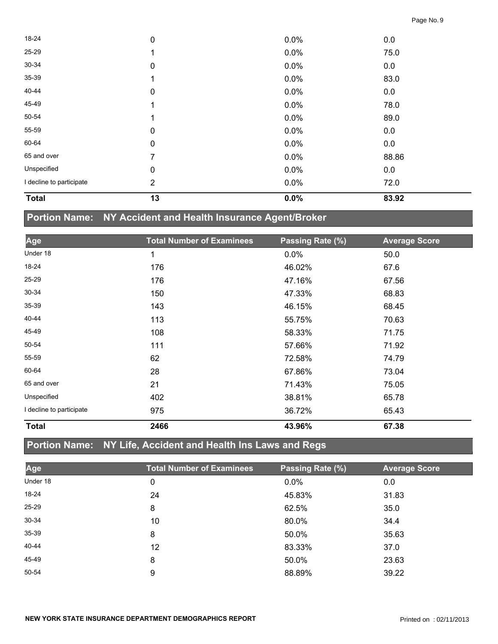| <b>Total</b>             | 13          | 0.0%    | 83.92 |  |
|--------------------------|-------------|---------|-------|--|
| I decline to participate | 2           | 0.0%    | 72.0  |  |
| Unspecified              | 0           | 0.0%    | 0.0   |  |
| 65 and over              | 7           | 0.0%    | 88.86 |  |
| 60-64                    | 0           | 0.0%    | 0.0   |  |
| 55-59                    | 0           | 0.0%    | 0.0   |  |
| 50-54                    |             | 0.0%    | 89.0  |  |
| 45-49                    |             | 0.0%    | 78.0  |  |
| 40-44                    | 0           | 0.0%    | 0.0   |  |
| 35-39                    |             | 0.0%    | 83.0  |  |
| 30-34                    | $\mathbf 0$ | 0.0%    | 0.0   |  |
| 25-29                    |             | $0.0\%$ | 75.0  |  |
| 18-24                    | $\mathbf 0$ | 0.0%    | 0.0   |  |

# **Portion Name: NY Accident and Health Insurance Agent/Broker**

| Age                      | <b>Total Number of Examinees</b> | Passing Rate (%) | <b>Average Score</b> |
|--------------------------|----------------------------------|------------------|----------------------|
| Under 18                 | 1                                | $0.0\%$          | 50.0                 |
| 18-24                    | 176                              | 46.02%           | 67.6                 |
| 25-29                    | 176                              | 47.16%           | 67.56                |
| 30-34                    | 150                              | 47.33%           | 68.83                |
| 35-39                    | 143                              | 46.15%           | 68.45                |
| 40-44                    | 113                              | 55.75%           | 70.63                |
| 45-49                    | 108                              | 58.33%           | 71.75                |
| 50-54                    | 111                              | 57.66%           | 71.92                |
| 55-59                    | 62                               | 72.58%           | 74.79                |
| 60-64                    | 28                               | 67.86%           | 73.04                |
| 65 and over              | 21                               | 71.43%           | 75.05                |
| Unspecified              | 402                              | 38.81%           | 65.78                |
| I decline to participate | 975                              | 36.72%           | 65.43                |
| <b>Total</b>             | 2466                             | 43.96%           | 67.38                |

# **Portion Name: NY Life, Accident and Health Ins Laws and Regs**

| Age       | <b>Total Number of Examinees</b> | Passing Rate (%) | <b>Average Score</b> |
|-----------|----------------------------------|------------------|----------------------|
| Under 18  | 0                                | 0.0%             | 0.0                  |
| 18-24     | 24                               | 45.83%           | 31.83                |
| $25 - 29$ | 8                                | 62.5%            | 35.0                 |
| 30-34     | 10                               | 80.0%            | 34.4                 |
| 35-39     | 8                                | 50.0%            | 35.63                |
| 40-44     | 12                               | 83.33%           | 37.0                 |
| 45-49     | 8                                | 50.0%            | 23.63                |
| 50-54     | 9                                | 88.89%           | 39.22                |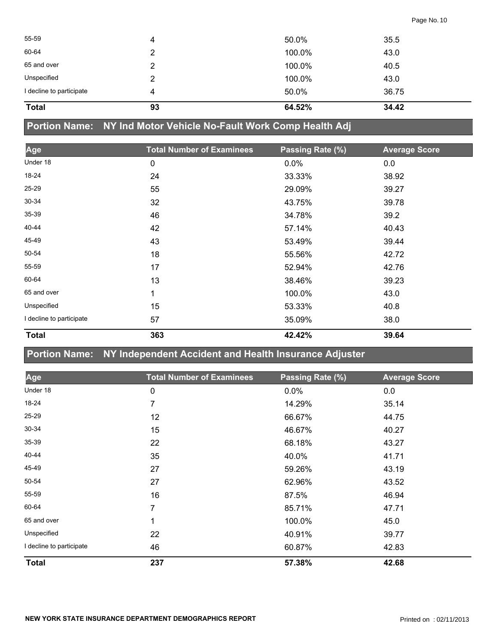| <b>Total</b>             | 93 | 64.52% | 34.42 |  |
|--------------------------|----|--------|-------|--|
| I decline to participate | 4  | 50.0%  | 36.75 |  |
| Unspecified              | 2  | 100.0% | 43.0  |  |
| 65 and over              | っ  | 100.0% | 40.5  |  |
| 60-64                    | 2  | 100.0% | 43.0  |  |
| 55-59                    | 4  | 50.0%  | 35.5  |  |
|                          |    |        |       |  |

**Portion Name: NY Ind Motor Vehicle No-Fault Work Comp Health Adj**

| Age                      | <b>Total Number of Examinees</b> | Passing Rate (%) | <b>Average Score</b> |
|--------------------------|----------------------------------|------------------|----------------------|
| Under 18                 | 0                                | 0.0%             | 0.0                  |
| 18-24                    | 24                               | 33.33%           | 38.92                |
| 25-29                    | 55                               | 29.09%           | 39.27                |
| $30 - 34$                | 32                               | 43.75%           | 39.78                |
| $35 - 39$                | 46                               | 34.78%           | 39.2                 |
| 40-44                    | 42                               | 57.14%           | 40.43                |
| 45-49                    | 43                               | 53.49%           | 39.44                |
| 50-54                    | 18                               | 55.56%           | 42.72                |
| 55-59                    | 17                               | 52.94%           | 42.76                |
| 60-64                    | 13                               | 38.46%           | 39.23                |
| 65 and over              | 1                                | 100.0%           | 43.0                 |
| Unspecified              | 15                               | 53.33%           | 40.8                 |
| I decline to participate | 57                               | 35.09%           | 38.0                 |
| <b>Total</b>             | 363                              | 42.42%           | 39.64                |

**Portion Name: NY Independent Accident and Health Insurance Adjuster**

| Age                      | <b>Total Number of Examinees</b> | Passing Rate (%) | <b>Average Score</b> |
|--------------------------|----------------------------------|------------------|----------------------|
| Under 18                 | $\pmb{0}$                        | 0.0%             | 0.0                  |
| 18-24                    | 7                                | 14.29%           | 35.14                |
| 25-29                    | 12                               | 66.67%           | 44.75                |
| 30-34                    | 15                               | 46.67%           | 40.27                |
| 35-39                    | 22                               | 68.18%           | 43.27                |
| 40-44                    | 35                               | 40.0%            | 41.71                |
| 45-49                    | 27                               | 59.26%           | 43.19                |
| 50-54                    | 27                               | 62.96%           | 43.52                |
| 55-59                    | 16                               | 87.5%            | 46.94                |
| 60-64                    | 7                                | 85.71%           | 47.71                |
| 65 and over              | 1                                | 100.0%           | 45.0                 |
| Unspecified              | 22                               | 40.91%           | 39.77                |
| I decline to participate | 46                               | 60.87%           | 42.83                |
| <b>Total</b>             | 237                              | 57.38%           | 42.68                |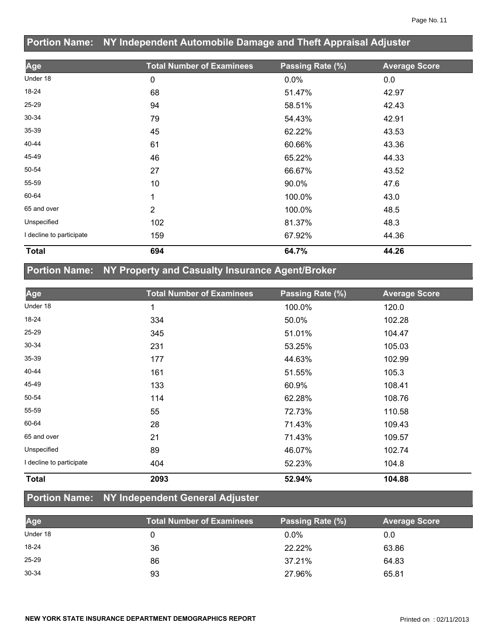|                          | Portion Name: NY Independent Automobile Damage and Theft Appraisal Adjuster |                  |                      |  |  |
|--------------------------|-----------------------------------------------------------------------------|------------------|----------------------|--|--|
| Age                      | <b>Total Number of Examinees</b>                                            | Passing Rate (%) | <b>Average Score</b> |  |  |
| Under 18                 | 0                                                                           | $0.0\%$          | 0.0                  |  |  |
| 18-24                    | 68                                                                          | 51.47%           | 42.97                |  |  |
| 25-29                    | 94                                                                          | 58.51%           | 42.43                |  |  |
| $30 - 34$                | 79                                                                          | 54.43%           | 42.91                |  |  |
| $35 - 39$                | 45                                                                          | 62.22%           | 43.53                |  |  |
| 40-44                    | 61                                                                          | 60.66%           | 43.36                |  |  |
| 45-49                    | 46                                                                          | 65.22%           | 44.33                |  |  |
| 50-54                    | 27                                                                          | 66.67%           | 43.52                |  |  |
| 55-59                    | 10                                                                          | 90.0%            | 47.6                 |  |  |
| 60-64                    | 1                                                                           | 100.0%           | 43.0                 |  |  |
| 65 and over              | 2                                                                           | 100.0%           | 48.5                 |  |  |
| Unspecified              | 102                                                                         | 81.37%           | 48.3                 |  |  |
| I decline to participate | 159                                                                         | 67.92%           | 44.36                |  |  |
| <b>Total</b>             | 694                                                                         | 64.7%            | 44.26                |  |  |

### **Portion Name: NY Property and Casualty Insurance Agent/Broker**

| Age                      | <b>Total Number of Examinees</b> | Passing Rate (%) | <b>Average Score</b> |
|--------------------------|----------------------------------|------------------|----------------------|
| Under 18                 | 1                                | 100.0%           | 120.0                |
| 18-24                    | 334                              | 50.0%            | 102.28               |
| 25-29                    | 345                              | 51.01%           | 104.47               |
| 30-34                    | 231                              | 53.25%           | 105.03               |
| 35-39                    | 177                              | 44.63%           | 102.99               |
| 40-44                    | 161                              | 51.55%           | 105.3                |
| 45-49                    | 133                              | 60.9%            | 108.41               |
| 50-54                    | 114                              | 62.28%           | 108.76               |
| 55-59                    | 55                               | 72.73%           | 110.58               |
| 60-64                    | 28                               | 71.43%           | 109.43               |
| 65 and over              | 21                               | 71.43%           | 109.57               |
| Unspecified              | 89                               | 46.07%           | 102.74               |
| I decline to participate | 404                              | 52.23%           | 104.8                |
| <b>Total</b>             | 2093                             | 52.94%           | 104.88               |

# **Portion Name: NY Independent General Adjuster**

| Age       | <b>Total Number of Examinees</b> | Passing Rate (%) | <b>Average Score</b> |
|-----------|----------------------------------|------------------|----------------------|
| Under 18  |                                  | $0.0\%$          | 0.0                  |
| 18-24     | 36                               | 22.22%           | 63.86                |
| $25 - 29$ | 86                               | 37.21%           | 64.83                |
| 30-34     | 93                               | 27.96%           | 65.81                |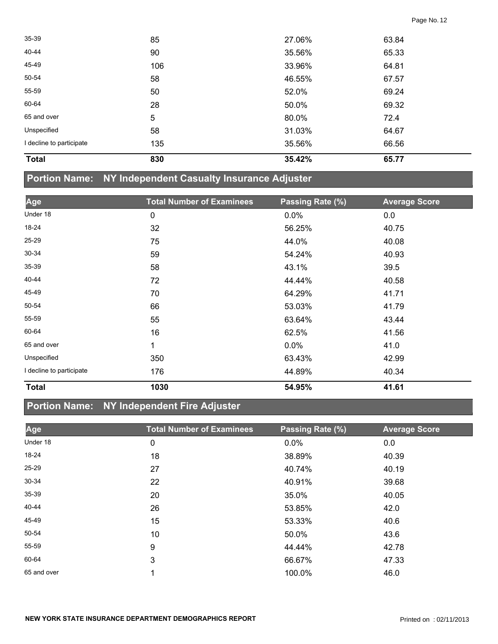| <b>Total</b>             | 830 | 35.42% | 65.77 |  |
|--------------------------|-----|--------|-------|--|
| I decline to participate | 135 | 35.56% | 66.56 |  |
| Unspecified              | 58  | 31.03% | 64.67 |  |
| 65 and over              | 5   | 80.0%  | 72.4  |  |
| 60-64                    | 28  | 50.0%  | 69.32 |  |
| 55-59                    | 50  | 52.0%  | 69.24 |  |
| 50-54                    | 58  | 46.55% | 67.57 |  |
| 45-49                    | 106 | 33.96% | 64.81 |  |
| 40-44                    | 90  | 35.56% | 65.33 |  |
| 35-39                    | 85  | 27.06% | 63.84 |  |

#### **Portion Name: NY Independent Casualty Insurance Adjuster**

| Age                      | <b>Total Number of Examinees</b> | Passing Rate (%) | <b>Average Score</b> |
|--------------------------|----------------------------------|------------------|----------------------|
| Under 18                 | 0                                | 0.0%             | 0.0                  |
| 18-24                    | 32                               | 56.25%           | 40.75                |
| 25-29                    | 75                               | 44.0%            | 40.08                |
| 30-34                    | 59                               | 54.24%           | 40.93                |
| 35-39                    | 58                               | 43.1%            | 39.5                 |
| 40-44                    | 72                               | 44.44%           | 40.58                |
| 45-49                    | 70                               | 64.29%           | 41.71                |
| 50-54                    | 66                               | 53.03%           | 41.79                |
| 55-59                    | 55                               | 63.64%           | 43.44                |
| 60-64                    | 16                               | 62.5%            | 41.56                |
| 65 and over              | 1                                | $0.0\%$          | 41.0                 |
| Unspecified              | 350                              | 63.43%           | 42.99                |
| I decline to participate | 176                              | 44.89%           | 40.34                |
| <b>Total</b>             | 1030                             | 54.95%           | 41.61                |

### **Portion Name: NY Independent Fire Adjuster**

| Age         | <b>Total Number of Examinees</b> | Passing Rate (%) | <b>Average Score</b> |
|-------------|----------------------------------|------------------|----------------------|
| Under 18    | 0                                | $0.0\%$          | 0.0                  |
| 18-24       | 18                               | 38.89%           | 40.39                |
| 25-29       | 27                               | 40.74%           | 40.19                |
| $30 - 34$   | 22                               | 40.91%           | 39.68                |
| $35 - 39$   | 20                               | 35.0%            | 40.05                |
| 40-44       | 26                               | 53.85%           | 42.0                 |
| 45-49       | 15                               | 53.33%           | 40.6                 |
| 50-54       | 10                               | 50.0%            | 43.6                 |
| 55-59       | 9                                | 44.44%           | 42.78                |
| 60-64       | 3                                | 66.67%           | 47.33                |
| 65 and over |                                  | 100.0%           | 46.0                 |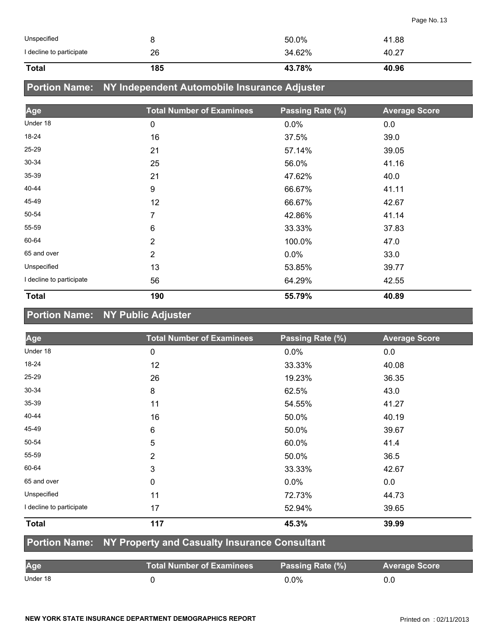| Unspecified              |     | 50.0%  | 41.88 |
|--------------------------|-----|--------|-------|
| I decline to participate | 26  | 34.62% | 40.27 |
| <b>Total</b>             | 185 | 43.78% | 40.96 |

### **Portion Name: NY Independent Automobile Insurance Adjuster**

| Age                      | <b>Total Number of Examinees</b> | Passing Rate (%) | <b>Average Score</b> |
|--------------------------|----------------------------------|------------------|----------------------|
| Under 18                 | 0                                | 0.0%             | 0.0                  |
| 18-24                    | 16                               | 37.5%            | 39.0                 |
| 25-29                    | 21                               | 57.14%           | 39.05                |
| $30 - 34$                | 25                               | 56.0%            | 41.16                |
| 35-39                    | 21                               | 47.62%           | 40.0                 |
| 40-44                    | 9                                | 66.67%           | 41.11                |
| 45-49                    | 12                               | 66.67%           | 42.67                |
| 50-54                    | 7                                | 42.86%           | 41.14                |
| 55-59                    | $6\phantom{1}$                   | 33.33%           | 37.83                |
| 60-64                    | $\overline{2}$                   | 100.0%           | 47.0                 |
| 65 and over              | $\overline{2}$                   | 0.0%             | 33.0                 |
| Unspecified              | 13                               | 53.85%           | 39.77                |
| I decline to participate | 56                               | 64.29%           | 42.55                |
| <b>Total</b>             | 190                              | 55.79%           | 40.89                |

### **Portion Name: NY Public Adjuster**

| Age                      | <b>Total Number of Examinees</b> | Passing Rate (%) | <b>Average Score</b> |
|--------------------------|----------------------------------|------------------|----------------------|
| Under 18                 | 0                                | 0.0%             | 0.0                  |
| 18-24                    | 12                               | 33.33%           | 40.08                |
| 25-29                    | 26                               | 19.23%           | 36.35                |
| 30-34                    | 8                                | 62.5%            | 43.0                 |
| 35-39                    | 11                               | 54.55%           | 41.27                |
| 40-44                    | 16                               | 50.0%            | 40.19                |
| 45-49                    | 6                                | 50.0%            | 39.67                |
| 50-54                    | 5                                | 60.0%            | 41.4                 |
| 55-59                    | $\overline{2}$                   | 50.0%            | 36.5                 |
| 60-64                    | 3                                | 33.33%           | 42.67                |
| 65 and over              | $\mathbf 0$                      | $0.0\%$          | 0.0                  |
| Unspecified              | 11                               | 72.73%           | 44.73                |
| I decline to participate | 17                               | 52.94%           | 39.65                |
| <b>Total</b>             | 117                              | 45.3%            | 39.99                |

#### **Portion Name: NY Property and Casualty Insurance Consultant**

| Age      | <b>Total Number of Examinees</b> | Passing Rate (%) | <b>Average Score</b> |
|----------|----------------------------------|------------------|----------------------|
| Under 18 |                                  | 0.0%             |                      |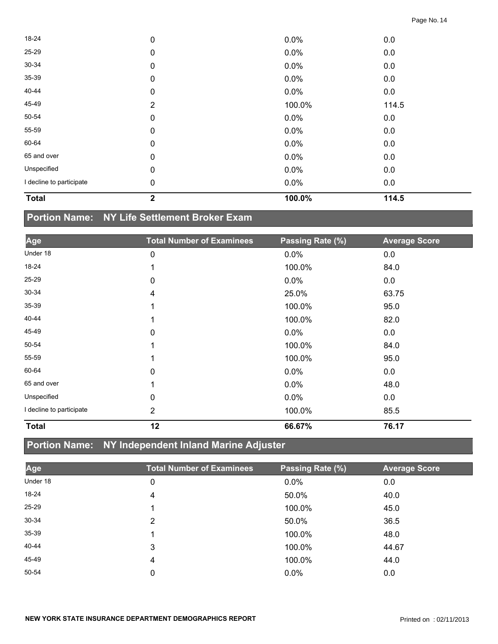| <b>Total</b>             | $\mathbf{2}$   | 100.0%  | 114.5 |  |
|--------------------------|----------------|---------|-------|--|
| I decline to participate | 0              | 0.0%    | 0.0   |  |
| Unspecified              | $\mathbf 0$    | 0.0%    | 0.0   |  |
| 65 and over              | $\mathbf 0$    | 0.0%    | 0.0   |  |
| 60-64                    | $\mathbf 0$    | 0.0%    | 0.0   |  |
| 55-59                    | 0              | 0.0%    | 0.0   |  |
| 50-54                    | $\mathbf 0$    | $0.0\%$ | 0.0   |  |
| 45-49                    | $\overline{2}$ | 100.0%  | 114.5 |  |
| 40-44                    | $\mathbf 0$    | 0.0%    | 0.0   |  |
| 35-39                    | $\mathbf 0$    | 0.0%    | 0.0   |  |
| 30-34                    | $\mathbf 0$    | $0.0\%$ | 0.0   |  |
| 25-29                    | $\mathbf 0$    | 0.0%    | 0.0   |  |
| 18-24                    | $\mathbf 0$    | 0.0%    | 0.0   |  |

## **Portion Name: NY Life Settlement Broker Exam**

| Age                      | <b>Total Number of Examinees</b> | Passing Rate (%) | <b>Average Score</b> |
|--------------------------|----------------------------------|------------------|----------------------|
| Under 18                 | 0                                | 0.0%             | 0.0                  |
| 18-24                    | 1                                | 100.0%           | 84.0                 |
| 25-29                    | 0                                | 0.0%             | 0.0                  |
| 30-34                    | 4                                | 25.0%            | 63.75                |
| 35-39                    | 1                                | 100.0%           | 95.0                 |
| 40-44                    | 1                                | 100.0%           | 82.0                 |
| 45-49                    | 0                                | 0.0%             | 0.0                  |
| 50-54                    | 1                                | 100.0%           | 84.0                 |
| 55-59                    | 1                                | 100.0%           | 95.0                 |
| 60-64                    | 0                                | 0.0%             | 0.0                  |
| 65 and over              | 1                                | 0.0%             | 48.0                 |
| Unspecified              | 0                                | 0.0%             | 0.0                  |
| I decline to participate | $\overline{2}$                   | 100.0%           | 85.5                 |
| <b>Total</b>             | 12                               | 66.67%           | 76.17                |

### **Portion Name: NY Independent Inland Marine Adjuster**

| Age       | <b>Total Number of Examinees</b> | Passing Rate (%) | <b>Average Score</b> |
|-----------|----------------------------------|------------------|----------------------|
| Under 18  | 0                                | $0.0\%$          | 0.0                  |
| $18 - 24$ | 4                                | 50.0%            | 40.0                 |
| $25 - 29$ |                                  | 100.0%           | 45.0                 |
| 30-34     | 2                                | 50.0%            | 36.5                 |
| 35-39     |                                  | 100.0%           | 48.0                 |
| 40-44     | 3                                | 100.0%           | 44.67                |
| 45-49     | 4                                | 100.0%           | 44.0                 |
| 50-54     | 0                                | 0.0%             | 0.0                  |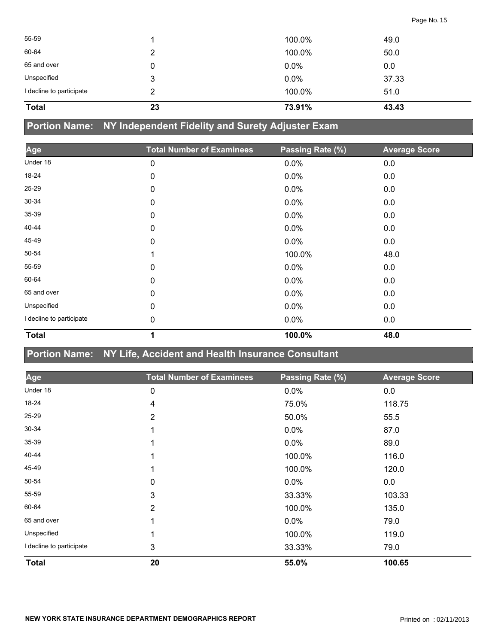| <b>Total</b>             | 23 | 73.91% | 43.43 |  |
|--------------------------|----|--------|-------|--|
| I decline to participate | 2  | 100.0% | 51.0  |  |
| Unspecified              | 3  | 0.0%   | 37.33 |  |
| 65 and over              | 0  | 0.0%   | 0.0   |  |
| 60-64                    | 2  | 100.0% | 50.0  |  |
| 55-59                    |    | 100.0% | 49.0  |  |
|                          |    |        |       |  |

# **Portion Name: NY Independent Fidelity and Surety Adjuster Exam**

| Age                      | <b>Total Number of Examinees</b> | Passing Rate (%) | <b>Average Score</b> |
|--------------------------|----------------------------------|------------------|----------------------|
| Under 18                 | 0                                | 0.0%             | 0.0                  |
| 18-24                    | 0                                | $0.0\%$          | 0.0                  |
| 25-29                    | 0                                | 0.0%             | 0.0                  |
| 30-34                    | 0                                | $0.0\%$          | 0.0                  |
| 35-39                    | 0                                | 0.0%             | 0.0                  |
| 40-44                    | 0                                | 0.0%             | 0.0                  |
| 45-49                    | 0                                | 0.0%             | 0.0                  |
| 50-54                    | 1                                | 100.0%           | 48.0                 |
| 55-59                    | 0                                | $0.0\%$          | 0.0                  |
| 60-64                    | 0                                | 0.0%             | 0.0                  |
| 65 and over              | $\mathbf{0}$                     | $0.0\%$          | 0.0                  |
| Unspecified              | 0                                | 0.0%             | 0.0                  |
| I decline to participate | 0                                | $0.0\%$          | 0.0                  |
| <b>Total</b>             | 1                                | 100.0%           | 48.0                 |

#### **Portion Name: NY Life, Accident and Health Insurance Consultant**

| Age                      | <b>Total Number of Examinees</b> | Passing Rate (%) | <b>Average Score</b> |
|--------------------------|----------------------------------|------------------|----------------------|
| Under 18                 | 0                                | 0.0%             | 0.0                  |
| 18-24                    | 4                                | 75.0%            | 118.75               |
| 25-29                    | $\overline{2}$                   | 50.0%            | 55.5                 |
| 30-34                    |                                  | 0.0%             | 87.0                 |
| $35 - 39$                |                                  | 0.0%             | 89.0                 |
| 40-44                    |                                  | 100.0%           | 116.0                |
| 45-49                    |                                  | 100.0%           | 120.0                |
| 50-54                    | 0                                | 0.0%             | 0.0                  |
| 55-59                    | 3                                | 33.33%           | 103.33               |
| 60-64                    | $\overline{2}$                   | 100.0%           | 135.0                |
| 65 and over              |                                  | 0.0%             | 79.0                 |
| Unspecified              |                                  | 100.0%           | 119.0                |
| I decline to participate | 3                                | 33.33%           | 79.0                 |
| <b>Total</b>             | 20                               | 55.0%            | 100.65               |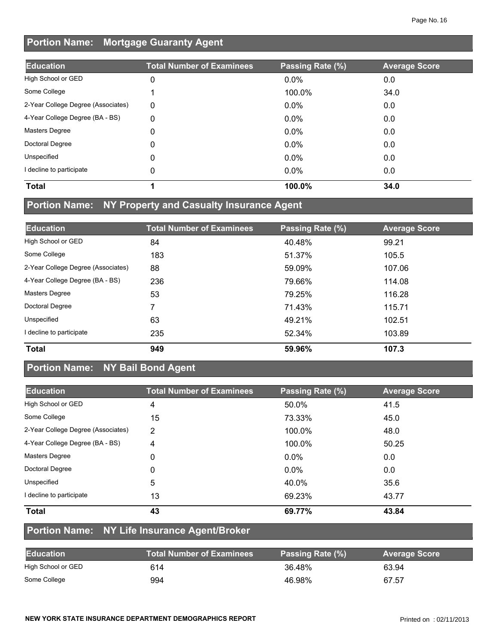# **Portion Name: Mortgage Guaranty Agent**

| <b>Education</b>                   | <b>Total Number of Examinees</b> | Passing Rate (%) | <b>Average Score</b> |
|------------------------------------|----------------------------------|------------------|----------------------|
| High School or GED                 | 0                                | $0.0\%$          | 0.0                  |
| Some College                       |                                  | 100.0%           | 34.0                 |
| 2-Year College Degree (Associates) | 0                                | $0.0\%$          | 0.0                  |
| 4-Year College Degree (BA - BS)    | 0                                | $0.0\%$          | 0.0                  |
| Masters Degree                     | 0                                | $0.0\%$          | 0.0                  |
| Doctoral Degree                    | 0                                | $0.0\%$          | 0.0                  |
| Unspecified                        | 0                                | $0.0\%$          | 0.0                  |
| I decline to participate           | 0                                | 0.0%             | 0.0                  |
| <b>Total</b>                       |                                  | 100.0%           | 34.0                 |

### **Portion Name: NY Property and Casualty Insurance Agent**

| <b>Education</b>                   | <b>Total Number of Examinees</b> | Passing Rate (%) | <b>Average Score</b> |
|------------------------------------|----------------------------------|------------------|----------------------|
| High School or GED                 | 84                               | 40.48%           | 99.21                |
| Some College                       | 183                              | 51.37%           | 105.5                |
| 2-Year College Degree (Associates) | 88                               | 59.09%           | 107.06               |
| 4-Year College Degree (BA - BS)    | 236                              | 79.66%           | 114.08               |
| <b>Masters Degree</b>              | 53                               | 79.25%           | 116.28               |
| Doctoral Degree                    | 7                                | 71.43%           | 115.71               |
| Unspecified                        | 63                               | 49.21%           | 102.51               |
| I decline to participate           | 235                              | 52.34%           | 103.89               |
| <b>Total</b>                       | 949                              | 59.96%           | 107.3                |

# **Portion Name: NY Bail Bond Agent**

| <b>Education</b>                   | <b>Total Number of Examinees</b> | Passing Rate (%) | <b>Average Score</b> |
|------------------------------------|----------------------------------|------------------|----------------------|
| High School or GED                 | 4                                | 50.0%            | 41.5                 |
| Some College                       | 15                               | 73.33%           | 45.0                 |
| 2-Year College Degree (Associates) | 2                                | 100.0%           | 48.0                 |
| 4-Year College Degree (BA - BS)    | 4                                | 100.0%           | 50.25                |
| <b>Masters Degree</b>              | 0                                | $0.0\%$          | 0.0                  |
| Doctoral Degree                    | 0                                | $0.0\%$          | 0.0                  |
| Unspecified                        | 5                                | 40.0%            | 35.6                 |
| decline to participate             | 13                               | 69.23%           | 43.77                |
| <b>Total</b>                       | 43                               | 69.77%           | 43.84                |

### **Portion Name: NY Life Insurance Agent/Broker**

| <b>Education</b>   | <b>Total Number of Examinees</b> | Passing Rate (%) | <b>Average Score</b> |
|--------------------|----------------------------------|------------------|----------------------|
| High School or GED | 614                              | 36.48%           | 63.94                |
| Some College       | 994                              | 46.98%           | 67.57                |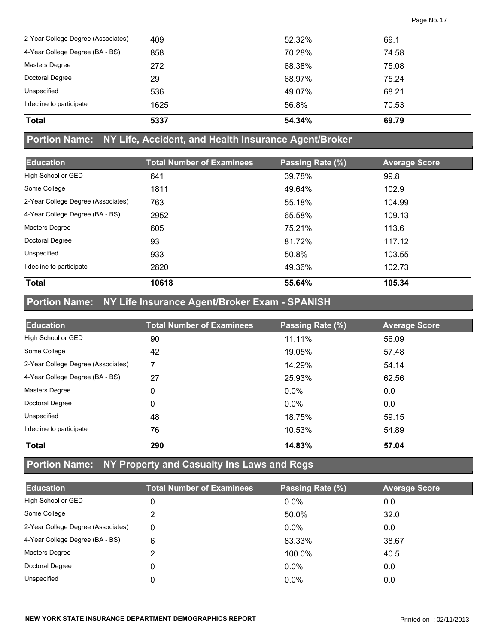| <b>Total</b>                       | 5337 | 54.34% | 69.79 |
|------------------------------------|------|--------|-------|
| I decline to participate           | 1625 | 56.8%  | 70.53 |
| Unspecified                        | 536  | 49.07% | 68.21 |
| Doctoral Degree                    | 29   | 68.97% | 75.24 |
| Masters Degree                     | 272  | 68.38% | 75.08 |
| 4-Year College Degree (BA - BS)    | 858  | 70.28% | 74.58 |
| 2-Year College Degree (Associates) | 409  | 52.32% | 69.1  |

#### **Portion Name: NY Life, Accident, and Health Insurance Agent/Broker**

| <b>Education</b>                   | <b>Total Number of Examinees</b> | Passing Rate (%) | <b>Average Score</b> |
|------------------------------------|----------------------------------|------------------|----------------------|
| High School or GED                 | 641                              | 39.78%           | 99.8                 |
| Some College                       | 1811                             | 49.64%           | 102.9                |
| 2-Year College Degree (Associates) | 763                              | 55.18%           | 104.99               |
| 4-Year College Degree (BA - BS)    | 2952                             | 65.58%           | 109.13               |
| <b>Masters Degree</b>              | 605                              | 75.21%           | 113.6                |
| Doctoral Degree                    | 93                               | 81.72%           | 117.12               |
| Unspecified                        | 933                              | 50.8%            | 103.55               |
| I decline to participate           | 2820                             | 49.36%           | 102.73               |
| <b>Total</b>                       | 10618                            | 55.64%           | 105.34               |

# **Portion Name: NY Life Insurance Agent/Broker Exam - SPANISH**

| <b>Education</b>                   | <b>Total Number of Examinees</b> | Passing Rate (%) | <b>Average Score</b> |
|------------------------------------|----------------------------------|------------------|----------------------|
| High School or GED                 | 90                               | 11.11%           | 56.09                |
| Some College                       | 42                               | 19.05%           | 57.48                |
| 2-Year College Degree (Associates) | 7                                | 14.29%           | 54.14                |
| 4-Year College Degree (BA - BS)    | 27                               | 25.93%           | 62.56                |
| <b>Masters Degree</b>              | 0                                | $0.0\%$          | 0.0                  |
| Doctoral Degree                    | 0                                | $0.0\%$          | 0.0                  |
| Unspecified                        | 48                               | 18.75%           | 59.15                |
| I decline to participate           | 76                               | 10.53%           | 54.89                |
| <b>Total</b>                       | 290                              | 14.83%           | 57.04                |

### **Portion Name: NY Property and Casualty Ins Laws and Regs**

| <b>Education</b>                   | <b>Total Number of Examinees</b> | Passing Rate (%) | <b>Average Score</b> |
|------------------------------------|----------------------------------|------------------|----------------------|
| High School or GED                 | 0                                | $0.0\%$          | 0.0                  |
| Some College                       |                                  | 50.0%            | 32.0                 |
| 2-Year College Degree (Associates) | 0                                | $0.0\%$          | 0.0                  |
| 4-Year College Degree (BA - BS)    | 6                                | 83.33%           | 38.67                |
| Masters Degree                     | 2                                | 100.0%           | 40.5                 |
| Doctoral Degree                    | 0                                | $0.0\%$          | 0.0                  |
| Unspecified                        | 0                                | $0.0\%$          | 0.0                  |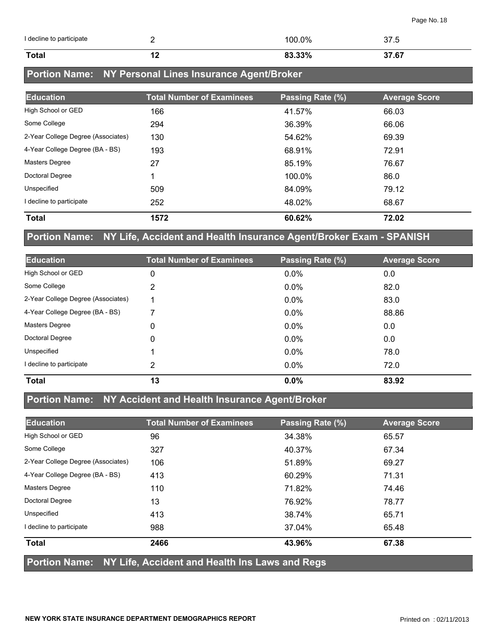| I decline to participate |     | 100.0% | 37.5  |
|--------------------------|-----|--------|-------|
| <b>Total</b>             | . . | 83.33% | 37.67 |

# **Portion Name: NY Personal Lines Insurance Agent/Broker**

| <b>Education</b>                   | <b>Total Number of Examinees</b> | Passing Rate (%) | <b>Average Score</b> |
|------------------------------------|----------------------------------|------------------|----------------------|
| High School or GED                 | 166                              | 41.57%           | 66.03                |
| Some College                       | 294                              | 36.39%           | 66.06                |
| 2-Year College Degree (Associates) | 130                              | 54.62%           | 69.39                |
| 4-Year College Degree (BA - BS)    | 193                              | 68.91%           | 72.91                |
| <b>Masters Degree</b>              | 27                               | 85.19%           | 76.67                |
| Doctoral Degree                    |                                  | 100.0%           | 86.0                 |
| Unspecified                        | 509                              | 84.09%           | 79.12                |
| I decline to participate           | 252                              | 48.02%           | 68.67                |
| <b>Total</b>                       | 1572                             | 60.62%           | 72.02                |

### **Portion Name: NY Life, Accident and Health Insurance Agent/Broker Exam - SPANISH**

| <b>Education</b>                   | <b>Total Number of Examinees</b> | Passing Rate (%) | <b>Average Score</b> |
|------------------------------------|----------------------------------|------------------|----------------------|
| High School or GED                 | 0                                | $0.0\%$          | 0.0                  |
| Some College                       | 2                                | $0.0\%$          | 82.0                 |
| 2-Year College Degree (Associates) | ◀                                | $0.0\%$          | 83.0                 |
| 4-Year College Degree (BA - BS)    | 7                                | 0.0%             | 88.86                |
| <b>Masters Degree</b>              | 0                                | $0.0\%$          | 0.0                  |
| Doctoral Degree                    | 0                                | $0.0\%$          | 0.0                  |
| Unspecified                        |                                  | $0.0\%$          | 78.0                 |
| I decline to participate           | 2                                | $0.0\%$          | 72.0                 |
| <b>Total</b>                       | 13                               | 0.0%             | 83.92                |

### **Portion Name: NY Accident and Health Insurance Agent/Broker**

| <b>Education</b>                   | <b>Total Number of Examinees</b> | Passing Rate (%) | <b>Average Score</b> |
|------------------------------------|----------------------------------|------------------|----------------------|
| High School or GED                 | 96                               | 34.38%           | 65.57                |
| Some College                       | 327                              | 40.37%           | 67.34                |
| 2-Year College Degree (Associates) | 106                              | 51.89%           | 69.27                |
| 4-Year College Degree (BA - BS)    | 413                              | 60.29%           | 71.31                |
| Masters Degree                     | 110                              | 71.82%           | 74.46                |
| Doctoral Degree                    | 13                               | 76.92%           | 78.77                |
| Unspecified                        | 413                              | 38.74%           | 65.71                |
| I decline to participate           | 988                              | 37.04%           | 65.48                |
| <b>Total</b>                       | 2466                             | 43.96%           | 67.38                |

#### **Portion Name: NY Life, Accident and Health Ins Laws and Regs**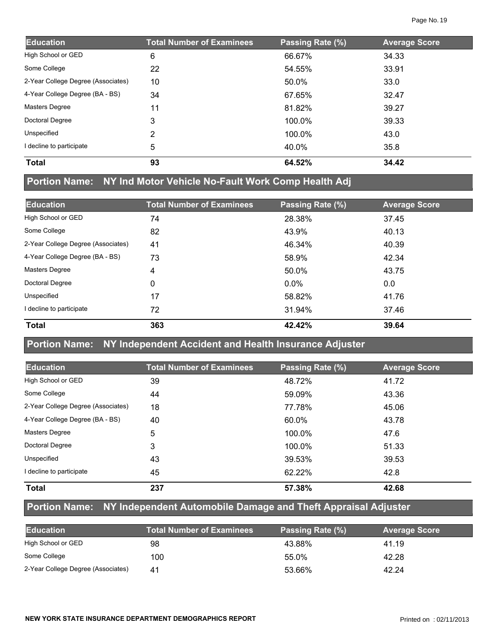| <b>Education</b>                   | <b>Total Number of Examinees</b> | Passing Rate (%) | <b>Average Score</b> |
|------------------------------------|----------------------------------|------------------|----------------------|
| High School or GED                 | 6                                | 66.67%           | 34.33                |
| Some College                       | 22                               | 54.55%           | 33.91                |
| 2-Year College Degree (Associates) | 10                               | 50.0%            | 33.0                 |
| 4-Year College Degree (BA - BS)    | 34                               | 67.65%           | 32.47                |
| <b>Masters Degree</b>              | 11                               | 81.82%           | 39.27                |
| Doctoral Degree                    | 3                                | 100.0%           | 39.33                |
| Unspecified                        | 2                                | 100.0%           | 43.0                 |
| I decline to participate           | 5                                | 40.0%            | 35.8                 |
| <b>Total</b>                       | 93                               | 64.52%           | 34.42                |

# **Portion Name: NY Ind Motor Vehicle No-Fault Work Comp Health Adj**

| <b>Education</b>                   | <b>Total Number of Examinees</b> | Passing Rate (%) | <b>Average Score</b> |
|------------------------------------|----------------------------------|------------------|----------------------|
| High School or GED                 | 74                               | 28.38%           | 37.45                |
| Some College                       | 82                               | 43.9%            | 40.13                |
| 2-Year College Degree (Associates) | 41                               | 46.34%           | 40.39                |
| 4-Year College Degree (BA - BS)    | 73                               | 58.9%            | 42.34                |
| <b>Masters Degree</b>              | 4                                | 50.0%            | 43.75                |
| Doctoral Degree                    | 0                                | $0.0\%$          | 0.0                  |
| Unspecified                        | 17                               | 58.82%           | 41.76                |
| I decline to participate           | 72                               | 31.94%           | 37.46                |
| <b>Total</b>                       | 363                              | 42.42%           | 39.64                |

#### **Portion Name: NY Independent Accident and Health Insurance Adjuster**

| <b>Education</b>                   | <b>Total Number of Examinees</b> | Passing Rate (%) | <b>Average Score</b> |
|------------------------------------|----------------------------------|------------------|----------------------|
| High School or GED                 | 39                               | 48.72%           | 41.72                |
| Some College                       | 44                               | 59.09%           | 43.36                |
| 2-Year College Degree (Associates) | 18                               | 77.78%           | 45.06                |
| 4-Year College Degree (BA - BS)    | 40                               | 60.0%            | 43.78                |
| <b>Masters Degree</b>              | 5                                | 100.0%           | 47.6                 |
| Doctoral Degree                    | 3                                | 100.0%           | 51.33                |
| Unspecified                        | 43                               | 39.53%           | 39.53                |
| decline to participate             | 45                               | 62.22%           | 42.8                 |
| <b>Total</b>                       | 237                              | 57.38%           | 42.68                |

### **Portion Name: NY Independent Automobile Damage and Theft Appraisal Adjuster**

| <b>Education</b>                   | <b>Total Number of Examinees</b> | Passing Rate (%) | <b>Average Score</b> |
|------------------------------------|----------------------------------|------------------|----------------------|
| High School or GED                 | 98                               | 43.88%           | 41.19                |
| Some College                       | 100                              | 55.0%            | 42.28                |
| 2-Year College Degree (Associates) | 41                               | 53.66%           | 42.24                |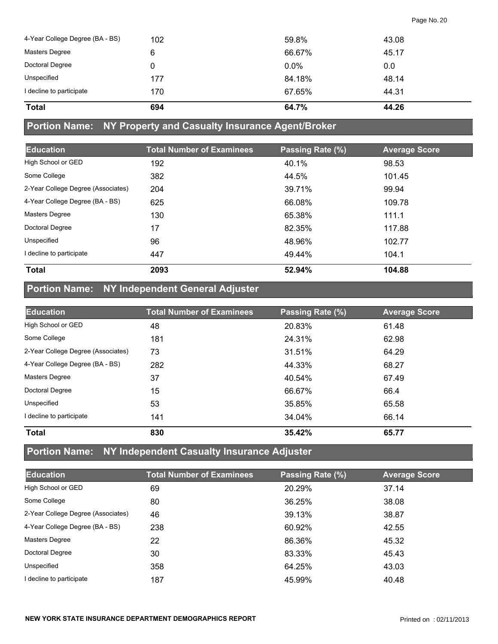| 4-Year College Degree (BA - BS) | 102 | 59.8%   | 43.08 |
|---------------------------------|-----|---------|-------|
| Masters Degree                  | 6   | 66.67%  | 45.17 |
| Doctoral Degree                 | 0   | $0.0\%$ | 0.0   |
| Unspecified                     | 177 | 84.18%  | 48.14 |
| I decline to participate        | 170 | 67.65%  | 44.31 |
| <b>Total</b>                    | 694 | 64.7%   | 44.26 |

#### **Portion Name: NY Property and Casualty Insurance Agent/Broker**

| <b>Education</b>                   | <b>Total Number of Examinees</b> | Passing Rate (%) | <b>Average Score</b> |
|------------------------------------|----------------------------------|------------------|----------------------|
| High School or GED                 | 192                              | 40.1%            | 98.53                |
| Some College                       | 382                              | 44.5%            | 101.45               |
| 2-Year College Degree (Associates) | 204                              | 39.71%           | 99.94                |
| 4-Year College Degree (BA - BS)    | 625                              | 66.08%           | 109.78               |
| <b>Masters Degree</b>              | 130                              | 65.38%           | 111.1                |
| Doctoral Degree                    | 17                               | 82.35%           | 117.88               |
| Unspecified                        | 96                               | 48.96%           | 102.77               |
| I decline to participate           | 447                              | 49.44%           | 104.1                |
| <b>Total</b>                       | 2093                             | 52.94%           | 104.88               |

# **Portion Name: NY Independent General Adjuster**

| <b>Education</b>                   | <b>Total Number of Examinees</b> | Passing Rate (%) | <b>Average Score</b> |
|------------------------------------|----------------------------------|------------------|----------------------|
| High School or GED                 | 48                               | 20.83%           | 61.48                |
| Some College                       | 181                              | 24.31%           | 62.98                |
| 2-Year College Degree (Associates) | 73                               | 31.51%           | 64.29                |
| 4-Year College Degree (BA - BS)    | 282                              | 44.33%           | 68.27                |
| <b>Masters Degree</b>              | 37                               | 40.54%           | 67.49                |
| <b>Doctoral Degree</b>             | 15                               | 66.67%           | 66.4                 |
| Unspecified                        | 53                               | 35.85%           | 65.58                |
| decline to participate             | 141                              | 34.04%           | 66.14                |
| <b>Total</b>                       | 830                              | 35.42%           | 65.77                |

# **Portion Name: NY Independent Casualty Insurance Adjuster**

| <b>Education</b>                   | <b>Total Number of Examinees</b> | Passing Rate (%) | <b>Average Score</b> |  |
|------------------------------------|----------------------------------|------------------|----------------------|--|
| High School or GED                 | 69                               | 20.29%           | 37.14                |  |
| Some College                       | 80                               | 36.25%           | 38.08                |  |
| 2-Year College Degree (Associates) | 46                               | 39.13%           | 38.87                |  |
| 4-Year College Degree (BA - BS)    | 238                              | 60.92%           | 42.55                |  |
| <b>Masters Degree</b>              | 22                               | 86.36%           | 45.32                |  |
| Doctoral Degree                    | 30                               | 83.33%           | 45.43                |  |
| Unspecified                        | 358                              | 64.25%           | 43.03                |  |
| I decline to participate           | 187                              | 45.99%           | 40.48                |  |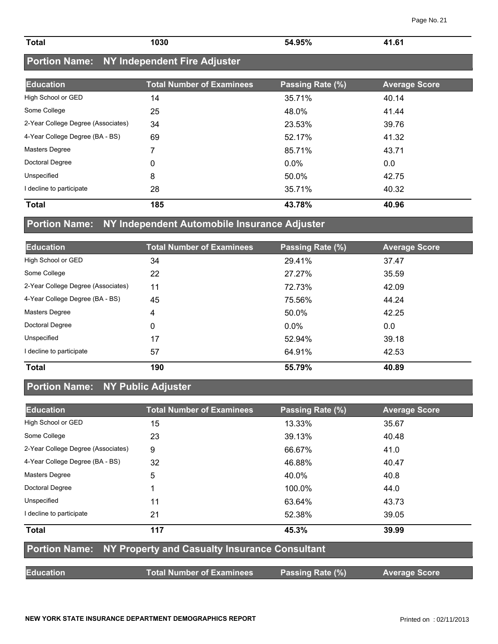| <b>Total</b> | 1030<br>. | 54.95% | C1<br>$\overline{A}$ 1<br>______ |
|--------------|-----------|--------|----------------------------------|
|              |           |        |                                  |

# **Portion Name: NY Independent Fire Adjuster**

| <b>Education</b>                   | <b>Total Number of Examinees</b> | Passing Rate (%) | <b>Average Score</b> |
|------------------------------------|----------------------------------|------------------|----------------------|
| High School or GED                 | 14                               | 35.71%           | 40.14                |
| Some College                       | 25                               | 48.0%            | 41.44                |
| 2-Year College Degree (Associates) | 34                               | 23.53%           | 39.76                |
| 4-Year College Degree (BA - BS)    | 69                               | 52.17%           | 41.32                |
| <b>Masters Degree</b>              | 7                                | 85.71%           | 43.71                |
| Doctoral Degree                    | 0                                | $0.0\%$          | 0.0                  |
| Unspecified                        | 8                                | 50.0%            | 42.75                |
| I decline to participate           | 28                               | 35.71%           | 40.32                |
| <b>Total</b>                       | 185                              | 43.78%           | 40.96                |

### **Portion Name: NY Independent Automobile Insurance Adjuster**

| <b>Education</b>                   | <b>Total Number of Examinees</b> | Passing Rate (%) | <b>Average Score</b> |
|------------------------------------|----------------------------------|------------------|----------------------|
| High School or GED                 | 34                               | 29.41%           | 37.47                |
| Some College                       | 22                               | 27.27%           | 35.59                |
| 2-Year College Degree (Associates) | 11                               | 72.73%           | 42.09                |
| 4-Year College Degree (BA - BS)    | 45                               | 75.56%           | 44.24                |
| Masters Degree                     | 4                                | 50.0%            | 42.25                |
| Doctoral Degree                    | 0                                | $0.0\%$          | 0.0                  |
| Unspecified                        | 17                               | 52.94%           | 39.18                |
| I decline to participate           | 57                               | 64.91%           | 42.53                |
| <b>Total</b>                       | 190                              | 55.79%           | 40.89                |

### **Portion Name: NY Public Adjuster**

| <b>Education</b>                                                   | <b>Total Number of Examinees</b> | Passing Rate (%) | <b>Average Score</b> |  |
|--------------------------------------------------------------------|----------------------------------|------------------|----------------------|--|
| High School or GED                                                 | 15                               | 13.33%           | 35.67                |  |
| Some College                                                       | 23                               | 39.13%           | 40.48                |  |
| 2-Year College Degree (Associates)                                 | 9                                | 66.67%           | 41.0                 |  |
| 4-Year College Degree (BA - BS)                                    | 32                               | 46.88%           | 40.47                |  |
| Masters Degree                                                     | 5                                | 40.0%            | 40.8                 |  |
| Doctoral Degree                                                    |                                  | 100.0%           | 44.0                 |  |
| Unspecified                                                        | 11                               | 63.64%           | 43.73                |  |
| I decline to participate                                           | 21                               | 52.38%           | 39.05                |  |
| <b>Total</b>                                                       | 117                              | 45.3%            | 39.99                |  |
| <b>Portion Name: NY Property and Casualty Insurance Consultant</b> |                                  |                  |                      |  |
| <b>Education</b>                                                   | <b>Total Number of Examinees</b> | Passing Rate (%) | <b>Average Score</b> |  |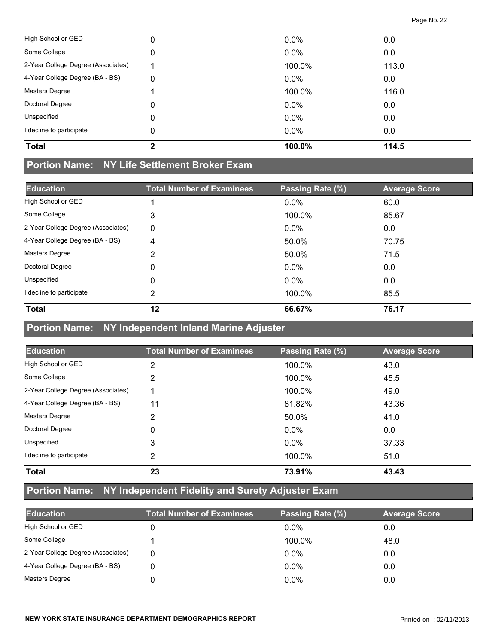| <b>Total</b>                       | 2 | 100.0% | 114.5 |
|------------------------------------|---|--------|-------|
| I decline to participate           | 0 | 0.0%   | 0.0   |
| Unspecified                        | 0 | 0.0%   | 0.0   |
| Doctoral Degree                    | 0 | 0.0%   | 0.0   |
| <b>Masters Degree</b>              |   | 100.0% | 116.0 |
| 4-Year College Degree (BA - BS)    | 0 | 0.0%   | 0.0   |
| 2-Year College Degree (Associates) |   | 100.0% | 113.0 |
| Some College                       | 0 | 0.0%   | 0.0   |
| High School or GED                 | 0 | 0.0%   | 0.0   |

#### **Portion Name: NY Life Settlement Broker Exam**

| <b>Education</b>                   | <b>Total Number of Examinees</b> | Passing Rate (%) | <b>Average Score</b> |
|------------------------------------|----------------------------------|------------------|----------------------|
| High School or GED                 |                                  | $0.0\%$          | 60.0                 |
| Some College                       | 3                                | 100.0%           | 85.67                |
| 2-Year College Degree (Associates) | $\mathbf{0}$                     | $0.0\%$          | 0.0                  |
| 4-Year College Degree (BA - BS)    | 4                                | 50.0%            | 70.75                |
| Masters Degree                     | 2                                | 50.0%            | 71.5                 |
| Doctoral Degree                    | 0                                | $0.0\%$          | 0.0                  |
| Unspecified                        | 0                                | $0.0\%$          | 0.0                  |
| I decline to participate           | 2                                | 100.0%           | 85.5                 |
| <b>Total</b>                       | 12                               | 66.67%           | 76.17                |

### **Portion Name: NY Independent Inland Marine Adjuster**

| <b>Education</b>                   | <b>Total Number of Examinees</b> | Passing Rate (%) | <b>Average Score</b> |
|------------------------------------|----------------------------------|------------------|----------------------|
| High School or GED                 | 2                                | 100.0%           | 43.0                 |
| Some College                       | 2                                | 100.0%           | 45.5                 |
| 2-Year College Degree (Associates) |                                  | 100.0%           | 49.0                 |
| 4-Year College Degree (BA - BS)    | 11                               | 81.82%           | 43.36                |
| <b>Masters Degree</b>              | 2                                | 50.0%            | 41.0                 |
| Doctoral Degree                    | 0                                | $0.0\%$          | 0.0                  |
| Unspecified                        | 3                                | $0.0\%$          | 37.33                |
| I decline to participate           | 2                                | 100.0%           | 51.0                 |
| <b>Total</b>                       | 23                               | 73.91%           | 43.43                |

# **Portion Name: NY Independent Fidelity and Surety Adjuster Exam**

| <b>Education</b>                   | <b>Total Number of Examinees</b> | Passing Rate (%) | <b>Average Score</b> |
|------------------------------------|----------------------------------|------------------|----------------------|
| High School or GED                 |                                  | $0.0\%$          | 0.0                  |
| Some College                       |                                  | 100.0%           | 48.0                 |
| 2-Year College Degree (Associates) | 0                                | $0.0\%$          | 0.0                  |
| 4-Year College Degree (BA - BS)    |                                  | $0.0\%$          | 0.0                  |
| <b>Masters Degree</b>              |                                  | $0.0\%$          | 0.0                  |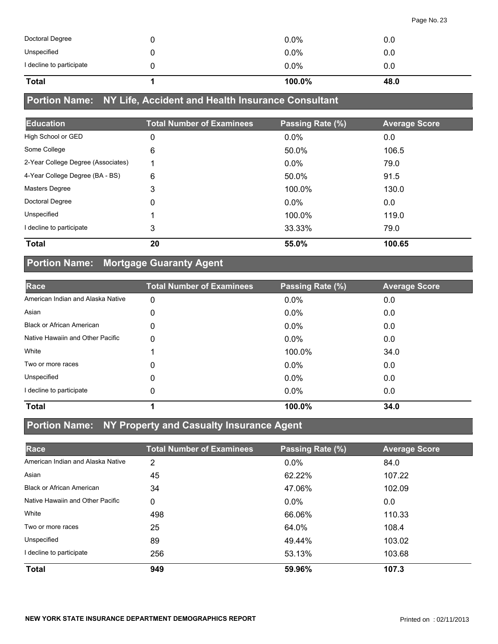| 0.0 |  |
|-----|--|
| 0.0 |  |
| 0.0 |  |
|     |  |

# **Portion Name: NY Life, Accident and Health Insurance Consultant**

| <b>Education</b>                   | <b>Total Number of Examinees</b> | Passing Rate (%) | <b>Average Score</b> |
|------------------------------------|----------------------------------|------------------|----------------------|
| High School or GED                 | 0                                | 0.0%             | 0.0                  |
| Some College                       | 6                                | 50.0%            | 106.5                |
| 2-Year College Degree (Associates) | ◀                                | $0.0\%$          | 79.0                 |
| 4-Year College Degree (BA - BS)    | 6                                | 50.0%            | 91.5                 |
| Masters Degree                     | 3                                | 100.0%           | 130.0                |
| Doctoral Degree                    | 0                                | $0.0\%$          | 0.0                  |
| Unspecified                        |                                  | 100.0%           | 119.0                |
| I decline to participate           | 3                                | 33.33%           | 79.0                 |
| <b>Total</b>                       | 20                               | 55.0%            | 100.65               |

### **Portion Name: Mortgage Guaranty Agent**

| Race                              | <b>Total Number of Examinees</b> | Passing Rate (%) | <b>Average Score</b> |
|-----------------------------------|----------------------------------|------------------|----------------------|
| American Indian and Alaska Native | 0                                | $0.0\%$          | 0.0                  |
| Asian                             | 0                                | $0.0\%$          | 0.0                  |
| <b>Black or African American</b>  | 0                                | $0.0\%$          | 0.0                  |
| Native Hawaiin and Other Pacific  | 0                                | $0.0\%$          | 0.0                  |
| White                             |                                  | 100.0%           | 34.0                 |
| Two or more races                 | 0                                | $0.0\%$          | 0.0                  |
| Unspecified                       | 0                                | 0.0%             | 0.0                  |
| I decline to participate          | 0                                | $0.0\%$          | 0.0                  |
| <b>Total</b>                      |                                  | 100.0%           | 34.0                 |

#### **Portion Name: NY Property and Casualty Insurance Agent**

| Race                              | <b>Total Number of Examinees</b> | Passing Rate (%) | <b>Average Score</b> |
|-----------------------------------|----------------------------------|------------------|----------------------|
| American Indian and Alaska Native | 2                                | 0.0%             | 84.0                 |
| Asian                             | 45                               | 62.22%           | 107.22               |
| <b>Black or African American</b>  | 34                               | 47.06%           | 102.09               |
| Native Hawaiin and Other Pacific  | 0                                | $0.0\%$          | 0.0                  |
| White                             | 498                              | 66.06%           | 110.33               |
| Two or more races                 | 25                               | 64.0%            | 108.4                |
| Unspecified                       | 89                               | 49.44%           | 103.02               |
| I decline to participate          | 256                              | 53.13%           | 103.68               |
| <b>Total</b>                      | 949                              | 59.96%           | 107.3                |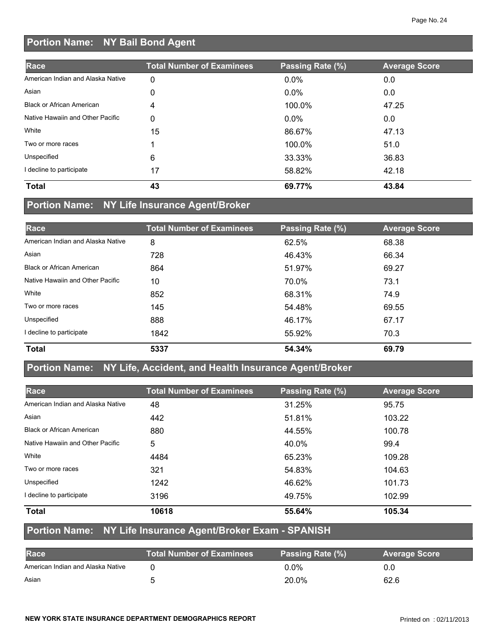# **Portion Name: NY Bail Bond Agent**

| Race                              | <b>Total Number of Examinees</b> | Passing Rate (%) | <b>Average Score</b> |
|-----------------------------------|----------------------------------|------------------|----------------------|
| American Indian and Alaska Native | 0                                | $0.0\%$          | 0.0                  |
| Asian                             | 0                                | $0.0\%$          | 0.0                  |
| <b>Black or African American</b>  | 4                                | 100.0%           | 47.25                |
| Native Hawaiin and Other Pacific  | 0                                | $0.0\%$          | 0.0                  |
| White                             | 15                               | 86.67%           | 47.13                |
| Two or more races                 |                                  | 100.0%           | 51.0                 |
| Unspecified                       | 6                                | 33.33%           | 36.83                |
| decline to participate            | 17                               | 58.82%           | 42.18                |
| <b>Total</b>                      | 43                               | 69.77%           | 43.84                |

# **Portion Name: NY Life Insurance Agent/Broker**

| Race                              | <b>Total Number of Examinees</b> | Passing Rate (%) | <b>Average Score</b> |
|-----------------------------------|----------------------------------|------------------|----------------------|
| American Indian and Alaska Native | 8                                | 62.5%            | 68.38                |
| Asian                             | 728                              | 46.43%           | 66.34                |
| <b>Black or African American</b>  | 864                              | 51.97%           | 69.27                |
| Native Hawaiin and Other Pacific  | 10                               | 70.0%            | 73.1                 |
| White                             | 852                              | 68.31%           | 74.9                 |
| Two or more races                 | 145                              | 54.48%           | 69.55                |
| Unspecified                       | 888                              | 46.17%           | 67.17                |
| I decline to participate          | 1842                             | 55.92%           | 70.3                 |
| <b>Total</b>                      | 5337                             | 54.34%           | 69.79                |

### **Portion Name: NY Life, Accident, and Health Insurance Agent/Broker**

| Race                              | <b>Total Number of Examinees</b> | Passing Rate (%) | <b>Average Score</b> |
|-----------------------------------|----------------------------------|------------------|----------------------|
| American Indian and Alaska Native | 48                               | 31.25%           | 95.75                |
| Asian                             | 442                              | 51.81%           | 103.22               |
| <b>Black or African American</b>  | 880                              | 44.55%           | 100.78               |
| Native Hawaiin and Other Pacific  | 5                                | 40.0%            | 99.4                 |
| White                             | 4484                             | 65.23%           | 109.28               |
| Two or more races                 | 321                              | 54.83%           | 104.63               |
| Unspecified                       | 1242                             | 46.62%           | 101.73               |
| I decline to participate          | 3196                             | 49.75%           | 102.99               |
| <b>Total</b>                      | 10618                            | 55.64%           | 105.34               |

### **Portion Name: NY Life Insurance Agent/Broker Exam - SPANISH**

| <b>Race</b>                       | <b>Total Number of Examinees</b> | Passing Rate (%) | <b>Average Score</b> |
|-----------------------------------|----------------------------------|------------------|----------------------|
| American Indian and Alaska Native |                                  | $0.0\%$          | 0.0                  |
| Asian                             |                                  | 20.0%            | 62.6                 |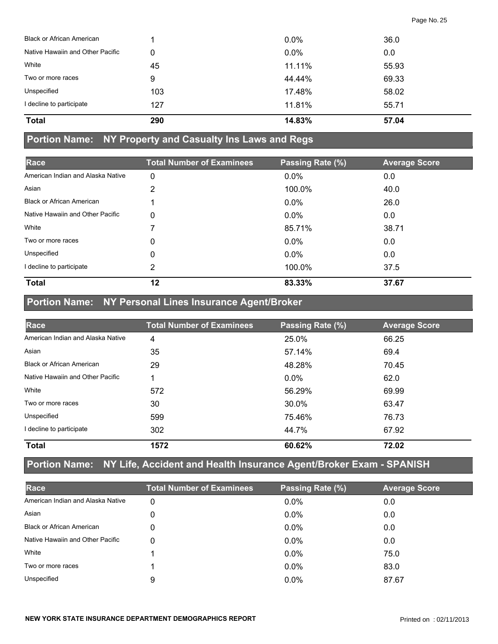| <b>Total</b>                     | 290 | 14.83%  | 57.04 |  |
|----------------------------------|-----|---------|-------|--|
| I decline to participate         | 127 | 11.81%  | 55.71 |  |
| Unspecified                      | 103 | 17.48%  | 58.02 |  |
| Two or more races                | 9   | 44.44%  | 69.33 |  |
| White                            | 45  | 11.11%  | 55.93 |  |
| Native Hawaiin and Other Pacific | 0   | 0.0%    | 0.0   |  |
| <b>Black or African American</b> |     | $0.0\%$ | 36.0  |  |

#### **Portion Name: NY Property and Casualty Ins Laws and Regs**

| Race                              | <b>Total Number of Examinees</b> | Passing Rate (%) | <b>Average Score</b> |
|-----------------------------------|----------------------------------|------------------|----------------------|
| American Indian and Alaska Native | 0                                | 0.0%             | 0.0                  |
| Asian                             | 2                                | 100.0%           | 40.0                 |
| <b>Black or African American</b>  |                                  | $0.0\%$          | 26.0                 |
| Native Hawaiin and Other Pacific  | $\mathbf 0$                      | $0.0\%$          | 0.0                  |
| White                             |                                  | 85.71%           | 38.71                |
| Two or more races                 | 0                                | $0.0\%$          | 0.0                  |
| Unspecified                       | 0                                | $0.0\%$          | 0.0                  |
| I decline to participate          | 2                                | 100.0%           | 37.5                 |
| <b>Total</b>                      | 12                               | 83.33%           | 37.67                |

### **Portion Name: NY Personal Lines Insurance Agent/Broker**

| Race                              | <b>Total Number of Examinees</b> | Passing Rate (%) | <b>Average Score</b> |
|-----------------------------------|----------------------------------|------------------|----------------------|
| American Indian and Alaska Native | 4                                | 25.0%            | 66.25                |
| Asian                             | 35                               | 57.14%           | 69.4                 |
| <b>Black or African American</b>  | 29                               | 48.28%           | 70.45                |
| Native Hawaiin and Other Pacific  |                                  | $0.0\%$          | 62.0                 |
| White                             | 572                              | 56.29%           | 69.99                |
| Two or more races                 | 30                               | 30.0%            | 63.47                |
| Unspecified                       | 599                              | 75.46%           | 76.73                |
| I decline to participate          | 302                              | 44.7%            | 67.92                |
| <b>Total</b>                      | 1572                             | 60.62%           | 72.02                |

### **Portion Name: NY Life, Accident and Health Insurance Agent/Broker Exam - SPANISH**

| Race                              | <b>Total Number of Examinees</b> | Passing Rate (%) | <b>Average Score</b> |
|-----------------------------------|----------------------------------|------------------|----------------------|
| American Indian and Alaska Native | 0                                | $0.0\%$          | 0.0                  |
| Asian                             | 0                                | $0.0\%$          | 0.0                  |
| <b>Black or African American</b>  | 0                                | $0.0\%$          | 0.0                  |
| Native Hawaiin and Other Pacific  | 0                                | $0.0\%$          | 0.0                  |
| White                             |                                  | $0.0\%$          | 75.0                 |
| Two or more races                 |                                  | $0.0\%$          | 83.0                 |
| Unspecified                       | 9                                | $0.0\%$          | 87.67                |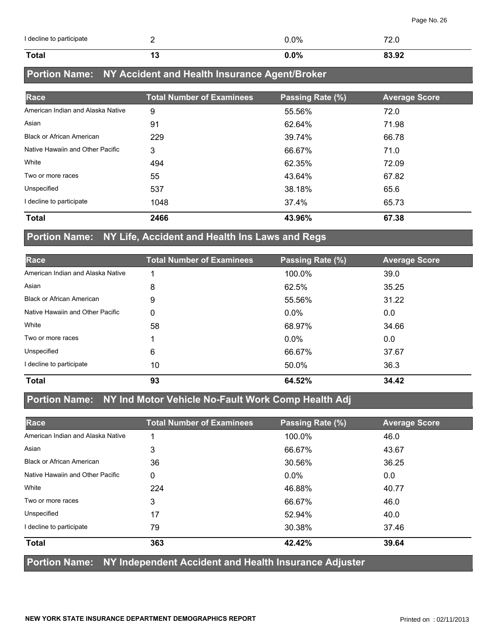| I decline to participate |    | 0.0% | $\overline{\phantom{a}}$<br>L.V |
|--------------------------|----|------|---------------------------------|
| <b>Total</b>             | יי | 0.0% | 0200<br>০১.খ∠                   |

# **Portion Name: NY Accident and Health Insurance Agent/Broker**

| Race                              | <b>Total Number of Examinees</b> | Passing Rate (%) | <b>Average Score</b> |
|-----------------------------------|----------------------------------|------------------|----------------------|
| American Indian and Alaska Native | 9                                | 55.56%           | 72.0                 |
| Asian                             | 91                               | 62.64%           | 71.98                |
| <b>Black or African American</b>  | 229                              | 39.74%           | 66.78                |
| Native Hawaiin and Other Pacific  | 3                                | 66.67%           | 71.0                 |
| White                             | 494                              | 62.35%           | 72.09                |
| Two or more races                 | 55                               | 43.64%           | 67.82                |
| Unspecified                       | 537                              | 38.18%           | 65.6                 |
| I decline to participate          | 1048                             | 37.4%            | 65.73                |
| <b>Total</b>                      | 2466                             | 43.96%           | 67.38                |

### **Portion Name: NY Life, Accident and Health Ins Laws and Regs**

| Race                              | <b>Total Number of Examinees</b> | Passing Rate (%) | <b>Average Score</b> |
|-----------------------------------|----------------------------------|------------------|----------------------|
| American Indian and Alaska Native |                                  | 100.0%           | 39.0                 |
| Asian                             | 8                                | 62.5%            | 35.25                |
| <b>Black or African American</b>  | 9                                | 55.56%           | 31.22                |
| Native Hawaiin and Other Pacific  | 0                                | $0.0\%$          | 0.0                  |
| White                             | 58                               | 68.97%           | 34.66                |
| Two or more races                 |                                  | $0.0\%$          | 0.0                  |
| Unspecified                       | 6                                | 66.67%           | 37.67                |
| I decline to participate          | 10                               | 50.0%            | 36.3                 |
| <b>Total</b>                      | 93                               | 64.52%           | 34.42                |

### **Portion Name: NY Ind Motor Vehicle No-Fault Work Comp Health Adj**

| Race                              | <b>Total Number of Examinees</b> | Passing Rate (%) | <b>Average Score</b> |
|-----------------------------------|----------------------------------|------------------|----------------------|
| American Indian and Alaska Native |                                  | 100.0%           | 46.0                 |
| Asian                             | 3                                | 66.67%           | 43.67                |
| <b>Black or African American</b>  | 36                               | 30.56%           | 36.25                |
| Native Hawaiin and Other Pacific  | 0                                | $0.0\%$          | 0.0                  |
| White                             | 224                              | 46.88%           | 40.77                |
| Two or more races                 | 3                                | 66.67%           | 46.0                 |
| Unspecified                       | 17                               | 52.94%           | 40.0                 |
| I decline to participate          | 79                               | 30.38%           | 37.46                |
| <b>Total</b>                      | 363                              | 42.42%           | 39.64                |

#### **Portion Name: NY Independent Accident and Health Insurance Adjuster**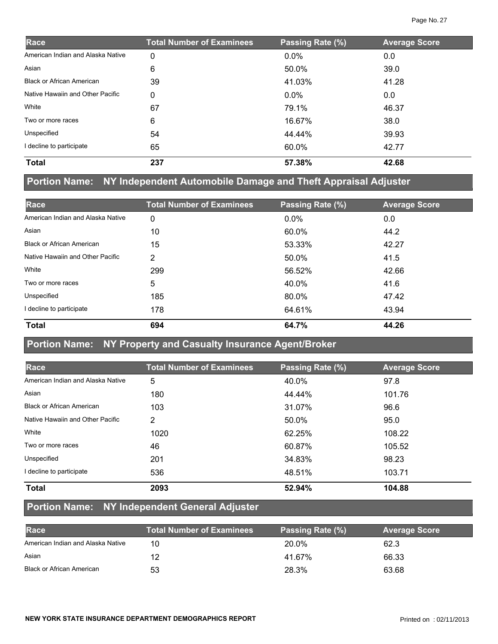| Race                              | <b>Total Number of Examinees</b> | Passing Rate (%) | <b>Average Score</b> |
|-----------------------------------|----------------------------------|------------------|----------------------|
| American Indian and Alaska Native | 0                                | $0.0\%$          | 0.0                  |
| Asian                             | 6                                | 50.0%            | 39.0                 |
| <b>Black or African American</b>  | 39                               | 41.03%           | 41.28                |
| Native Hawaiin and Other Pacific  | 0                                | $0.0\%$          | 0.0                  |
| White                             | 67                               | 79.1%            | 46.37                |
| Two or more races                 | 6                                | 16.67%           | 38.0                 |
| Unspecified                       | 54                               | 44.44%           | 39.93                |
| I decline to participate          | 65                               | 60.0%            | 42.77                |
| <b>Total</b>                      | 237                              | 57.38%           | 42.68                |

# **Portion Name: NY Independent Automobile Damage and Theft Appraisal Adjuster**

| Race                              | <b>Total Number of Examinees</b> | Passing Rate (%) | <b>Average Score</b> |
|-----------------------------------|----------------------------------|------------------|----------------------|
| American Indian and Alaska Native | 0                                | $0.0\%$          | 0.0                  |
| Asian                             | 10                               | 60.0%            | 44.2                 |
| <b>Black or African American</b>  | 15                               | 53.33%           | 42.27                |
| Native Hawaiin and Other Pacific  | 2                                | 50.0%            | 41.5                 |
| White                             | 299                              | 56.52%           | 42.66                |
| Two or more races                 | 5                                | 40.0%            | 41.6                 |
| Unspecified                       | 185                              | 80.0%            | 47.42                |
| I decline to participate          | 178                              | 64.61%           | 43.94                |
| <b>Total</b>                      | 694                              | 64.7%            | 44.26                |

#### **Portion Name: NY Property and Casualty Insurance Agent/Broker**

| Race                              | <b>Total Number of Examinees</b> | Passing Rate (%) | <b>Average Score</b> |
|-----------------------------------|----------------------------------|------------------|----------------------|
| American Indian and Alaska Native | 5                                | 40.0%            | 97.8                 |
| Asian                             | 180                              | 44.44%           | 101.76               |
| <b>Black or African American</b>  | 103                              | 31.07%           | 96.6                 |
| Native Hawaiin and Other Pacific  | $\overline{2}$                   | 50.0%            | 95.0                 |
| White                             | 1020                             | 62.25%           | 108.22               |
| Two or more races                 | 46                               | 60.87%           | 105.52               |
| Unspecified                       | 201                              | 34.83%           | 98.23                |
| I decline to participate          | 536                              | 48.51%           | 103.71               |
| <b>Total</b>                      | 2093                             | 52.94%           | 104.88               |

#### **Portion Name: NY Independent General Adjuster**

| Race                              | <b>Total Number of Examinees</b> | Passing Rate (%) | <b>Average Score</b> |
|-----------------------------------|----------------------------------|------------------|----------------------|
| American Indian and Alaska Native | 10                               | 20.0%            | 62.3                 |
| Asian                             | 12                               | 41.67%           | 66.33                |
| <b>Black or African American</b>  | 53                               | 28.3%            | 63.68                |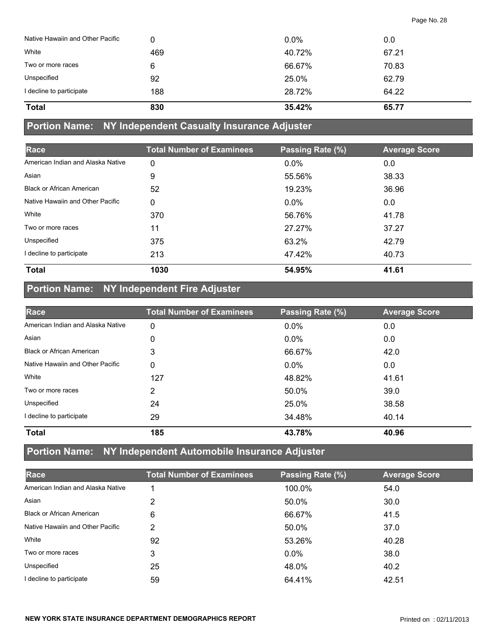| Native Hawaiin and Other Pacific | 0   | $0.0\%$ | 0.0   |
|----------------------------------|-----|---------|-------|
| White                            | 469 | 40.72%  | 67.21 |
| Two or more races                | 6   | 66.67%  | 70.83 |
| Unspecified                      | 92  | 25.0%   | 62.79 |
| I decline to participate         | 188 | 28.72%  | 64.22 |
| <b>Total</b>                     | 830 | 35.42%  | 65.77 |

#### **Portion Name: NY Independent Casualty Insurance Adjuster**

| Race                              | <b>Total Number of Examinees</b> | Passing Rate (%) | <b>Average Score</b> |
|-----------------------------------|----------------------------------|------------------|----------------------|
| American Indian and Alaska Native | 0                                | $0.0\%$          | 0.0                  |
| Asian                             | 9                                | 55.56%           | 38.33                |
| <b>Black or African American</b>  | 52                               | 19.23%           | 36.96                |
| Native Hawaiin and Other Pacific  | 0                                | $0.0\%$          | 0.0                  |
| White                             | 370                              | 56.76%           | 41.78                |
| Two or more races                 | 11                               | 27.27%           | 37.27                |
| Unspecified                       | 375                              | 63.2%            | 42.79                |
| I decline to participate          | 213                              | 47.42%           | 40.73                |
| <b>Total</b>                      | 1030                             | 54.95%           | 41.61                |

# **Portion Name: NY Independent Fire Adjuster**

| Race                              | <b>Total Number of Examinees</b> | Passing Rate (%) | <b>Average Score</b> |
|-----------------------------------|----------------------------------|------------------|----------------------|
| American Indian and Alaska Native | 0                                | 0.0%             | 0.0                  |
| Asian                             | 0                                | $0.0\%$          | 0.0                  |
| <b>Black or African American</b>  | 3                                | 66.67%           | 42.0                 |
| Native Hawaiin and Other Pacific  | 0                                | $0.0\%$          | 0.0                  |
| White                             | 127                              | 48.82%           | 41.61                |
| Two or more races                 | 2                                | 50.0%            | 39.0                 |
| Unspecified                       | 24                               | 25.0%            | 38.58                |
| I decline to participate          | 29                               | 34.48%           | 40.14                |
| <b>Total</b>                      | 185                              | 43.78%           | 40.96                |

# **Portion Name: NY Independent Automobile Insurance Adjuster**

| Race                              | <b>Total Number of Examinees</b> | Passing Rate (%) | <b>Average Score</b> |
|-----------------------------------|----------------------------------|------------------|----------------------|
| American Indian and Alaska Native |                                  | 100.0%           | 54.0                 |
| Asian                             | 2                                | 50.0%            | 30.0                 |
| <b>Black or African American</b>  | 6                                | 66.67%           | 41.5                 |
| Native Hawaiin and Other Pacific  | 2                                | 50.0%            | 37.0                 |
| White                             | 92                               | 53.26%           | 40.28                |
| Two or more races                 | 3                                | $0.0\%$          | 38.0                 |
| Unspecified                       | 25                               | 48.0%            | 40.2                 |
| I decline to participate          | 59                               | 64.41%           | 42.51                |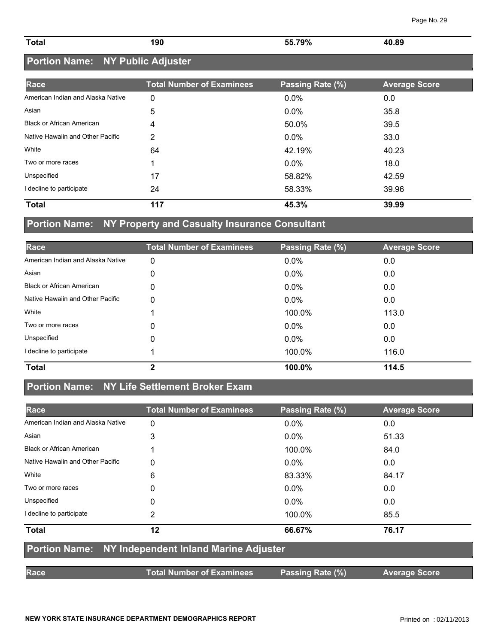| <b>Total</b> | 190 | 55.79% | 40.89<br>. |
|--------------|-----|--------|------------|
|              |     |        |            |

### **Portion Name: NY Public Adjuster**

| Race                              | <b>Total Number of Examinees</b> | Passing Rate (%) | <b>Average Score</b> |
|-----------------------------------|----------------------------------|------------------|----------------------|
| American Indian and Alaska Native | 0                                | 0.0%             | 0.0                  |
| Asian                             | 5                                | 0.0%             | 35.8                 |
| <b>Black or African American</b>  | 4                                | 50.0%            | 39.5                 |
| Native Hawaiin and Other Pacific  | 2                                | $0.0\%$          | 33.0                 |
| White                             | 64                               | 42.19%           | 40.23                |
| Two or more races                 |                                  | 0.0%             | 18.0                 |
| Unspecified                       | 17                               | 58.82%           | 42.59                |
| I decline to participate          | 24                               | 58.33%           | 39.96                |
| <b>Total</b>                      | 117                              | 45.3%            | 39.99                |

### **Portion Name: NY Property and Casualty Insurance Consultant**

| Race                              | <b>Total Number of Examinees</b> | Passing Rate (%) | <b>Average Score</b> |
|-----------------------------------|----------------------------------|------------------|----------------------|
| American Indian and Alaska Native | 0                                | 0.0%             | 0.0                  |
| Asian                             | 0                                | $0.0\%$          | 0.0                  |
| <b>Black or African American</b>  | 0                                | 0.0%             | 0.0                  |
| Native Hawaiin and Other Pacific  | 0                                | 0.0%             | 0.0                  |
| White                             |                                  | 100.0%           | 113.0                |
| Two or more races                 | 0                                | $0.0\%$          | 0.0                  |
| Unspecified                       | 0                                | $0.0\%$          | 0.0                  |
| I decline to participate          |                                  | 100.0%           | 116.0                |
| <b>Total</b>                      | 2                                | 100.0%           | 114.5                |

## **Portion Name: NY Life Settlement Broker Exam**

| Race                              | <b>Total Number of Examinees</b>                    | Passing Rate (%) | <b>Average Score</b> |
|-----------------------------------|-----------------------------------------------------|------------------|----------------------|
| American Indian and Alaska Native | 0                                                   | $0.0\%$          | 0.0                  |
| Asian                             | 3                                                   | $0.0\%$          | 51.33                |
| <b>Black or African American</b>  |                                                     | 100.0%           | 84.0                 |
| Native Hawaiin and Other Pacific  | 0                                                   | $0.0\%$          | 0.0                  |
| White                             | 6                                                   | 83.33%           | 84.17                |
| Two or more races                 | 0                                                   | $0.0\%$          | 0.0                  |
| Unspecified                       | 0                                                   | $0.0\%$          | 0.0                  |
| I decline to participate          | 2                                                   | 100.0%           | 85.5                 |
| <b>Total</b>                      | 12                                                  | 66.67%           | 76.17                |
|                                   | Portion Name: NY Independent Inland Marine Adjuster |                  |                      |
| <b>Race</b>                       | <b>Total Number of Examinees</b>                    | Passing Rate (%) | <b>Average Score</b> |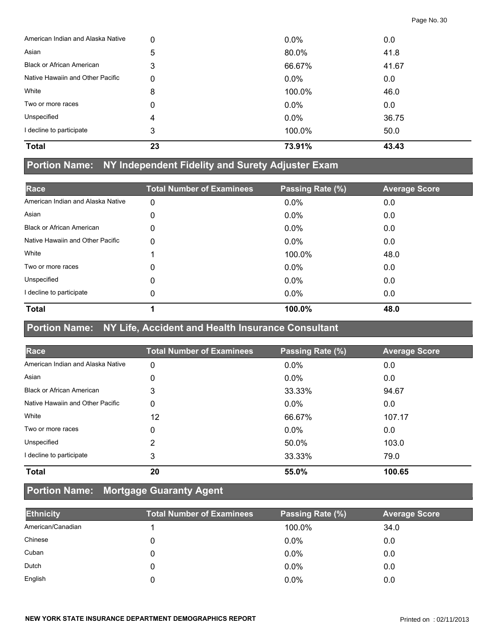| <b>Total</b>                      | 23 | 73.91%  | 43.43 |
|-----------------------------------|----|---------|-------|
| I decline to participate          | 3  | 100.0%  | 50.0  |
| Unspecified                       | 4  | $0.0\%$ | 36.75 |
| Two or more races                 | 0  | $0.0\%$ | 0.0   |
| White                             | 8  | 100.0%  | 46.0  |
| Native Hawaiin and Other Pacific  | 0  | $0.0\%$ | 0.0   |
| <b>Black or African American</b>  | 3  | 66.67%  | 41.67 |
| Asian                             | 5  | 80.0%   | 41.8  |
| American Indian and Alaska Native | 0  | $0.0\%$ | 0.0   |

#### **Portion Name: NY Independent Fidelity and Surety Adjuster Exam**

| Race                              | <b>Total Number of Examinees</b> | Passing Rate (%) | <b>Average Score</b> |
|-----------------------------------|----------------------------------|------------------|----------------------|
| American Indian and Alaska Native | 0                                | $0.0\%$          | 0.0                  |
| Asian                             | 0                                | $0.0\%$          | 0.0                  |
| <b>Black or African American</b>  | 0                                | $0.0\%$          | 0.0                  |
| Native Hawaiin and Other Pacific  | 0                                | $0.0\%$          | 0.0                  |
| White                             |                                  | 100.0%           | 48.0                 |
| Two or more races                 | 0                                | $0.0\%$          | 0.0                  |
| Unspecified                       | 0                                | $0.0\%$          | 0.0                  |
| I decline to participate          | 0                                | $0.0\%$          | 0.0                  |
| <b>Total</b>                      |                                  | 100.0%           | 48.0                 |

#### **Portion Name: NY Life, Accident and Health Insurance Consultant**

| Race                              | <b>Total Number of Examinees</b> | Passing Rate (%) | <b>Average Score</b> |
|-----------------------------------|----------------------------------|------------------|----------------------|
| American Indian and Alaska Native | 0                                | 0.0%             | 0.0                  |
| Asian                             | 0                                | $0.0\%$          | 0.0                  |
| <b>Black or African American</b>  | 3                                | 33.33%           | 94.67                |
| Native Hawaiin and Other Pacific  | 0                                | $0.0\%$          | 0.0                  |
| White                             | 12                               | 66.67%           | 107.17               |
| Two or more races                 | 0                                | $0.0\%$          | 0.0                  |
| Unspecified                       | 2                                | 50.0%            | 103.0                |
| I decline to participate          | 3                                | 33.33%           | 79.0                 |
| <b>Total</b>                      | 20                               | 55.0%            | 100.65               |

### **Portion Name: Mortgage Guaranty Agent**

| <b>Ethnicity</b>  | <b>Total Number of Examinees</b> | Passing Rate (%) | <b>Average Score</b> |
|-------------------|----------------------------------|------------------|----------------------|
| American/Canadian |                                  | 100.0%           | 34.0                 |
| Chinese           |                                  | $0.0\%$          | 0.0                  |
| Cuban             |                                  | $0.0\%$          | 0.0                  |
| Dutch             |                                  | $0.0\%$          | 0.0                  |
| English           |                                  | $0.0\%$          | 0.0                  |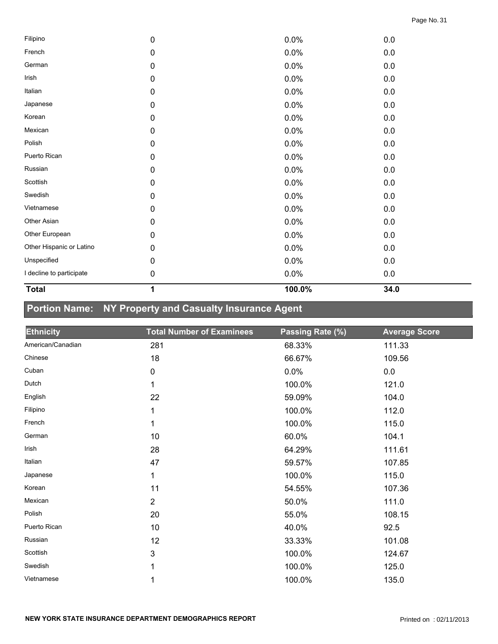| <b>Total</b>             | 1         | 100.0% | 34.0    |  |
|--------------------------|-----------|--------|---------|--|
| I decline to participate | $\pmb{0}$ | 0.0%   | $0.0\,$ |  |
| Unspecified              | 0         | 0.0%   | 0.0     |  |
| Other Hispanic or Latino | 0         | 0.0%   | $0.0\,$ |  |
| Other European           | 0         | 0.0%   | 0.0     |  |
| Other Asian              | 0         | 0.0%   | 0.0     |  |
| Vietnamese               | 0         | 0.0%   | 0.0     |  |
| Swedish                  | $\pmb{0}$ | 0.0%   | $0.0\,$ |  |
| Scottish                 | 0         | 0.0%   | 0.0     |  |
| Russian                  | $\pmb{0}$ | 0.0%   | 0.0     |  |
| Puerto Rican             | $\pmb{0}$ | 0.0%   | 0.0     |  |
| Polish                   | 0         | 0.0%   | 0.0     |  |
| Mexican                  | 0         | 0.0%   | 0.0     |  |
| Korean                   | 0         | 0.0%   | 0.0     |  |
| Japanese                 | 0         | 0.0%   | 0.0     |  |
| Italian                  | $\pmb{0}$ | 0.0%   | 0.0     |  |
| Irish                    | $\pmb{0}$ | 0.0%   | 0.0     |  |
| German                   | $\pmb{0}$ | 0.0%   | 0.0     |  |
| French                   | 0         | 0.0%   | $0.0\,$ |  |
| Filipino                 | 0         | 0.0%   | $0.0\,$ |  |

# **Portion Name: NY Property and Casualty Insurance Agent**

| <b>Ethnicity</b>  | <b>Total Number of Examinees</b> | Passing Rate (%) | <b>Average Score</b> |
|-------------------|----------------------------------|------------------|----------------------|
| American/Canadian | 281                              | 68.33%           | 111.33               |
| Chinese           | 18                               | 66.67%           | 109.56               |
| Cuban             | 0                                | 0.0%             | 0.0                  |
| Dutch             | 1                                | 100.0%           | 121.0                |
| English           | 22                               | 59.09%           | 104.0                |
| Filipino          | 1                                | 100.0%           | 112.0                |
| French            | 1                                | 100.0%           | 115.0                |
| German            | 10                               | 60.0%            | 104.1                |
| Irish             | 28                               | 64.29%           | 111.61               |
| Italian           | 47                               | 59.57%           | 107.85               |
| Japanese          | 1                                | 100.0%           | 115.0                |
| Korean            | 11                               | 54.55%           | 107.36               |
| Mexican           | $\overline{2}$                   | 50.0%            | 111.0                |
| Polish            | 20                               | 55.0%            | 108.15               |
| Puerto Rican      | 10                               | 40.0%            | 92.5                 |
| Russian           | 12                               | 33.33%           | 101.08               |
| Scottish          | 3                                | 100.0%           | 124.67               |
| Swedish           | 1                                | 100.0%           | 125.0                |
| Vietnamese        | 1                                | 100.0%           | 135.0                |

—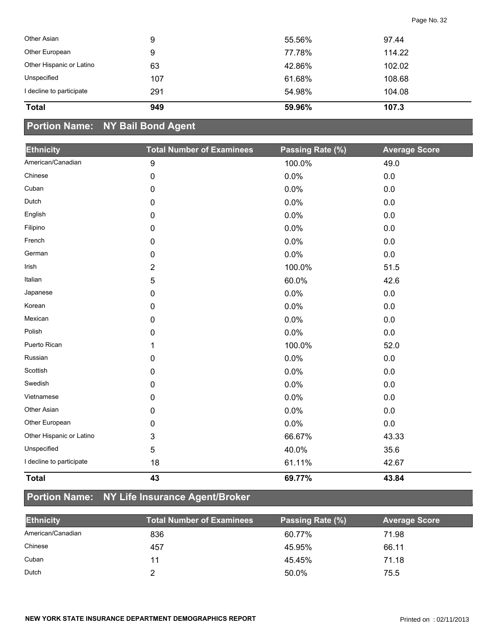| Other Asian              | 9   | 55.56% | 97.44  |
|--------------------------|-----|--------|--------|
| Other European           | 9   | 77.78% | 114.22 |
| Other Hispanic or Latino | 63  | 42.86% | 102.02 |
| Unspecified              | 107 | 61.68% | 108.68 |
| I decline to participate | 291 | 54.98% | 104.08 |
| <b>Total</b>             | 949 | 59.96% | 107.3  |

# **Portion Name: NY Bail Bond Agent**

| <b>Ethnicity</b>         | <b>Total Number of Examinees</b> | Passing Rate (%) | <b>Average Score</b> |
|--------------------------|----------------------------------|------------------|----------------------|
| American/Canadian        | $\boldsymbol{9}$                 | 100.0%           | 49.0                 |
| Chinese                  | 0                                | 0.0%             | $0.0\,$              |
| Cuban                    | 0                                | 0.0%             | 0.0                  |
| Dutch                    | 0                                | 0.0%             | 0.0                  |
| English                  | 0                                | 0.0%             | 0.0                  |
| Filipino                 | 0                                | 0.0%             | 0.0                  |
| French                   | 0                                | 0.0%             | 0.0                  |
| German                   | 0                                | 0.0%             | 0.0                  |
| Irish                    | 2                                | 100.0%           | 51.5                 |
| Italian                  | 5                                | 60.0%            | 42.6                 |
| Japanese                 | 0                                | 0.0%             | $0.0\,$              |
| Korean                   | 0                                | 0.0%             | 0.0                  |
| Mexican                  | 0                                | 0.0%             | $0.0\,$              |
| Polish                   | 0                                | 0.0%             | 0.0                  |
| Puerto Rican             | 1                                | 100.0%           | 52.0                 |
| Russian                  | $\mathbf 0$                      | 0.0%             | $0.0\,$              |
| Scottish                 | 0                                | 0.0%             | 0.0                  |
| Swedish                  | 0                                | 0.0%             | 0.0                  |
| Vietnamese               | 0                                | 0.0%             | 0.0                  |
| Other Asian              | 0                                | 0.0%             | $0.0\,$              |
| Other European           | 0                                | 0.0%             | 0.0                  |
| Other Hispanic or Latino | 3                                | 66.67%           | 43.33                |
| Unspecified              | 5                                | 40.0%            | 35.6                 |
| I decline to participate | 18                               | 61.11%           | 42.67                |
| <b>Total</b>             | 43                               | 69.77%           | 43.84                |

# **Portion Name: NY Life Insurance Agent/Broker**

| <b>Ethnicity</b>  | Total Number of Examinees | Passing Rate (%) | <b>Average Score</b> |
|-------------------|---------------------------|------------------|----------------------|
| American/Canadian | 836                       | 60.77%           | 71.98                |
| Chinese           | 457                       | 45.95%           | 66.11                |
| Cuban             | 11                        | 45.45%           | 71.18                |
| Dutch             |                           | 50.0%            | 75.5                 |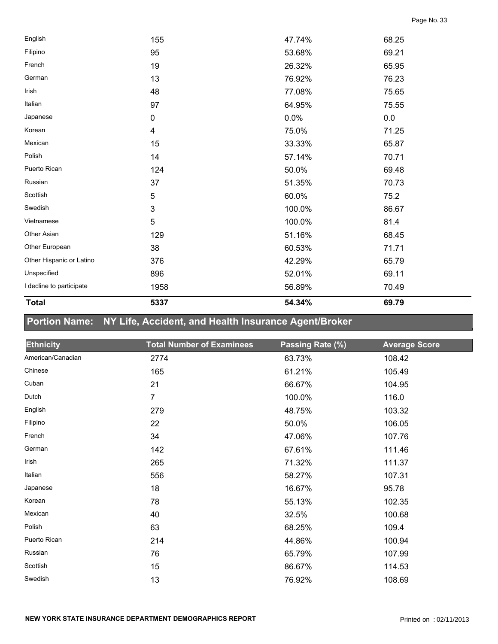| <b>Total</b>             | 5337           | 54.34% | 69.79 |  |
|--------------------------|----------------|--------|-------|--|
| I decline to participate | 1958           | 56.89% | 70.49 |  |
| Unspecified              | 896            | 52.01% | 69.11 |  |
| Other Hispanic or Latino | 376            | 42.29% | 65.79 |  |
| Other European           | 38             | 60.53% | 71.71 |  |
| Other Asian              | 129            | 51.16% | 68.45 |  |
| Vietnamese               | $\sqrt{5}$     | 100.0% | 81.4  |  |
| Swedish                  | $\mathbf 3$    | 100.0% | 86.67 |  |
| Scottish                 | $\mathbf 5$    | 60.0%  | 75.2  |  |
| Russian                  | 37             | 51.35% | 70.73 |  |
| Puerto Rican             | 124            | 50.0%  | 69.48 |  |
| Polish                   | 14             | 57.14% | 70.71 |  |
| Mexican                  | 15             | 33.33% | 65.87 |  |
| Korean                   | $\overline{4}$ | 75.0%  | 71.25 |  |
| Japanese                 | $\pmb{0}$      | 0.0%   | 0.0   |  |
| Italian                  | 97             | 64.95% | 75.55 |  |
| Irish                    | 48             | 77.08% | 75.65 |  |
| German                   | 13             | 76.92% | 76.23 |  |
| French                   | 19             | 26.32% | 65.95 |  |
| Filipino                 | 95             | 53.68% | 69.21 |  |
| English                  | 155            | 47.74% | 68.25 |  |

# **Portion Name: NY Life, Accident, and Health Insurance Agent/Broker**

| <b>Ethnicity</b>  | <b>Total Number of Examinees</b> | Passing Rate (%) | <b>Average Score</b> |
|-------------------|----------------------------------|------------------|----------------------|
| American/Canadian | 2774                             | 63.73%           | 108.42               |
| Chinese           | 165                              | 61.21%           | 105.49               |
| Cuban             | 21                               | 66.67%           | 104.95               |
| Dutch             | 7                                | 100.0%           | 116.0                |
| English           | 279                              | 48.75%           | 103.32               |
| Filipino          | 22                               | 50.0%            | 106.05               |
| French            | 34                               | 47.06%           | 107.76               |
| German            | 142                              | 67.61%           | 111.46               |
| Irish             | 265                              | 71.32%           | 111.37               |
| Italian           | 556                              | 58.27%           | 107.31               |
| Japanese          | 18                               | 16.67%           | 95.78                |
| Korean            | 78                               | 55.13%           | 102.35               |
| Mexican           | 40                               | 32.5%            | 100.68               |
| Polish            | 63                               | 68.25%           | 109.4                |
| Puerto Rican      | 214                              | 44.86%           | 100.94               |
| Russian           | 76                               | 65.79%           | 107.99               |
| Scottish          | 15                               | 86.67%           | 114.53               |
| Swedish           | 13                               | 76.92%           | 108.69               |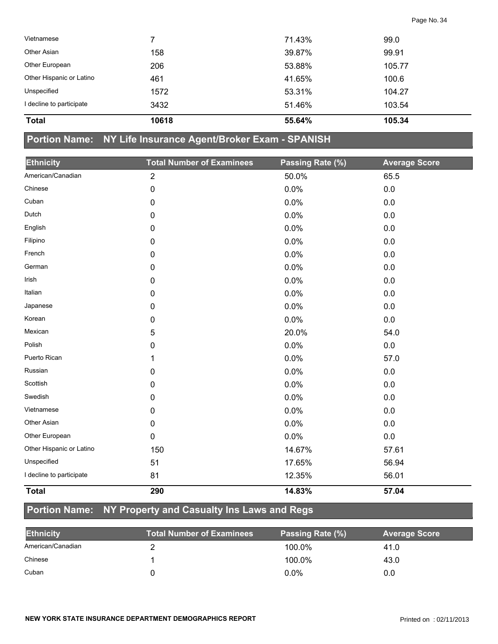| <b>Total</b>             | 10618 | 55.64% | 105.34 |  |
|--------------------------|-------|--------|--------|--|
| decline to participate   | 3432  | 51.46% | 103.54 |  |
| Unspecified              | 1572  | 53.31% | 104.27 |  |
| Other Hispanic or Latino | 461   | 41.65% | 100.6  |  |
| Other European           | 206   | 53.88% | 105.77 |  |
| Other Asian              | 158   | 39.87% | 99.91  |  |
| Vietnamese               |       | 71.43% | 99.0   |  |
|                          |       |        |        |  |

### **Portion Name: NY Life Insurance Agent/Broker Exam - SPANISH**

| <b>Ethnicity</b>         | <b>Total Number of Examinees</b> | Passing Rate (%) | <b>Average Score</b> |
|--------------------------|----------------------------------|------------------|----------------------|
| American/Canadian        | $\overline{2}$                   | 50.0%            | 65.5                 |
| Chinese                  | 0                                | 0.0%             | 0.0                  |
| Cuban                    | 0                                | 0.0%             | 0.0                  |
| Dutch                    | 0                                | 0.0%             | 0.0                  |
| English                  | 0                                | 0.0%             | 0.0                  |
| Filipino                 | 0                                | 0.0%             | $0.0\,$              |
| French                   | 0                                | 0.0%             | 0.0                  |
| German                   | 0                                | 0.0%             | 0.0                  |
| Irish                    | 0                                | 0.0%             | 0.0                  |
| Italian                  | 0                                | 0.0%             | 0.0                  |
| Japanese                 | 0                                | 0.0%             | 0.0                  |
| Korean                   | 0                                | 0.0%             | 0.0                  |
| Mexican                  | 5                                | 20.0%            | 54.0                 |
| Polish                   | 0                                | 0.0%             | 0.0                  |
| Puerto Rican             | 1                                | 0.0%             | 57.0                 |
| Russian                  | 0                                | 0.0%             | 0.0                  |
| Scottish                 | 0                                | 0.0%             | 0.0                  |
| Swedish                  | 0                                | 0.0%             | 0.0                  |
| Vietnamese               | 0                                | 0.0%             | 0.0                  |
| Other Asian              | 0                                | 0.0%             | 0.0                  |
| Other European           | 0                                | 0.0%             | 0.0                  |
| Other Hispanic or Latino | 150                              | 14.67%           | 57.61                |
| Unspecified              | 51                               | 17.65%           | 56.94                |
| I decline to participate | 81                               | 12.35%           | 56.01                |
| <b>Total</b>             | 290                              | 14.83%           | 57.04                |

### **Portion Name: NY Property and Casualty Ins Laws and Regs**

| <b>Ethnicity</b>  | <b>Total Number of Examinees</b> | Passing Rate (%) | <b>Average Score</b> |
|-------------------|----------------------------------|------------------|----------------------|
| American/Canadian |                                  | 100.0%           | 41.0                 |
| Chinese           |                                  | 100.0%           | 43.0                 |
| Cuban             |                                  | $0.0\%$          | 0.0                  |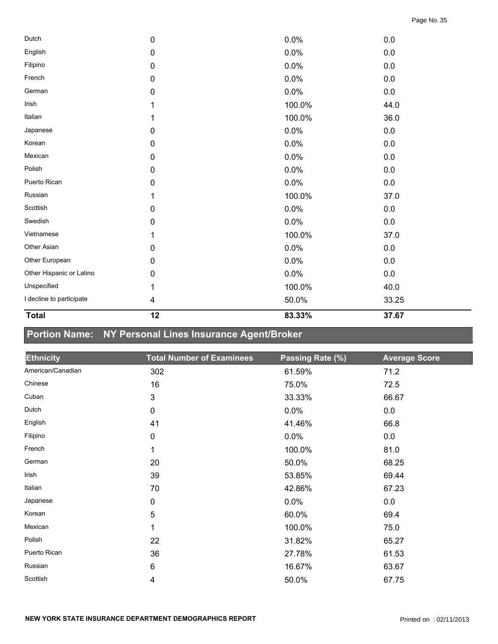| <b>Total</b>             | 12 | 83.33% | 37.67   |  |
|--------------------------|----|--------|---------|--|
| I decline to participate | 4  | 50.0%  | 33.25   |  |
| Unspecified              | 1  | 100.0% | 40.0    |  |
| Other Hispanic or Latino | 0  | 0.0%   | $0.0\,$ |  |
| Other European           | 0  | 0.0%   | $0.0\,$ |  |
| Other Asian              | 0  | 0.0%   | $0.0\,$ |  |
| Vietnamese               | 1  | 100.0% | 37.0    |  |
| Swedish                  | 0  | 0.0%   | $0.0\,$ |  |
| Scottish                 | 0  | 0.0%   | $0.0\,$ |  |
| Russian                  | 1  | 100.0% | 37.0    |  |
| Puerto Rican             | 0  | 0.0%   | 0.0     |  |
| Polish                   | 0  | 0.0%   | $0.0\,$ |  |
| Mexican                  | 0  | 0.0%   | 0.0     |  |
| Korean                   | 0  | 0.0%   | $0.0\,$ |  |
| Japanese                 | 0  | 0.0%   | $0.0\,$ |  |
| Italian                  | 1  | 100.0% | 36.0    |  |
| Irish                    | 1  | 100.0% | 44.0    |  |
| German                   | 0  | 0.0%   | 0.0     |  |
| French                   | 0  | 0.0%   | $0.0\,$ |  |
| Filipino                 | 0  | 0.0%   | $0.0\,$ |  |
| English                  | 0  | 0.0%   | 0.0     |  |
| Dutch                    | 0  | 0.0%   | $0.0\,$ |  |

# **Portion Name: NY Personal Lines Insurance Agent/Broker**

| <b>Ethnicity</b>  | <b>Total Number of Examinees</b> | Passing Rate (%) | <b>Average Score</b> |
|-------------------|----------------------------------|------------------|----------------------|
| American/Canadian | 302                              | 61.59%           | 71.2                 |
| Chinese           | 16                               | 75.0%            | 72.5                 |
| Cuban             | 3                                | 33.33%           | 66.67                |
| Dutch             | $\pmb{0}$                        | 0.0%             | 0.0                  |
| English           | 41                               | 41.46%           | 66.8                 |
| Filipino          | $\pmb{0}$                        | 0.0%             | 0.0                  |
| French            | 1                                | 100.0%           | 81.0                 |
| German            | 20                               | 50.0%            | 68.25                |
| Irish             | 39                               | 53.85%           | 69.44                |
| Italian           | 70                               | 42.86%           | 67.23                |
| Japanese          | $\mathbf 0$                      | $0.0\%$          | 0.0                  |
| Korean            | 5                                | 60.0%            | 69.4                 |
| Mexican           | 1                                | 100.0%           | 75.0                 |
| Polish            | 22                               | 31.82%           | 65.27                |
| Puerto Rican      | 36                               | 27.78%           | 61.53                |
| Russian           | 6                                | 16.67%           | 63.67                |
| Scottish          | 4                                | 50.0%            | 67.75                |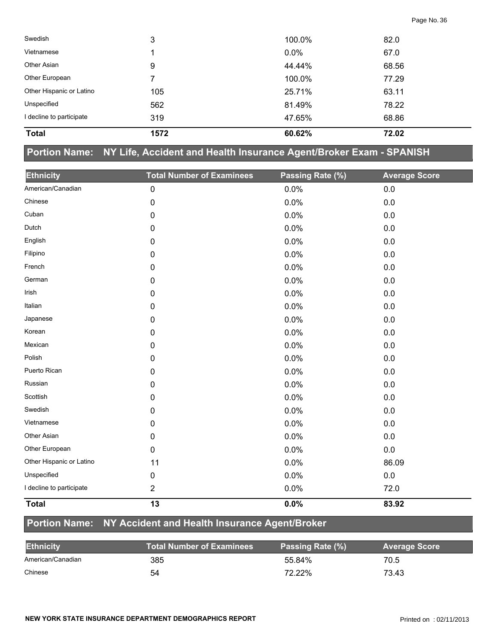| <b>Total</b>             | 1572 | 60.62%  | 72.02 |  |
|--------------------------|------|---------|-------|--|
| I decline to participate | 319  | 47.65%  | 68.86 |  |
| Unspecified              | 562  | 81.49%  | 78.22 |  |
| Other Hispanic or Latino | 105  | 25.71%  | 63.11 |  |
| Other European           |      | 100.0%  | 77.29 |  |
| Other Asian              | 9    | 44.44%  | 68.56 |  |
| Vietnamese               |      | $0.0\%$ | 67.0  |  |
| Swedish                  | 3    | 100.0%  | 82.0  |  |

### **Portion Name: NY Life, Accident and Health Insurance Agent/Broker Exam - SPANISH**

| <b>Ethnicity</b>         | <b>Total Number of Examinees</b> | Passing Rate (%) | <b>Average Score</b> |
|--------------------------|----------------------------------|------------------|----------------------|
| American/Canadian        | $\pmb{0}$                        | 0.0%             | 0.0                  |
| Chinese                  | $\pmb{0}$                        | 0.0%             | 0.0                  |
| Cuban                    | $\pmb{0}$                        | 0.0%             | 0.0                  |
| Dutch                    | $\mathbf 0$                      | 0.0%             | 0.0                  |
| English                  | 0                                | 0.0%             | 0.0                  |
| Filipino                 | 0                                | 0.0%             | 0.0                  |
| French                   | $\pmb{0}$                        | 0.0%             | 0.0                  |
| German                   | 0                                | 0.0%             | 0.0                  |
| Irish                    | $\mathbf 0$                      | 0.0%             | 0.0                  |
| Italian                  | 0                                | 0.0%             | 0.0                  |
| Japanese                 | $\mathbf 0$                      | 0.0%             | 0.0                  |
| Korean                   | $\pmb{0}$                        | 0.0%             | $0.0\,$              |
| Mexican                  | 0                                | 0.0%             | 0.0                  |
| Polish                   | 0                                | 0.0%             | 0.0                  |
| Puerto Rican             | $\mathbf 0$                      | 0.0%             | 0.0                  |
| Russian                  | $\mathbf 0$                      | 0.0%             | 0.0                  |
| Scottish                 | 0                                | 0.0%             | 0.0                  |
| Swedish                  | $\pmb{0}$                        | 0.0%             | 0.0                  |
| Vietnamese               | $\mathbf 0$                      | 0.0%             | 0.0                  |
| Other Asian              | $\mathbf 0$                      | 0.0%             | 0.0                  |
| Other European           | $\mathbf 0$                      | 0.0%             | $0.0\,$              |
| Other Hispanic or Latino | 11                               | 0.0%             | 86.09                |
| Unspecified              | $\pmb{0}$                        | 0.0%             | $0.0\,$              |
| I decline to participate | $\overline{2}$                   | 0.0%             | 72.0                 |
| <b>Total</b>             | 13                               | 0.0%             | 83.92                |

# **Portion Name: NY Accident and Health Insurance Agent/Broker**

| <b>Ethnicity</b>  | <b>Total Number of Examinees</b> | Passing Rate (%) | <b>Average Score</b> |
|-------------------|----------------------------------|------------------|----------------------|
| American/Canadian | 385                              | 55.84%           | 70.5                 |
| Chinese           | 54                               | 72.22%           | 73.43                |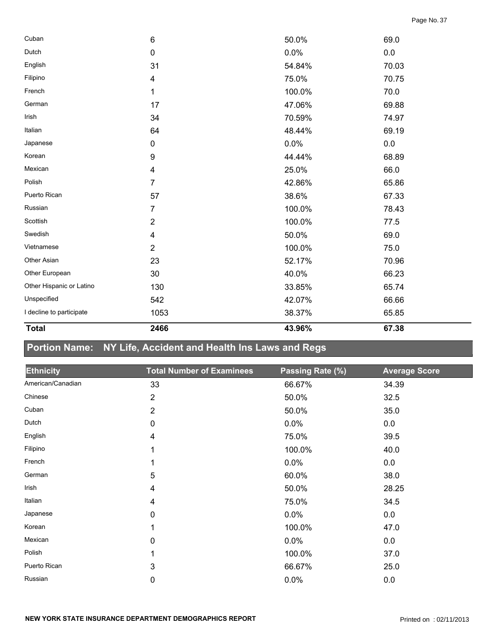| <b>Total</b>             | 2466                    | 43.96% | 67.38 |  |
|--------------------------|-------------------------|--------|-------|--|
| I decline to participate | 1053                    | 38.37% | 65.85 |  |
| Unspecified              | 542                     | 42.07% | 66.66 |  |
| Other Hispanic or Latino | 130                     | 33.85% | 65.74 |  |
| Other European           | 30                      | 40.0%  | 66.23 |  |
| Other Asian              | 23                      | 52.17% | 70.96 |  |
| Vietnamese               | $\overline{2}$          | 100.0% | 75.0  |  |
| Swedish                  | 4                       | 50.0%  | 69.0  |  |
| Scottish                 | $\overline{\mathbf{c}}$ | 100.0% | 77.5  |  |
| Russian                  | 7                       | 100.0% | 78.43 |  |
| Puerto Rican             | 57                      | 38.6%  | 67.33 |  |
| Polish                   | 7                       | 42.86% | 65.86 |  |
| Mexican                  | $\overline{\mathbf{4}}$ | 25.0%  | 66.0  |  |
| Korean                   | 9                       | 44.44% | 68.89 |  |
| Japanese                 | 0                       | 0.0%   | 0.0   |  |
| Italian                  | 64                      | 48.44% | 69.19 |  |
| Irish                    | 34                      | 70.59% | 74.97 |  |
| German                   | 17                      | 47.06% | 69.88 |  |
| French                   | 1                       | 100.0% | 70.0  |  |
| Filipino                 | 4                       | 75.0%  | 70.75 |  |
| English                  | 31                      | 54.84% | 70.03 |  |
| Dutch                    | $\pmb{0}$               | 0.0%   | 0.0   |  |
| Cuban                    | 6                       | 50.0%  | 69.0  |  |

# **Portion Name: NY Life, Accident and Health Ins Laws and Regs**

| <b>Ethnicity</b>  | <b>Total Number of Examinees</b> | Passing Rate (%) | <b>Average Score</b> |
|-------------------|----------------------------------|------------------|----------------------|
| American/Canadian | 33                               | 66.67%           | 34.39                |
| Chinese           | $\overline{2}$                   | 50.0%            | 32.5                 |
| Cuban             | $\overline{2}$                   | 50.0%            | 35.0                 |
| Dutch             | 0                                | 0.0%             | 0.0                  |
| English           | 4                                | 75.0%            | 39.5                 |
| Filipino          | 1                                | 100.0%           | 40.0                 |
| French            | 1                                | 0.0%             | 0.0                  |
| German            | 5                                | 60.0%            | 38.0                 |
| Irish             | 4                                | 50.0%            | 28.25                |
| Italian           | 4                                | 75.0%            | 34.5                 |
| Japanese          | 0                                | 0.0%             | 0.0                  |
| Korean            | 1                                | 100.0%           | 47.0                 |
| Mexican           | 0                                | 0.0%             | 0.0                  |
| Polish            | 1                                | 100.0%           | 37.0                 |
| Puerto Rican      | 3                                | 66.67%           | 25.0                 |
| Russian           | 0                                | 0.0%             | 0.0                  |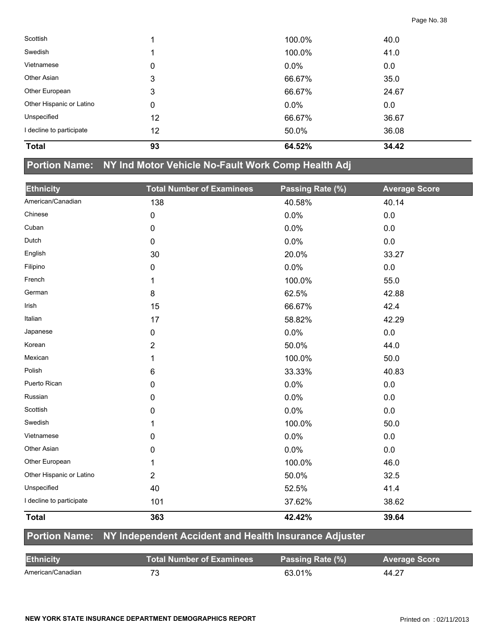| <b>Total</b>             | 93 | 64.52%  | 34.42 |  |
|--------------------------|----|---------|-------|--|
| I decline to participate | 12 | 50.0%   | 36.08 |  |
| Unspecified              | 12 | 66.67%  | 36.67 |  |
| Other Hispanic or Latino | 0  | $0.0\%$ | 0.0   |  |
| Other European           | 3  | 66.67%  | 24.67 |  |
| Other Asian              | 3  | 66.67%  | 35.0  |  |
| Vietnamese               | 0  | $0.0\%$ | 0.0   |  |
| Swedish                  |    | 100.0%  | 41.0  |  |
| Scottish                 |    | 100.0%  | 40.0  |  |

#### **Portion Name: NY Ind Motor Vehicle No-Fault Work Comp Health Adj**

| <b>Ethnicity</b>         | <b>Total Number of Examinees</b> | Passing Rate (%) | <b>Average Score</b> |
|--------------------------|----------------------------------|------------------|----------------------|
| American/Canadian        | 138                              | 40.58%           | 40.14                |
| Chinese                  | 0                                | 0.0%             | 0.0                  |
| Cuban                    | 0                                | 0.0%             | 0.0                  |
| Dutch                    | 0                                | 0.0%             | $0.0\,$              |
| English                  | 30                               | 20.0%            | 33.27                |
| Filipino                 | 0                                | 0.0%             | 0.0                  |
| French                   | 1                                | 100.0%           | 55.0                 |
| German                   | 8                                | 62.5%            | 42.88                |
| Irish                    | 15                               | 66.67%           | 42.4                 |
| Italian                  | 17                               | 58.82%           | 42.29                |
| Japanese                 | 0                                | 0.0%             | 0.0                  |
| Korean                   | $\overline{2}$                   | 50.0%            | 44.0                 |
| Mexican                  | 1                                | 100.0%           | 50.0                 |
| Polish                   | 6                                | 33.33%           | 40.83                |
| Puerto Rican             | 0                                | 0.0%             | 0.0                  |
| Russian                  | 0                                | 0.0%             | $0.0\,$              |
| Scottish                 | 0                                | 0.0%             | 0.0                  |
| Swedish                  | 1                                | 100.0%           | 50.0                 |
| Vietnamese               | 0                                | 0.0%             | $0.0\,$              |
| Other Asian              | 0                                | 0.0%             | 0.0                  |
| Other European           | 1                                | 100.0%           | 46.0                 |
| Other Hispanic or Latino | $\overline{2}$                   | 50.0%            | 32.5                 |
| Unspecified              | 40                               | 52.5%            | 41.4                 |
| I decline to participate | 101                              | 37.62%           | 38.62                |
| <b>Total</b>             | 363                              | 42.42%           | 39.64                |

#### **Portion Name: NY Independent Accident and Health Insurance Adjuster**

| <b>Ethnicity</b>  | Total Number of Examinees <b>\</b> | Passing Rate (%) | <b>Average Score</b> |
|-------------------|------------------------------------|------------------|----------------------|
| American/Canadian |                                    | 63.01%           | 44.27                |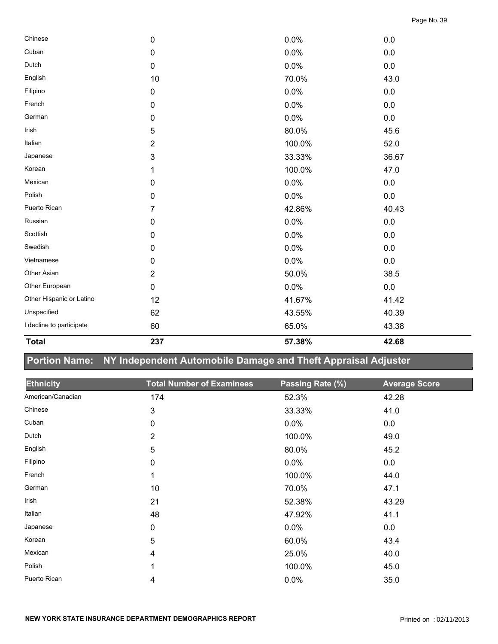| <b>Total</b>             | 237            | 57.38% | 42.68   |
|--------------------------|----------------|--------|---------|
| I decline to participate | 60             | 65.0%  | 43.38   |
| Unspecified              | 62             | 43.55% | 40.39   |
| Other Hispanic or Latino | 12             | 41.67% | 41.42   |
| Other European           | $\mathbf 0$    | 0.0%   | $0.0\,$ |
| Other Asian              | $\overline{2}$ | 50.0%  | 38.5    |
| Vietnamese               | $\mathbf 0$    | 0.0%   | 0.0     |
| Swedish                  | $\mathbf 0$    | 0.0%   | 0.0     |
| Scottish                 | $\mathbf 0$    | 0.0%   | 0.0     |
| Russian                  | $\mathbf 0$    | 0.0%   | 0.0     |
| Puerto Rican             | 7              | 42.86% | 40.43   |
| Polish                   | $\mathbf 0$    | 0.0%   | $0.0\,$ |
| Mexican                  | $\mathbf 0$    | 0.0%   | $0.0\,$ |
| Korean                   | 1              | 100.0% | 47.0    |
| Japanese                 | 3              | 33.33% | 36.67   |
| Italian                  | $\overline{2}$ | 100.0% | 52.0    |
| Irish                    | 5              | 80.0%  | 45.6    |
| German                   | $\mathbf 0$    | 0.0%   | 0.0     |
| French                   | $\pmb{0}$      | 0.0%   | $0.0\,$ |
| Filipino                 | $\pmb{0}$      | 0.0%   | 0.0     |
| English                  | 10             | 70.0%  | 43.0    |
| Dutch                    | $\pmb{0}$      | 0.0%   | $0.0\,$ |
| Cuban                    | $\mathbf 0$    | 0.0%   | 0.0     |
| Chinese                  | $\mathbf 0$    | 0.0%   | 0.0     |

# **Portion Name: NY Independent Automobile Damage and Theft Appraisal Adjuster**

| <b>Ethnicity</b>  | <b>Total Number of Examinees</b> | Passing Rate (%) | <b>Average Score</b> |
|-------------------|----------------------------------|------------------|----------------------|
| American/Canadian | 174                              | 52.3%            | 42.28                |
| Chinese           | 3                                | 33.33%           | 41.0                 |
| Cuban             | 0                                | 0.0%             | 0.0                  |
| Dutch             | $\overline{2}$                   | 100.0%           | 49.0                 |
| English           | 5                                | 80.0%            | 45.2                 |
| Filipino          | 0                                | 0.0%             | 0.0                  |
| French            | 1                                | 100.0%           | 44.0                 |
| German            | 10                               | 70.0%            | 47.1                 |
| Irish             | 21                               | 52.38%           | 43.29                |
| Italian           | 48                               | 47.92%           | 41.1                 |
| Japanese          | 0                                | 0.0%             | 0.0                  |
| Korean            | 5                                | 60.0%            | 43.4                 |
| Mexican           | 4                                | 25.0%            | 40.0                 |
| Polish            |                                  | 100.0%           | 45.0                 |
| Puerto Rican      | 4                                | 0.0%             | 35.0                 |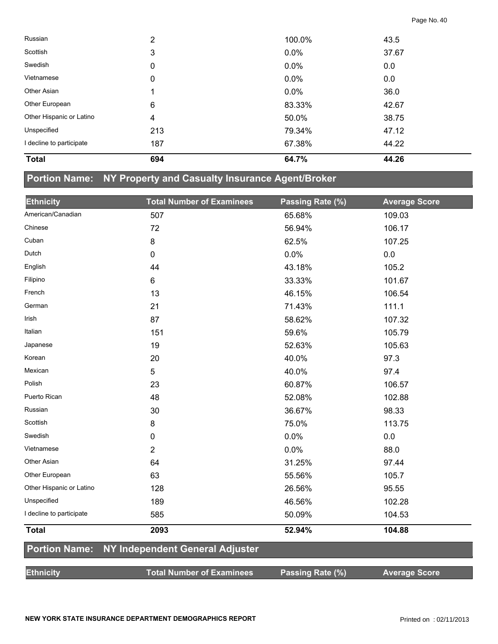| Russian                  | 2   | 100.0% | 43.5  |
|--------------------------|-----|--------|-------|
| Scottish                 | 3   | 0.0%   | 37.67 |
| Swedish                  | 0   | 0.0%   | 0.0   |
| Vietnamese               | 0   | 0.0%   | 0.0   |
| Other Asian              |     | 0.0%   | 36.0  |
| Other European           | 6   | 83.33% | 42.67 |
| Other Hispanic or Latino | 4   | 50.0%  | 38.75 |
| Unspecified              | 213 | 79.34% | 47.12 |
| I decline to participate | 187 | 67.38% | 44.22 |
| <b>Total</b>             | 694 | 64.7%  | 44.26 |

# **Portion Name: NY Property and Casualty Insurance Agent/Broker**

| <b>Ethnicity</b>         | <b>Total Number of Examinees</b> | Passing Rate (%) | <b>Average Score</b> |
|--------------------------|----------------------------------|------------------|----------------------|
| American/Canadian        | 507                              | 65.68%           | 109.03               |
| Chinese                  | 72                               | 56.94%           | 106.17               |
| Cuban                    | 8                                | 62.5%            | 107.25               |
| Dutch                    | 0                                | 0.0%             | 0.0                  |
| English                  | 44                               | 43.18%           | 105.2                |
| Filipino                 | 6                                | 33.33%           | 101.67               |
| French                   | 13                               | 46.15%           | 106.54               |
| German                   | 21                               | 71.43%           | 111.1                |
| Irish                    | 87                               | 58.62%           | 107.32               |
| Italian                  | 151                              | 59.6%            | 105.79               |
| Japanese                 | 19                               | 52.63%           | 105.63               |
| Korean                   | 20                               | 40.0%            | 97.3                 |
| Mexican                  | 5                                | 40.0%            | 97.4                 |
| Polish                   | 23                               | 60.87%           | 106.57               |
| Puerto Rican             | 48                               | 52.08%           | 102.88               |
| Russian                  | 30                               | 36.67%           | 98.33                |
| Scottish                 | 8                                | 75.0%            | 113.75               |
| Swedish                  | 0                                | 0.0%             | 0.0                  |
| Vietnamese               | $\overline{2}$                   | 0.0%             | 88.0                 |
| Other Asian              | 64                               | 31.25%           | 97.44                |
| Other European           | 63                               | 55.56%           | 105.7                |
| Other Hispanic or Latino | 128                              | 26.56%           | 95.55                |
| Unspecified              | 189                              | 46.56%           | 102.28               |
| I decline to participate | 585                              | 50.09%           | 104.53               |
| <b>Total</b>             | 2093                             | 52.94%           | 104.88               |
| <b>Portion Name:</b>     | NY Independent General Adjuster  |                  |                      |
| <b>Ethnicity</b>         | <b>Total Number of Examinees</b> | Passing Rate (%) | <b>Average Score</b> |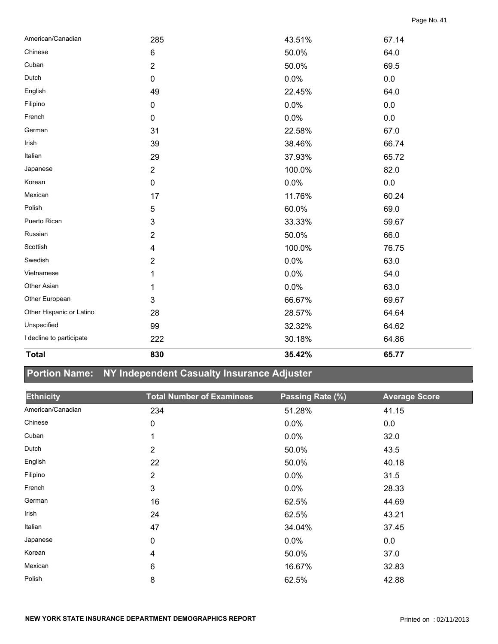| <b>Total</b>             | 830            | 35.42% | 65.77   |
|--------------------------|----------------|--------|---------|
| I decline to participate | 222            | 30.18% | 64.86   |
| Unspecified              | 99             | 32.32% | 64.62   |
| Other Hispanic or Latino | 28             | 28.57% | 64.64   |
| Other European           | $\mathbf{3}$   | 66.67% | 69.67   |
| Other Asian              | 1              | 0.0%   | 63.0    |
| Vietnamese               | 1              | 0.0%   | 54.0    |
| Swedish                  | $\overline{2}$ | 0.0%   | 63.0    |
| Scottish                 | 4              | 100.0% | 76.75   |
| Russian                  | $\overline{2}$ | 50.0%  | 66.0    |
| Puerto Rican             | $\mathbf{3}$   | 33.33% | 59.67   |
| Polish                   | 5              | 60.0%  | 69.0    |
| Mexican                  | 17             | 11.76% | 60.24   |
| Korean                   | $\pmb{0}$      | 0.0%   | $0.0\,$ |
| Japanese                 | $\overline{2}$ | 100.0% | 82.0    |
| Italian                  | 29             | 37.93% | 65.72   |
| Irish                    | 39             | 38.46% | 66.74   |
| German                   | 31             | 22.58% | 67.0    |
| French                   | $\pmb{0}$      | 0.0%   | $0.0\,$ |
| Filipino                 | $\pmb{0}$      | 0.0%   | $0.0\,$ |
| English                  | 49             | 22.45% | 64.0    |
| Dutch                    | $\mathbf 0$    | 0.0%   | $0.0\,$ |
| Cuban                    | $\overline{2}$ | 50.0%  | 69.5    |
| Chinese                  | $\,6$          | 50.0%  | 64.0    |
| American/Canadian        | 285            | 43.51% | 67.14   |

# **Portion Name: NY Independent Casualty Insurance Adjuster**

| <b>Ethnicity</b>  | <b>Total Number of Examinees</b> | Passing Rate (%) | <b>Average Score</b> |
|-------------------|----------------------------------|------------------|----------------------|
| American/Canadian | 234                              | 51.28%           | 41.15                |
| Chinese           | 0                                | 0.0%             | 0.0                  |
| Cuban             | 1                                | $0.0\%$          | 32.0                 |
| Dutch             | $\overline{2}$                   | 50.0%            | 43.5                 |
| English           | 22                               | 50.0%            | 40.18                |
| Filipino          | $\overline{2}$                   | $0.0\%$          | 31.5                 |
| French            | 3                                | 0.0%             | 28.33                |
| German            | 16                               | 62.5%            | 44.69                |
| Irish             | 24                               | 62.5%            | 43.21                |
| Italian           | 47                               | 34.04%           | 37.45                |
| Japanese          | $\mathbf 0$                      | 0.0%             | 0.0                  |
| Korean            | 4                                | 50.0%            | 37.0                 |
| Mexican           | 6                                | 16.67%           | 32.83                |
| Polish            | 8                                | 62.5%            | 42.88                |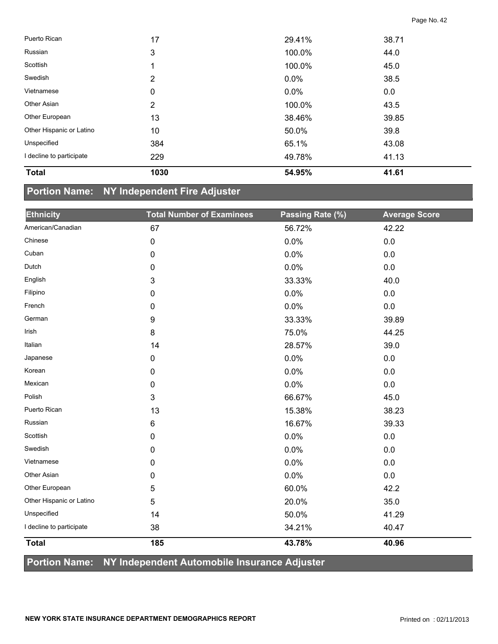| <b>Total</b>             | 1030 | 54.95%  | 41.61 |  |
|--------------------------|------|---------|-------|--|
| I decline to participate | 229  | 49.78%  | 41.13 |  |
| Unspecified              | 384  | 65.1%   | 43.08 |  |
| Other Hispanic or Latino | 10   | 50.0%   | 39.8  |  |
| Other European           | 13   | 38.46%  | 39.85 |  |
| Other Asian              | 2    | 100.0%  | 43.5  |  |
| Vietnamese               | 0    | 0.0%    | 0.0   |  |
| Swedish                  | 2    | $0.0\%$ | 38.5  |  |
| Scottish                 | 1    | 100.0%  | 45.0  |  |
| Russian                  | 3    | 100.0%  | 44.0  |  |
| Puerto Rican             | 17   | 29.41%  | 38.71 |  |

### **Portion Name: NY Independent Fire Adjuster**

| <b>Ethnicity</b>         | <b>Total Number of Examinees</b> | Passing Rate (%) | <b>Average Score</b> |
|--------------------------|----------------------------------|------------------|----------------------|
| American/Canadian        | 67                               | 56.72%           | 42.22                |
| Chinese                  | $\pmb{0}$                        | 0.0%             | 0.0                  |
| Cuban                    | $\pmb{0}$                        | 0.0%             | 0.0                  |
| Dutch                    | 0                                | 0.0%             | 0.0                  |
| English                  | 3                                | 33.33%           | 40.0                 |
| Filipino                 | 0                                | 0.0%             | 0.0                  |
| French                   | $\mathbf 0$                      | 0.0%             | 0.0                  |
| German                   | 9                                | 33.33%           | 39.89                |
| Irish                    | 8                                | 75.0%            | 44.25                |
| Italian                  | 14                               | 28.57%           | 39.0                 |
| Japanese                 | $\mathbf 0$                      | 0.0%             | 0.0                  |
| Korean                   | $\mathbf 0$                      | 0.0%             | 0.0                  |
| Mexican                  | 0                                | 0.0%             | 0.0                  |
| Polish                   | 3                                | 66.67%           | 45.0                 |
| Puerto Rican             | 13                               | 15.38%           | 38.23                |
| Russian                  | 6                                | 16.67%           | 39.33                |
| Scottish                 | $\mathbf 0$                      | 0.0%             | 0.0                  |
| Swedish                  | $\pmb{0}$                        | 0.0%             | 0.0                  |
| Vietnamese               | 0                                | 0.0%             | 0.0                  |
| Other Asian              | $\mathbf 0$                      | 0.0%             | 0.0                  |
| Other European           | 5                                | 60.0%            | 42.2                 |
| Other Hispanic or Latino | 5                                | 20.0%            | 35.0                 |
| Unspecified              | 14                               | 50.0%            | 41.29                |
| I decline to participate | 38                               | 34.21%           | 40.47                |
| <b>Total</b>             | 185                              | 43.78%           | 40.96                |

#### **Portion Name: NY Independent Automobile Insurance Adjuster**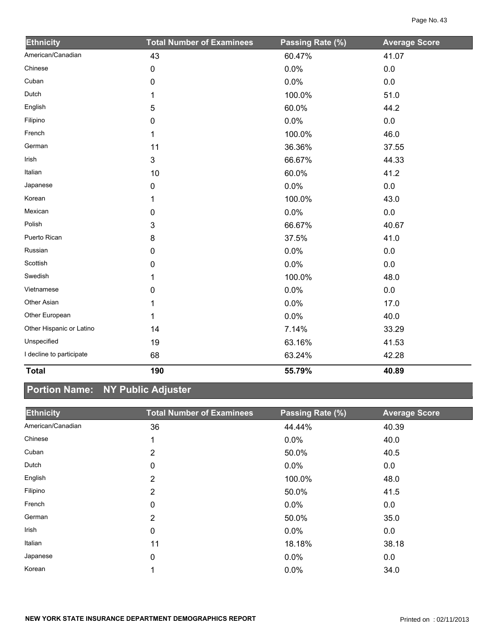| <b>Ethnicity</b>         | <b>Total Number of Examinees</b> | Passing Rate (%) | <b>Average Score</b> |
|--------------------------|----------------------------------|------------------|----------------------|
| American/Canadian        | 43                               | 60.47%           | 41.07                |
| Chinese                  | 0                                | 0.0%             | 0.0                  |
| Cuban                    | 0                                | 0.0%             | 0.0                  |
| Dutch                    | 1                                | 100.0%           | 51.0                 |
| English                  | 5                                | 60.0%            | 44.2                 |
| Filipino                 | 0                                | 0.0%             | 0.0                  |
| French                   | 1                                | 100.0%           | 46.0                 |
| German                   | 11                               | 36.36%           | 37.55                |
| Irish                    | $\mathfrak{S}$                   | 66.67%           | 44.33                |
| Italian                  | 10                               | 60.0%            | 41.2                 |
| Japanese                 | 0                                | 0.0%             | 0.0                  |
| Korean                   | 1                                | 100.0%           | 43.0                 |
| Mexican                  | 0                                | 0.0%             | 0.0                  |
| Polish                   | 3                                | 66.67%           | 40.67                |
| Puerto Rican             | 8                                | 37.5%            | 41.0                 |
| Russian                  | 0                                | 0.0%             | 0.0                  |
| Scottish                 | 0                                | 0.0%             | 0.0                  |
| Swedish                  | 1                                | 100.0%           | 48.0                 |
| Vietnamese               | 0                                | 0.0%             | $0.0\,$              |
| Other Asian              | 1                                | 0.0%             | 17.0                 |
| Other European           | 1                                | 0.0%             | 40.0                 |
| Other Hispanic or Latino | 14                               | 7.14%            | 33.29                |
| Unspecified              | 19                               | 63.16%           | 41.53                |
| I decline to participate | 68                               | 63.24%           | 42.28                |
| <b>Total</b>             | 190                              | 55.79%           | 40.89                |

# **Portion Name: NY Public Adjuster**

| <b>Ethnicity</b>  | <b>Total Number of Examinees</b> | Passing Rate (%) | <b>Average Score</b> |
|-------------------|----------------------------------|------------------|----------------------|
| American/Canadian | 36                               | 44.44%           | 40.39                |
| Chinese           |                                  | 0.0%             | 40.0                 |
| Cuban             | $\overline{2}$                   | 50.0%            | 40.5                 |
| Dutch             | 0                                | 0.0%             | 0.0                  |
| English           | 2                                | 100.0%           | 48.0                 |
| Filipino          | 2                                | 50.0%            | 41.5                 |
| French            | 0                                | $0.0\%$          | 0.0                  |
| German            | 2                                | 50.0%            | 35.0                 |
| Irish             | 0                                | $0.0\%$          | 0.0                  |
| Italian           | 11                               | 18.18%           | 38.18                |
| Japanese          | $\mathbf 0$                      | 0.0%             | 0.0                  |
| Korean            |                                  | 0.0%             | 34.0                 |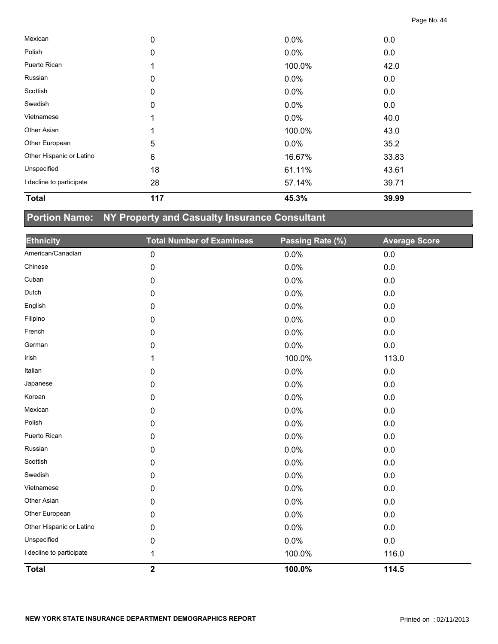| <b>Total</b>             | 117 | 45.3%   | 39.99 |  |
|--------------------------|-----|---------|-------|--|
| I decline to participate | 28  | 57.14%  | 39.71 |  |
| Unspecified              | 18  | 61.11%  | 43.61 |  |
| Other Hispanic or Latino | 6   | 16.67%  | 33.83 |  |
| Other European           | 5   | $0.0\%$ | 35.2  |  |
| Other Asian              |     | 100.0%  | 43.0  |  |
| Vietnamese               |     | $0.0\%$ | 40.0  |  |
| Swedish                  | 0   | 0.0%    | 0.0   |  |
| Scottish                 | 0   | 0.0%    | 0.0   |  |
| Russian                  | 0   | 0.0%    | 0.0   |  |
| Puerto Rican             |     | 100.0%  | 42.0  |  |
| Polish                   | 0   | $0.0\%$ | 0.0   |  |
| Mexican                  | 0   | 0.0%    | 0.0   |  |

# **Portion Name: NY Property and Casualty Insurance Consultant**

| <b>Ethnicity</b>         | <b>Total Number of Examinees</b> | Passing Rate (%) | <b>Average Score</b> |
|--------------------------|----------------------------------|------------------|----------------------|
| American/Canadian        | $\mathbf 0$                      | 0.0%             | 0.0                  |
| Chinese                  | 0                                | 0.0%             | 0.0                  |
| Cuban                    | 0                                | 0.0%             | 0.0                  |
| Dutch                    | 0                                | 0.0%             | 0.0                  |
| English                  | 0                                | 0.0%             | 0.0                  |
| Filipino                 | 0                                | 0.0%             | 0.0                  |
| French                   | 0                                | 0.0%             | 0.0                  |
| German                   | 0                                | 0.0%             | 0.0                  |
| Irish                    | 1                                | 100.0%           | 113.0                |
| Italian                  | 0                                | 0.0%             | 0.0                  |
| Japanese                 | 0                                | 0.0%             | 0.0                  |
| Korean                   | $\mathbf 0$                      | 0.0%             | 0.0                  |
| Mexican                  | 0                                | 0.0%             | 0.0                  |
| Polish                   | 0                                | 0.0%             | 0.0                  |
| Puerto Rican             | 0                                | 0.0%             | 0.0                  |
| Russian                  | 0                                | 0.0%             | 0.0                  |
| Scottish                 | 0                                | 0.0%             | 0.0                  |
| Swedish                  | 0                                | 0.0%             | 0.0                  |
| Vietnamese               | 0                                | 0.0%             | 0.0                  |
| Other Asian              | 0                                | 0.0%             | 0.0                  |
| Other European           | 0                                | 0.0%             | 0.0                  |
| Other Hispanic or Latino | 0                                | 0.0%             | 0.0                  |
| Unspecified              | 0                                | 0.0%             | 0.0                  |
| I decline to participate | 1                                | 100.0%           | 116.0                |
| <b>Total</b>             | $\overline{\mathbf{2}}$          | 100.0%           | 114.5                |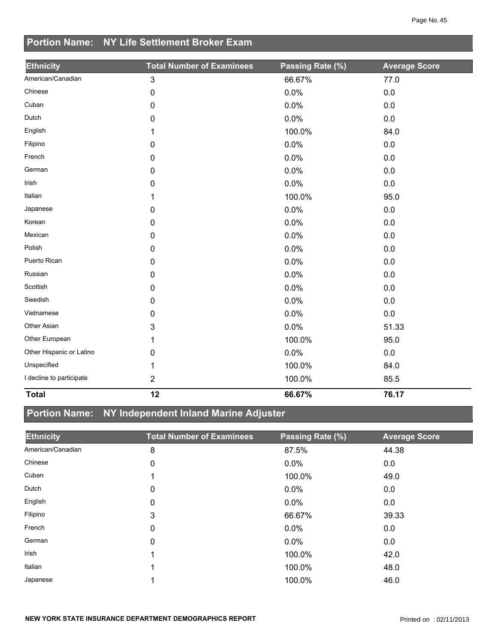# **Portion Name: NY Life Settlement Broker Exam**

| <b>Ethnicity</b>         | <b>Total Number of Examinees</b> | Passing Rate (%) | <b>Average Score</b> |
|--------------------------|----------------------------------|------------------|----------------------|
| American/Canadian        | $\mathfrak{S}$                   | 66.67%           | 77.0                 |
| Chinese                  | $\mathbf 0$                      | 0.0%             | $0.0\,$              |
| Cuban                    | 0                                | 0.0%             | $0.0\,$              |
| Dutch                    | 0                                | 0.0%             | 0.0                  |
| English                  | 1                                | 100.0%           | 84.0                 |
| Filipino                 | 0                                | 0.0%             | 0.0                  |
| French                   | 0                                | 0.0%             | 0.0                  |
| German                   | 0                                | 0.0%             | $0.0\,$              |
| Irish                    | 0                                | 0.0%             | $0.0\,$              |
| Italian                  | 1                                | 100.0%           | 95.0                 |
| Japanese                 | 0                                | 0.0%             | 0.0                  |
| Korean                   | $\pmb{0}$                        | 0.0%             | 0.0                  |
| Mexican                  | 0                                | 0.0%             | 0.0                  |
| Polish                   | 0                                | 0.0%             | $0.0\,$              |
| Puerto Rican             | 0                                | 0.0%             | $0.0\,$              |
| Russian                  | $\mathbf 0$                      | 0.0%             | 0.0                  |
| Scottish                 | $\mathbf 0$                      | 0.0%             | 0.0                  |
| Swedish                  | 0                                | 0.0%             | 0.0                  |
| Vietnamese               | 0                                | 0.0%             | $0.0\,$              |
| Other Asian              | 3                                | 0.0%             | 51.33                |
| Other European           | 1                                | 100.0%           | 95.0                 |
| Other Hispanic or Latino | 0                                | 0.0%             | 0.0                  |
| Unspecified              | 1                                | 100.0%           | 84.0                 |
| I decline to participate | $\overline{2}$                   | 100.0%           | 85.5                 |
| <b>Total</b>             | 12                               | 66.67%           | 76.17                |

# **Portion Name: NY Independent Inland Marine Adjuster**

| <b>Ethnicity</b>  | <b>Total Number of Examinees</b> | Passing Rate (%) | <b>Average Score</b> |
|-------------------|----------------------------------|------------------|----------------------|
| American/Canadian | 8                                | 87.5%            | 44.38                |
| Chinese           | 0                                | 0.0%             | 0.0                  |
| Cuban             |                                  | 100.0%           | 49.0                 |
| Dutch             | 0                                | 0.0%             | 0.0                  |
| English           | 0                                | $0.0\%$          | 0.0                  |
| Filipino          | 3                                | 66.67%           | 39.33                |
| French            | 0                                | $0.0\%$          | 0.0                  |
| German            | 0                                | $0.0\%$          | 0.0                  |
| Irish             |                                  | 100.0%           | 42.0                 |
| Italian           |                                  | 100.0%           | 48.0                 |
| Japanese          |                                  | 100.0%           | 46.0                 |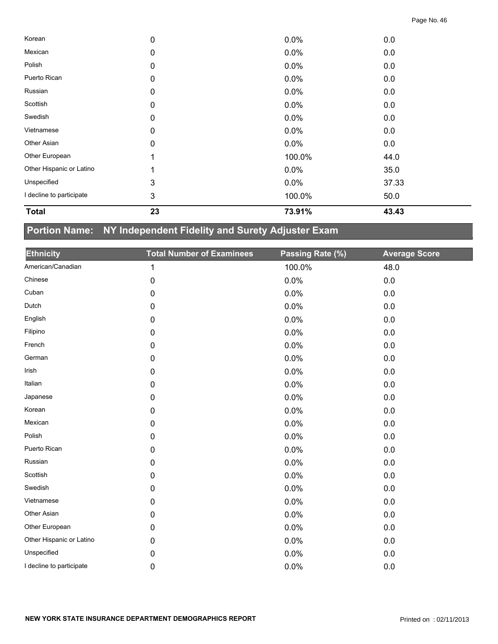| <b>Total</b>             | 23          | 73.91%  | 43.43 |  |
|--------------------------|-------------|---------|-------|--|
| I decline to participate | 3           | 100.0%  | 50.0  |  |
| Unspecified              | 3           | $0.0\%$ | 37.33 |  |
| Other Hispanic or Latino |             | $0.0\%$ | 35.0  |  |
| Other European           |             | 100.0%  | 44.0  |  |
| Other Asian              | 0           | $0.0\%$ | 0.0   |  |
| Vietnamese               | 0           | $0.0\%$ | 0.0   |  |
| Swedish                  | 0           | $0.0\%$ | 0.0   |  |
| Scottish                 | 0           | $0.0\%$ | 0.0   |  |
| Russian                  | 0           | $0.0\%$ | 0.0   |  |
| Puerto Rican             | 0           | $0.0\%$ | 0.0   |  |
| Polish                   | 0           | $0.0\%$ | 0.0   |  |
| Mexican                  | 0           | $0.0\%$ | 0.0   |  |
| Korean                   | $\mathbf 0$ | 0.0%    | 0.0   |  |

# **Portion Name: NY Independent Fidelity and Surety Adjuster Exam**

| <b>Ethnicity</b>         | <b>Total Number of Examinees</b> | Passing Rate (%) | <b>Average Score</b> |
|--------------------------|----------------------------------|------------------|----------------------|
| American/Canadian        | $\mathbf{1}$                     | 100.0%           | 48.0                 |
| Chinese                  | 0                                | 0.0%             | 0.0                  |
| Cuban                    | 0                                | 0.0%             | 0.0                  |
| Dutch                    | 0                                | 0.0%             | 0.0                  |
| English                  | 0                                | 0.0%             | 0.0                  |
| Filipino                 | $\pmb{0}$                        | 0.0%             | 0.0                  |
| French                   | $\mathbf 0$                      | 0.0%             | 0.0                  |
| German                   | $\pmb{0}$                        | 0.0%             | $0.0\,$              |
| Irish                    | $\pmb{0}$                        | 0.0%             | $0.0\,$              |
| Italian                  | $\pmb{0}$                        | 0.0%             | 0.0                  |
| Japanese                 | $\pmb{0}$                        | 0.0%             | 0.0                  |
| Korean                   | $\pmb{0}$                        | 0.0%             | 0.0                  |
| Mexican                  | 0                                | 0.0%             | 0.0                  |
| Polish                   | $\mathbf 0$                      | 0.0%             | 0.0                  |
| Puerto Rican             | $\mathbf 0$                      | 0.0%             | 0.0                  |
| Russian                  | $\pmb{0}$                        | 0.0%             | 0.0                  |
| Scottish                 | 0                                | 0.0%             | $0.0\,$              |
| Swedish                  | 0                                | 0.0%             | $0.0\,$              |
| Vietnamese               | 0                                | 0.0%             | 0.0                  |
| Other Asian              | 0                                | 0.0%             | 0.0                  |
| Other European           | 0                                | 0.0%             | 0.0                  |
| Other Hispanic or Latino | 0                                | 0.0%             | 0.0                  |
| Unspecified              | 0                                | 0.0%             | 0.0                  |
| I decline to participate | 0                                | 0.0%             | 0.0                  |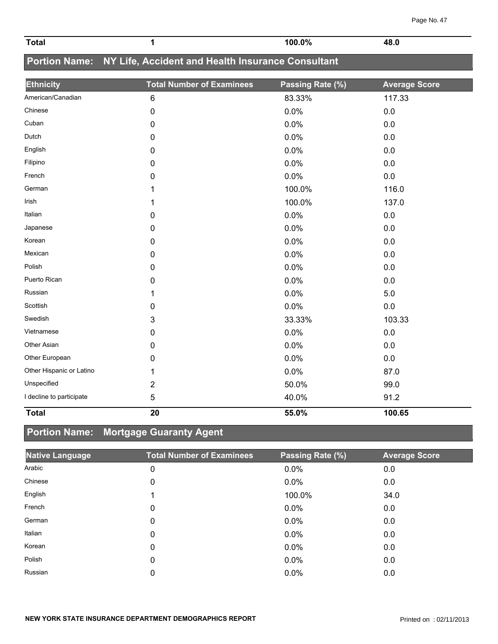| Page No. 47 |  |
|-------------|--|
|             |  |

| <b>Total</b> | $'00.0\%$ | ___ |
|--------------|-----------|-----|

# **Portion Name: NY Life, Accident and Health Insurance Consultant**

| <b>Ethnicity</b>         | <b>Total Number of Examinees</b> | Passing Rate (%) | <b>Average Score</b> |
|--------------------------|----------------------------------|------------------|----------------------|
| American/Canadian        | 6                                | 83.33%           | 117.33               |
| Chinese                  | 0                                | 0.0%             | $0.0\,$              |
| Cuban                    | $\mathbf 0$                      | 0.0%             | 0.0                  |
| Dutch                    | 0                                | 0.0%             | 0.0                  |
| English                  | 0                                | 0.0%             | 0.0                  |
| Filipino                 | 0                                | 0.0%             | 0.0                  |
| French                   | 0                                | 0.0%             | 0.0                  |
| German                   | 1                                | 100.0%           | 116.0                |
| Irish                    | 1                                | 100.0%           | 137.0                |
| Italian                  | 0                                | 0.0%             | 0.0                  |
| Japanese                 | 0                                | 0.0%             | 0.0                  |
| Korean                   | 0                                | 0.0%             | 0.0                  |
| Mexican                  | $\mathbf 0$                      | 0.0%             | 0.0                  |
| Polish                   | 0                                | 0.0%             | 0.0                  |
| Puerto Rican             | 0                                | 0.0%             | 0.0                  |
| Russian                  | 1                                | 0.0%             | 5.0                  |
| Scottish                 | 0                                | 0.0%             | 0.0                  |
| Swedish                  | 3                                | 33.33%           | 103.33               |
| Vietnamese               | 0                                | 0.0%             | 0.0                  |
| Other Asian              | 0                                | 0.0%             | 0.0                  |
| Other European           | $\mathbf 0$                      | 0.0%             | 0.0                  |
| Other Hispanic or Latino | 1                                | 0.0%             | 87.0                 |
| Unspecified              | $\overline{2}$                   | 50.0%            | 99.0                 |
| I decline to participate | 5                                | 40.0%            | 91.2                 |
| <b>Total</b>             | 20                               | 55.0%            | 100.65               |

## **Portion Name: Mortgage Guaranty Agent**

| <b>Native Language</b> | <b>Total Number of Examinees</b> | Passing Rate (%) | <b>Average Score</b> |
|------------------------|----------------------------------|------------------|----------------------|
| Arabic                 | 0                                | 0.0%             | 0.0                  |
| Chinese                | $\mathbf 0$                      | 0.0%             | 0.0                  |
| English                |                                  | 100.0%           | 34.0                 |
| French                 | 0                                | 0.0%             | 0.0                  |
| German                 | 0                                | 0.0%             | 0.0                  |
| Italian                | 0                                | $0.0\%$          | 0.0                  |
| Korean                 | 0                                | $0.0\%$          | 0.0                  |
| Polish                 | 0                                | $0.0\%$          | 0.0                  |
| Russian                | 0                                | 0.0%             | 0.0                  |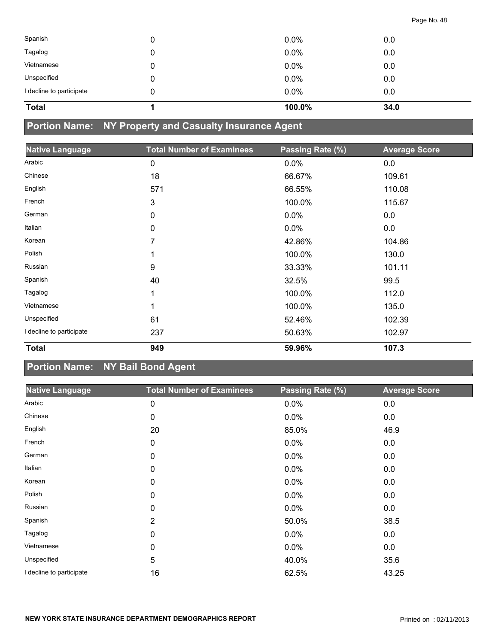| Spanish                  |   | $0.0\%$ | 0.0  |
|--------------------------|---|---------|------|
| Tagalog                  | 0 | $0.0\%$ | 0.0  |
| Vietnamese               | 0 | $0.0\%$ | 0.0  |
| Unspecified              |   | $0.0\%$ | 0.0  |
| I decline to participate |   | $0.0\%$ | 0.0  |
| <b>Total</b>             |   | 100.0%  | 34.0 |

# **Portion Name: NY Property and Casualty Insurance Agent**

| <b>Native Language</b>   | <b>Total Number of Examinees</b> | Passing Rate (%) | <b>Average Score</b> |
|--------------------------|----------------------------------|------------------|----------------------|
| Arabic                   | 0                                | 0.0%             | 0.0                  |
| Chinese                  | 18                               | 66.67%           | 109.61               |
| English                  | 571                              | 66.55%           | 110.08               |
| French                   | 3                                | 100.0%           | 115.67               |
| German                   | 0                                | 0.0%             | 0.0                  |
| Italian                  | 0                                | 0.0%             | 0.0                  |
| Korean                   | 7                                | 42.86%           | 104.86               |
| Polish                   | 1                                | 100.0%           | 130.0                |
| Russian                  | 9                                | 33.33%           | 101.11               |
| Spanish                  | 40                               | 32.5%            | 99.5                 |
| Tagalog                  | 1                                | 100.0%           | 112.0                |
| Vietnamese               | 1                                | 100.0%           | 135.0                |
| Unspecified              | 61                               | 52.46%           | 102.39               |
| I decline to participate | 237                              | 50.63%           | 102.97               |
| <b>Total</b>             | 949                              | 59.96%           | 107.3                |

# **Portion Name: NY Bail Bond Agent**

| <b>Native Language</b>   | <b>Total Number of Examinees</b> | Passing Rate (%) | <b>Average Score</b> |
|--------------------------|----------------------------------|------------------|----------------------|
| Arabic                   | 0                                | 0.0%             | 0.0                  |
| Chinese                  | 0                                | 0.0%             | 0.0                  |
| English                  | 20                               | 85.0%            | 46.9                 |
| French                   | 0                                | 0.0%             | 0.0                  |
| German                   | 0                                | 0.0%             | 0.0                  |
| Italian                  | 0                                | 0.0%             | 0.0                  |
| Korean                   | 0                                | 0.0%             | 0.0                  |
| Polish                   | 0                                | 0.0%             | 0.0                  |
| Russian                  | 0                                | 0.0%             | 0.0                  |
| Spanish                  | $\overline{2}$                   | 50.0%            | 38.5                 |
| Tagalog                  | 0                                | 0.0%             | 0.0                  |
| Vietnamese               | 0                                | 0.0%             | 0.0                  |
| Unspecified              | 5                                | 40.0%            | 35.6                 |
| I decline to participate | 16                               | 62.5%            | 43.25                |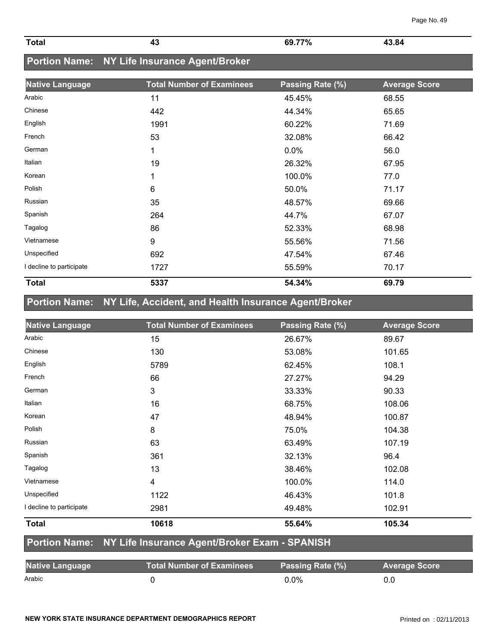| NEW YORK STATE INSURANCE DEPARTMENT DEMOGRAPHICS REPORT | Printed on: 02/11/2013 |
|---------------------------------------------------------|------------------------|
|                                                         |                        |

| Total |    | 69.77%        | -84 |
|-------|----|---------------|-----|
|       | Tv | $\sim$ $\sim$ | . . |

### **Portion Name: NY Life Insurance Agent/Broker**

| <b>Native Language</b>   | <b>Total Number of Examinees</b> | Passing Rate (%) | <b>Average Score</b> |
|--------------------------|----------------------------------|------------------|----------------------|
| Arabic                   | 11                               | 45.45%           | 68.55                |
| Chinese                  | 442                              | 44.34%           | 65.65                |
| English                  | 1991                             | 60.22%           | 71.69                |
| French                   | 53                               | 32.08%           | 66.42                |
| German                   | 1                                | 0.0%             | 56.0                 |
| Italian                  | 19                               | 26.32%           | 67.95                |
| Korean                   | 1                                | 100.0%           | 77.0                 |
| Polish                   | 6                                | 50.0%            | 71.17                |
| Russian                  | 35                               | 48.57%           | 69.66                |
| Spanish                  | 264                              | 44.7%            | 67.07                |
| Tagalog                  | 86                               | 52.33%           | 68.98                |
| Vietnamese               | 9                                | 55.56%           | 71.56                |
| Unspecified              | 692                              | 47.54%           | 67.46                |
| I decline to participate | 1727                             | 55.59%           | 70.17                |
| <b>Total</b>             | 5337                             | 54.34%           | 69.79                |

# **Portion Name: NY Life, Accident, and Health Insurance Agent/Broker**

| <b>Native Language</b>   | <b>Total Number of Examinees</b> | Passing Rate (%) | <b>Average Score</b> |
|--------------------------|----------------------------------|------------------|----------------------|
| Arabic                   | 15                               | 26.67%           | 89.67                |
| Chinese                  | 130                              | 53.08%           | 101.65               |
| English                  | 5789                             | 62.45%           | 108.1                |
| French                   | 66                               | 27.27%           | 94.29                |
| German                   | 3                                | 33.33%           | 90.33                |
| Italian                  | 16                               | 68.75%           | 108.06               |
| Korean                   | 47                               | 48.94%           | 100.87               |
| Polish                   | 8                                | 75.0%            | 104.38               |
| Russian                  | 63                               | 63.49%           | 107.19               |
| Spanish                  | 361                              | 32.13%           | 96.4                 |
| Tagalog                  | 13                               | 38.46%           | 102.08               |
| Vietnamese               | 4                                | 100.0%           | 114.0                |
| Unspecified              | 1122                             | 46.43%           | 101.8                |
| I decline to participate | 2981                             | 49.48%           | 102.91               |
| <b>Total</b>             | 10618                            | 55.64%           | 105.34               |

#### **Portion Name: NY Life Insurance Agent/Broker Exam - SPANISH**

| <b>Native Language</b> | Total Number of Examinees | Passing Rate (%) | <b>Average Score</b> |
|------------------------|---------------------------|------------------|----------------------|
| Arabic                 |                           | 0.0%             | 0.0                  |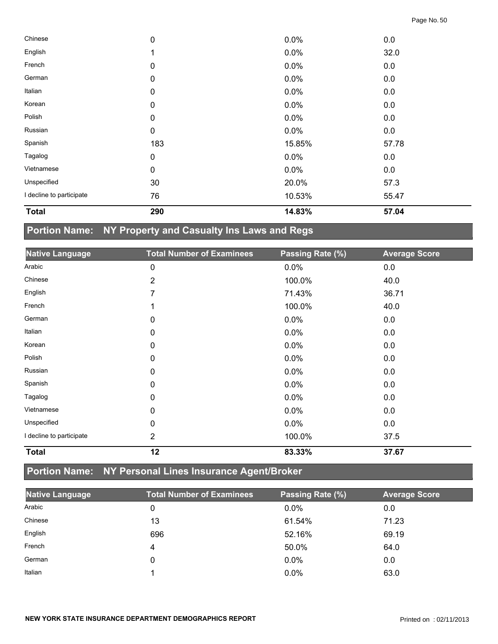| <b>Total</b>             | 290         | 14.83% | 57.04 |  |
|--------------------------|-------------|--------|-------|--|
| I decline to participate | 76          | 10.53% | 55.47 |  |
| Unspecified              | 30          | 20.0%  | 57.3  |  |
| Vietnamese               | $\pmb{0}$   | 0.0%   | 0.0   |  |
| Tagalog                  | 0           | 0.0%   | 0.0   |  |
| Spanish                  | 183         | 15.85% | 57.78 |  |
| Russian                  | 0           | 0.0%   | 0.0   |  |
| Polish                   | 0           | 0.0%   | 0.0   |  |
| Korean                   | 0           | 0.0%   | 0.0   |  |
| Italian                  | 0           | 0.0%   | 0.0   |  |
| German                   | 0           | 0.0%   | 0.0   |  |
| French                   | 0           | 0.0%   | 0.0   |  |
| English                  | 1           | 0.0%   | 32.0  |  |
| Chinese                  | $\mathbf 0$ | 0.0%   | 0.0   |  |

# **Portion Name: NY Property and Casualty Ins Laws and Regs**

| <b>Native Language</b>   | <b>Total Number of Examinees</b> | Passing Rate (%) | <b>Average Score</b> |
|--------------------------|----------------------------------|------------------|----------------------|
| Arabic                   | 0                                | 0.0%             | 0.0                  |
| Chinese                  | 2                                | 100.0%           | 40.0                 |
| English                  | 7                                | 71.43%           | 36.71                |
| French                   | 1                                | 100.0%           | 40.0                 |
| German                   | 0                                | 0.0%             | 0.0                  |
| Italian                  | 0                                | 0.0%             | 0.0                  |
| Korean                   | 0                                | 0.0%             | 0.0                  |
| Polish                   | 0                                | 0.0%             | 0.0                  |
| Russian                  | $\mathbf{0}$                     | 0.0%             | 0.0                  |
| Spanish                  | 0                                | 0.0%             | 0.0                  |
| Tagalog                  | 0                                | 0.0%             | 0.0                  |
| Vietnamese               | 0                                | 0.0%             | 0.0                  |
| Unspecified              | 0                                | 0.0%             | 0.0                  |
| I decline to participate | $\overline{2}$                   | 100.0%           | 37.5                 |
| <b>Total</b>             | 12                               | 83.33%           | 37.67                |

# **Portion Name: NY Personal Lines Insurance Agent/Broker**

| <b>Native Language</b> | <b>Total Number of Examinees</b> | Passing Rate (%) | <b>Average Score</b> |
|------------------------|----------------------------------|------------------|----------------------|
| Arabic                 | 0                                | $0.0\%$          | 0.0                  |
| Chinese                | 13                               | 61.54%           | 71.23                |
| English                | 696                              | 52.16%           | 69.19                |
| French                 | 4                                | 50.0%            | 64.0                 |
| German                 | 0                                | $0.0\%$          | 0.0                  |
| Italian                |                                  | $0.0\%$          | 63.0                 |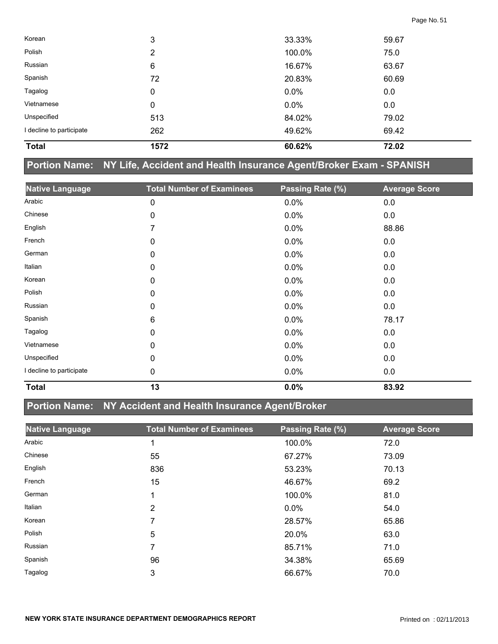| <b>Total</b>             | 1572 | 60.62%  | 72.02 |  |
|--------------------------|------|---------|-------|--|
| I decline to participate | 262  | 49.62%  | 69.42 |  |
| Unspecified              | 513  | 84.02%  | 79.02 |  |
| Vietnamese               | 0    | $0.0\%$ | 0.0   |  |
| Tagalog                  | 0    | $0.0\%$ | 0.0   |  |
| Spanish                  | 72   | 20.83%  | 60.69 |  |
| Russian                  | 6    | 16.67%  | 63.67 |  |
| Polish                   | 2    | 100.0%  | 75.0  |  |
| Korean                   | 3    | 33.33%  | 59.67 |  |

### **Portion Name: NY Life, Accident and Health Insurance Agent/Broker Exam - SPANISH**

| <b>Native Language</b>   | <b>Total Number of Examinees</b> | Passing Rate (%) | <b>Average Score</b> |
|--------------------------|----------------------------------|------------------|----------------------|
| Arabic                   | 0                                | 0.0%             | 0.0                  |
| Chinese                  | 0                                | 0.0%             | 0.0                  |
| English                  | 7                                | 0.0%             | 88.86                |
| French                   | 0                                | 0.0%             | 0.0                  |
| German                   | 0                                | 0.0%             | 0.0                  |
| Italian                  | 0                                | 0.0%             | 0.0                  |
| Korean                   | 0                                | 0.0%             | 0.0                  |
| Polish                   | 0                                | 0.0%             | 0.0                  |
| Russian                  | 0                                | 0.0%             | 0.0                  |
| Spanish                  | 6                                | 0.0%             | 78.17                |
| Tagalog                  | 0                                | 0.0%             | 0.0                  |
| Vietnamese               | 0                                | 0.0%             | 0.0                  |
| Unspecified              | 0                                | 0.0%             | 0.0                  |
| I decline to participate | 0                                | 0.0%             | 0.0                  |
| <b>Total</b>             | 13                               | 0.0%             | 83.92                |

### **Portion Name: NY Accident and Health Insurance Agent/Broker**

| <b>Native Language</b> | <b>Total Number of Examinees</b> | Passing Rate (%) | <b>Average Score</b> |
|------------------------|----------------------------------|------------------|----------------------|
| Arabic                 |                                  | 100.0%           | 72.0                 |
| Chinese                | 55                               | 67.27%           | 73.09                |
| English                | 836                              | 53.23%           | 70.13                |
| French                 | 15                               | 46.67%           | 69.2                 |
| German                 |                                  | 100.0%           | 81.0                 |
| Italian                | 2                                | $0.0\%$          | 54.0                 |
| Korean                 | 7                                | 28.57%           | 65.86                |
| Polish                 | 5                                | 20.0%            | 63.0                 |
| Russian                | 7                                | 85.71%           | 71.0                 |
| Spanish                | 96                               | 34.38%           | 65.69                |
| Tagalog                | 3                                | 66.67%           | 70.0                 |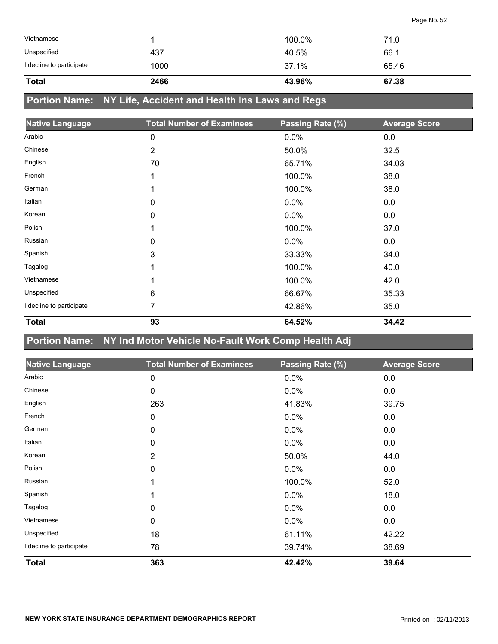| Vietnamese               |      | 100.0% | 71.0  |
|--------------------------|------|--------|-------|
| Unspecified              | 437  | 40.5%  | 66.1  |
| I decline to participate | 1000 | 37.1%  | 65.46 |
| <b>Total</b>             | 2466 | 43.96% | 67.38 |

### **Portion Name: NY Life, Accident and Health Ins Laws and Regs**

| <b>Native Language</b>   | <b>Total Number of Examinees</b> | Passing Rate (%) | <b>Average Score</b> |
|--------------------------|----------------------------------|------------------|----------------------|
| Arabic                   | 0                                | 0.0%             | 0.0                  |
| Chinese                  | $\overline{2}$                   | 50.0%            | 32.5                 |
| English                  | 70                               | 65.71%           | 34.03                |
| French                   | 1                                | 100.0%           | 38.0                 |
| German                   |                                  | 100.0%           | 38.0                 |
| Italian                  | 0                                | 0.0%             | 0.0                  |
| Korean                   | 0                                | 0.0%             | 0.0                  |
| Polish                   | 1                                | 100.0%           | 37.0                 |
| Russian                  | 0                                | 0.0%             | 0.0                  |
| Spanish                  | 3                                | 33.33%           | 34.0                 |
| Tagalog                  | 1                                | 100.0%           | 40.0                 |
| Vietnamese               | 1                                | 100.0%           | 42.0                 |
| Unspecified              | 6                                | 66.67%           | 35.33                |
| I decline to participate | 7                                | 42.86%           | 35.0                 |
| <b>Total</b>             | 93                               | 64.52%           | 34.42                |

### **Portion Name: NY Ind Motor Vehicle No-Fault Work Comp Health Adj**

| <b>Native Language</b>   | <b>Total Number of Examinees</b> | Passing Rate (%) | <b>Average Score</b> |
|--------------------------|----------------------------------|------------------|----------------------|
| Arabic                   | 0                                | 0.0%             | 0.0                  |
| Chinese                  | 0                                | 0.0%             | 0.0                  |
| English                  | 263                              | 41.83%           | 39.75                |
| French                   | 0                                | 0.0%             | 0.0                  |
| German                   | 0                                | 0.0%             | 0.0                  |
| Italian                  | 0                                | 0.0%             | 0.0                  |
| Korean                   | $\overline{2}$                   | 50.0%            | 44.0                 |
| Polish                   | 0                                | 0.0%             | 0.0                  |
| Russian                  | 1                                | 100.0%           | 52.0                 |
| Spanish                  | 1                                | $0.0\%$          | 18.0                 |
| Tagalog                  | 0                                | 0.0%             | 0.0                  |
| Vietnamese               | 0                                | 0.0%             | 0.0                  |
| Unspecified              | 18                               | 61.11%           | 42.22                |
| I decline to participate | 78                               | 39.74%           | 38.69                |
| <b>Total</b>             | 363                              | 42.42%           | 39.64                |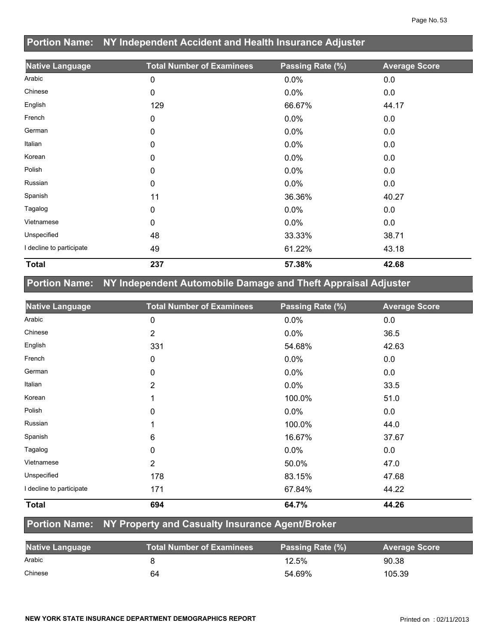| Portion Name: NY Independent Accident and Health Insurance Adjuster |                                  |                  |                      |
|---------------------------------------------------------------------|----------------------------------|------------------|----------------------|
| <b>Native Language</b>                                              | <b>Total Number of Examinees</b> | Passing Rate (%) | <b>Average Score</b> |
| Arabic                                                              | 0                                | 0.0%             | 0.0                  |
| Chinese                                                             | 0                                | 0.0%             | 0.0                  |
| English                                                             | 129                              | 66.67%           | 44.17                |
| French                                                              | 0                                | 0.0%             | 0.0                  |
| German                                                              | 0                                | 0.0%             | 0.0                  |
| Italian                                                             | 0                                | 0.0%             | 0.0                  |
| Korean                                                              | 0                                | 0.0%             | 0.0                  |
| Polish                                                              | 0                                | 0.0%             | 0.0                  |
| Russian                                                             | 0                                | 0.0%             | 0.0                  |
| Spanish                                                             | 11                               | 36.36%           | 40.27                |
| Tagalog                                                             | 0                                | 0.0%             | 0.0                  |
| Vietnamese                                                          | 0                                | 0.0%             | 0.0                  |
| Unspecified                                                         | 48                               | 33.33%           | 38.71                |
| I decline to participate                                            | 49                               | 61.22%           | 43.18                |
| <b>Total</b>                                                        | 237                              | 57.38%           | 42.68                |

### **Portion Name: NY Independent Automobile Damage and Theft Appraisal Adjuster**

**Portion Name: NY Independent Accident and Health Insurance Adjuster** 

| <b>Native Language</b>   | <b>Total Number of Examinees</b> | Passing Rate (%) | <b>Average Score</b> |
|--------------------------|----------------------------------|------------------|----------------------|
| Arabic                   | 0                                | 0.0%             | 0.0                  |
| Chinese                  | $\overline{2}$                   | 0.0%             | 36.5                 |
| English                  | 331                              | 54.68%           | 42.63                |
| French                   | 0                                | 0.0%             | 0.0                  |
| German                   | 0                                | 0.0%             | 0.0                  |
| Italian                  | $\overline{2}$                   | 0.0%             | 33.5                 |
| Korean                   |                                  | 100.0%           | 51.0                 |
| Polish                   | 0                                | 0.0%             | 0.0                  |
| Russian                  |                                  | 100.0%           | 44.0                 |
| Spanish                  | 6                                | 16.67%           | 37.67                |
| Tagalog                  | 0                                | 0.0%             | 0.0                  |
| Vietnamese               | $\overline{2}$                   | 50.0%            | 47.0                 |
| Unspecified              | 178                              | 83.15%           | 47.68                |
| I decline to participate | 171                              | 67.84%           | 44.22                |
| <b>Total</b>             | 694                              | 64.7%            | 44.26                |

### **Portion Name: NY Property and Casualty Insurance Agent/Broker**

| <b>Native Language</b> | <b>Total Number of Examinees</b> | Passing Rate (%) | <b>Average Score</b> |
|------------------------|----------------------------------|------------------|----------------------|
| Arabic                 |                                  | 12.5%            | 90.38                |
| Chinese                | 64                               | 54.69%           | 105.39               |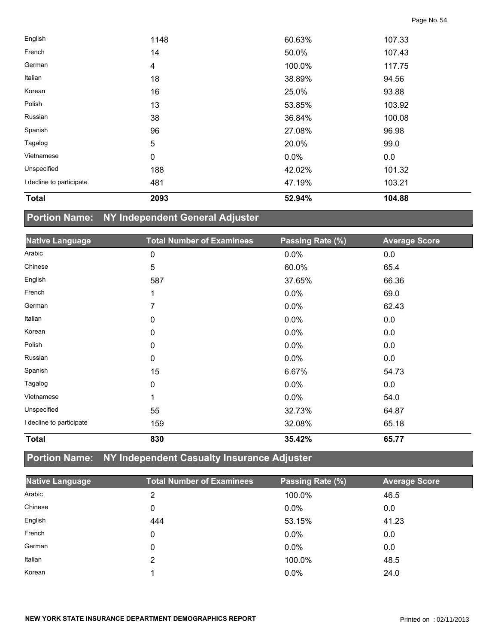| <b>Total</b>             | 2093        | 52.94% | 104.88 |  |
|--------------------------|-------------|--------|--------|--|
| I decline to participate | 481         | 47.19% | 103.21 |  |
| Unspecified              | 188         | 42.02% | 101.32 |  |
| Vietnamese               | $\mathbf 0$ | 0.0%   | 0.0    |  |
| Tagalog                  | 5           | 20.0%  | 99.0   |  |
| Spanish                  | 96          | 27.08% | 96.98  |  |
| Russian                  | 38          | 36.84% | 100.08 |  |
| Polish                   | 13          | 53.85% | 103.92 |  |
| Korean                   | 16          | 25.0%  | 93.88  |  |
| Italian                  | 18          | 38.89% | 94.56  |  |
| German                   | 4           | 100.0% | 117.75 |  |
| French                   | 14          | 50.0%  | 107.43 |  |
| English                  | 1148        | 60.63% | 107.33 |  |

# **Portion Name: NY Independent General Adjuster**

| <b>Native Language</b>   | <b>Total Number of Examinees</b> | Passing Rate (%) | <b>Average Score</b> |
|--------------------------|----------------------------------|------------------|----------------------|
| Arabic                   | 0                                | 0.0%             | 0.0                  |
| Chinese                  | 5                                | 60.0%            | 65.4                 |
| English                  | 587                              | 37.65%           | 66.36                |
| French                   | 1                                | 0.0%             | 69.0                 |
| German                   | 7                                | 0.0%             | 62.43                |
| Italian                  | 0                                | 0.0%             | 0.0                  |
| Korean                   | 0                                | 0.0%             | 0.0                  |
| Polish                   | 0                                | 0.0%             | 0.0                  |
| Russian                  | 0                                | 0.0%             | 0.0                  |
| Spanish                  | 15                               | 6.67%            | 54.73                |
| Tagalog                  | 0                                | 0.0%             | 0.0                  |
| Vietnamese               | 1                                | 0.0%             | 54.0                 |
| Unspecified              | 55                               | 32.73%           | 64.87                |
| I decline to participate | 159                              | 32.08%           | 65.18                |
| <b>Total</b>             | 830                              | 35.42%           | 65.77                |

# **Portion Name: NY Independent Casualty Insurance Adjuster**

| <b>Native Language</b> | <b>Total Number of Examinees</b> | Passing Rate (%) | <b>Average Score</b> |
|------------------------|----------------------------------|------------------|----------------------|
| Arabic                 | 2                                | 100.0%           | 46.5                 |
| Chinese                | 0                                | $0.0\%$          | 0.0                  |
| English                | 444                              | 53.15%           | 41.23                |
| French                 | 0                                | $0.0\%$          | 0.0                  |
| German                 | 0                                | $0.0\%$          | 0.0                  |
| Italian                | 2                                | 100.0%           | 48.5                 |
| Korean                 |                                  | $0.0\%$          | 24.0                 |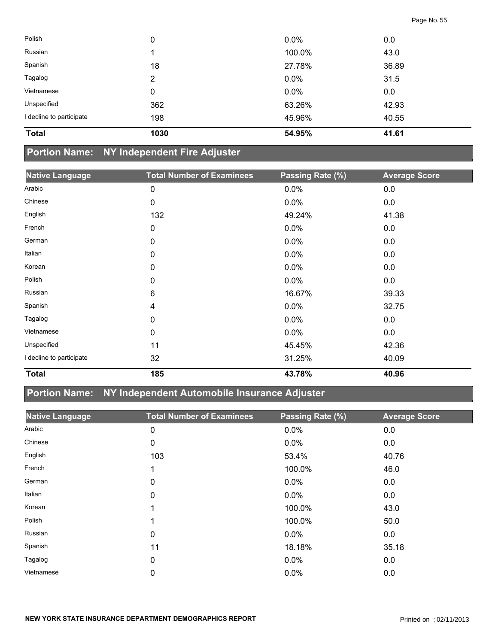| <b>Total</b>             | 1030 | 54.95%  | 41.61 |  |
|--------------------------|------|---------|-------|--|
| I decline to participate | 198  | 45.96%  | 40.55 |  |
| Unspecified              | 362  | 63.26%  | 42.93 |  |
| Vietnamese               | 0    | $0.0\%$ | 0.0   |  |
| Tagalog                  | 2    | $0.0\%$ | 31.5  |  |
| Spanish                  | 18   | 27.78%  | 36.89 |  |
| Russian                  |      | 100.0%  | 43.0  |  |
| Polish                   | 0    | $0.0\%$ | 0.0   |  |

#### **Portion Name: NY Independent Fire Adjuster**

| <b>Native Language</b>   | <b>Total Number of Examinees</b> | Passing Rate (%) | <b>Average Score</b> |
|--------------------------|----------------------------------|------------------|----------------------|
| Arabic                   | 0                                | 0.0%             | 0.0                  |
| Chinese                  | 0                                | 0.0%             | 0.0                  |
| English                  | 132                              | 49.24%           | 41.38                |
| French                   | 0                                | 0.0%             | 0.0                  |
| German                   | 0                                | 0.0%             | 0.0                  |
| Italian                  | 0                                | 0.0%             | 0.0                  |
| Korean                   | 0                                | 0.0%             | 0.0                  |
| Polish                   | 0                                | 0.0%             | 0.0                  |
| Russian                  | 6                                | 16.67%           | 39.33                |
| Spanish                  | 4                                | 0.0%             | 32.75                |
| Tagalog                  | 0                                | 0.0%             | 0.0                  |
| Vietnamese               | 0                                | 0.0%             | 0.0                  |
| Unspecified              | 11                               | 45.45%           | 42.36                |
| I decline to participate | 32                               | 31.25%           | 40.09                |
| <b>Total</b>             | 185                              | 43.78%           | 40.96                |

### **Portion Name: NY Independent Automobile Insurance Adjuster**

| <b>Native Language</b> | <b>Total Number of Examinees</b> | Passing Rate (%) | <b>Average Score</b> |
|------------------------|----------------------------------|------------------|----------------------|
| Arabic                 | 0                                | 0.0%             | 0.0                  |
| Chinese                | 0                                | $0.0\%$          | 0.0                  |
| English                | 103                              | 53.4%            | 40.76                |
| French                 | 1                                | 100.0%           | 46.0                 |
| German                 | 0                                | $0.0\%$          | 0.0                  |
| Italian                | 0                                | $0.0\%$          | 0.0                  |
| Korean                 | 1                                | 100.0%           | 43.0                 |
| Polish                 | 1                                | 100.0%           | 50.0                 |
| Russian                | 0                                | $0.0\%$          | 0.0                  |
| Spanish                | 11                               | 18.18%           | 35.18                |
| Tagalog                | 0                                | $0.0\%$          | 0.0                  |
| Vietnamese             | 0                                | $0.0\%$          | 0.0                  |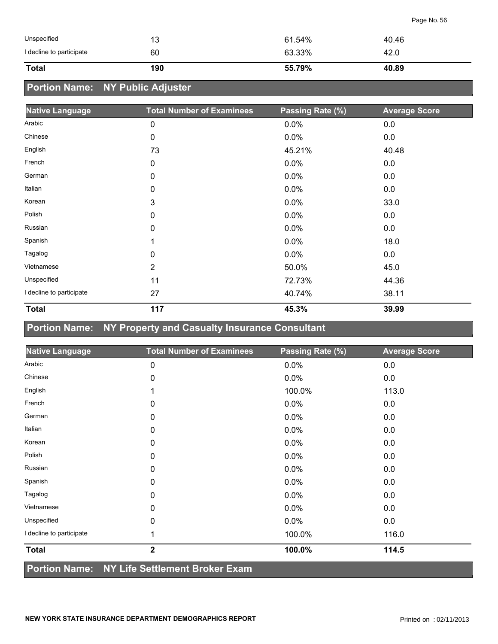| Unspecified              | 13  | 61.54% | 40.46 |
|--------------------------|-----|--------|-------|
| I decline to participate | 60  | 63.33% | 42.0  |
| <b>Total</b>             | 190 | 55.79% | 40.89 |

### **Portion Name: NY Public Adjuster**

| <b>Native Language</b>   | <b>Total Number of Examinees</b> | Passing Rate (%) | <b>Average Score</b> |
|--------------------------|----------------------------------|------------------|----------------------|
| Arabic                   | 0                                | 0.0%             | 0.0                  |
| Chinese                  | 0                                | 0.0%             | 0.0                  |
| English                  | 73                               | 45.21%           | 40.48                |
| French                   | 0                                | 0.0%             | 0.0                  |
| German                   | 0                                | $0.0\%$          | 0.0                  |
| Italian                  | 0                                | 0.0%             | 0.0                  |
| Korean                   | 3                                | $0.0\%$          | 33.0                 |
| Polish                   | 0                                | 0.0%             | 0.0                  |
| Russian                  | 0                                | 0.0%             | 0.0                  |
| Spanish                  | 1                                | 0.0%             | 18.0                 |
| Tagalog                  | 0                                | 0.0%             | 0.0                  |
| Vietnamese               | $\overline{2}$                   | 50.0%            | 45.0                 |
| Unspecified              | 11                               | 72.73%           | 44.36                |
| I decline to participate | 27                               | 40.74%           | 38.11                |
| <b>Total</b>             | 117                              | 45.3%            | 39.99                |

### **Portion Name: NY Property and Casualty Insurance Consultant**

| <b>Native Language</b>   | <b>Total Number of Examinees</b>             | Passing Rate (%) | <b>Average Score</b> |
|--------------------------|----------------------------------------------|------------------|----------------------|
| Arabic                   | 0                                            | 0.0%             | 0.0                  |
| Chinese                  | 0                                            | 0.0%             | 0.0                  |
| English                  |                                              | 100.0%           | 113.0                |
| French                   | 0                                            | 0.0%             | 0.0                  |
| German                   | 0                                            | 0.0%             | 0.0                  |
| Italian                  | 0                                            | 0.0%             | 0.0                  |
| Korean                   | 0                                            | 0.0%             | 0.0                  |
| Polish                   | 0                                            | 0.0%             | 0.0                  |
| Russian                  | 0                                            | 0.0%             | 0.0                  |
| Spanish                  | 0                                            | 0.0%             | 0.0                  |
| Tagalog                  | 0                                            | 0.0%             | 0.0                  |
| Vietnamese               | 0                                            | 0.0%             | 0.0                  |
| Unspecified              | 0                                            | 0.0%             | 0.0                  |
| I decline to participate | 1                                            | 100.0%           | 116.0                |
| <b>Total</b>             | $\overline{2}$                               | 100.0%           | 114.5                |
|                          | Portion Name: NY Life Settlement Broker Exam |                  |                      |

#### **NEW YORK STATE INSURANCE DEPARTMENT DEMOGRAPHICS REPORT PRINCIPLY ASSESSED ASSOCIATE** Printed on : 02/11/2013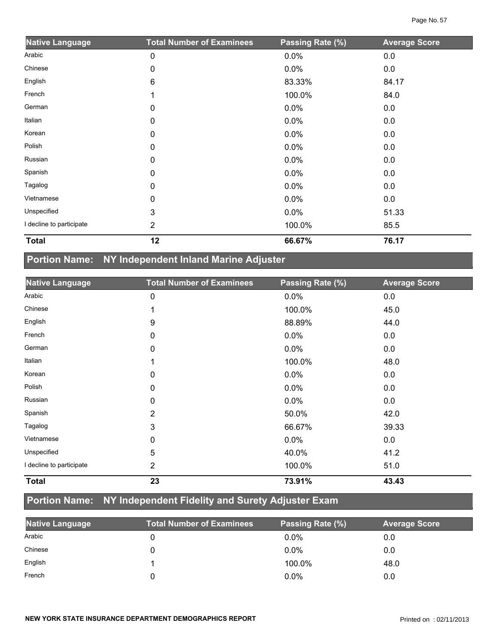| <b>Native Language</b>   | <b>Total Number of Examinees</b> | Passing Rate (%) | <b>Average Score</b> |
|--------------------------|----------------------------------|------------------|----------------------|
| Arabic                   | 0                                | 0.0%             | 0.0                  |
| Chinese                  | 0                                | 0.0%             | 0.0                  |
| English                  | 6                                | 83.33%           | 84.17                |
| French                   |                                  | 100.0%           | 84.0                 |
| German                   | 0                                | 0.0%             | 0.0                  |
| Italian                  | 0                                | 0.0%             | 0.0                  |
| Korean                   | $\Omega$                         | 0.0%             | 0.0                  |
| Polish                   | 0                                | 0.0%             | 0.0                  |
| Russian                  | 0                                | 0.0%             | 0.0                  |
| Spanish                  | 0                                | 0.0%             | 0.0                  |
| Tagalog                  | 0                                | 0.0%             | 0.0                  |
| Vietnamese               | 0                                | 0.0%             | 0.0                  |
| Unspecified              | 3                                | 0.0%             | 51.33                |
| I decline to participate | $\overline{2}$                   | 100.0%           | 85.5                 |
| <b>Total</b>             | 12                               | 66.67%           | 76.17                |

#### **Portion Name: NY Independent Inland Marine Adjuster**

| <b>Native Language</b>   | <b>Total Number of Examinees</b> | Passing Rate (%) | <b>Average Score</b> |
|--------------------------|----------------------------------|------------------|----------------------|
| Arabic                   | 0                                | 0.0%             | 0.0                  |
| Chinese                  |                                  | 100.0%           | 45.0                 |
| English                  | 9                                | 88.89%           | 44.0                 |
| French                   | 0                                | 0.0%             | 0.0                  |
| German                   | 0                                | 0.0%             | 0.0                  |
| Italian                  |                                  | 100.0%           | 48.0                 |
| Korean                   | 0                                | 0.0%             | 0.0                  |
| Polish                   | 0                                | 0.0%             | 0.0                  |
| Russian                  | 0                                | 0.0%             | 0.0                  |
| Spanish                  | $\overline{2}$                   | 50.0%            | 42.0                 |
| Tagalog                  | 3                                | 66.67%           | 39.33                |
| Vietnamese               | $\mathbf 0$                      | 0.0%             | 0.0                  |
| Unspecified              | 5                                | 40.0%            | 41.2                 |
| I decline to participate | 2                                | 100.0%           | 51.0                 |
| <b>Total</b>             | 23                               | 73.91%           | 43.43                |

### **Portion Name: NY Independent Fidelity and Surety Adjuster Exam**

| Native Language | Total Number of Examinees <b> </b> | Passing Rate (%) | <b>Average Score</b> |
|-----------------|------------------------------------|------------------|----------------------|
| Arabic          |                                    | 0.0%             | 0.0                  |
| Chinese         |                                    | $0.0\%$          | 0.0                  |
| English         |                                    | 100.0%           | 48.0                 |
| French          |                                    | $0.0\%$          | 0.0                  |